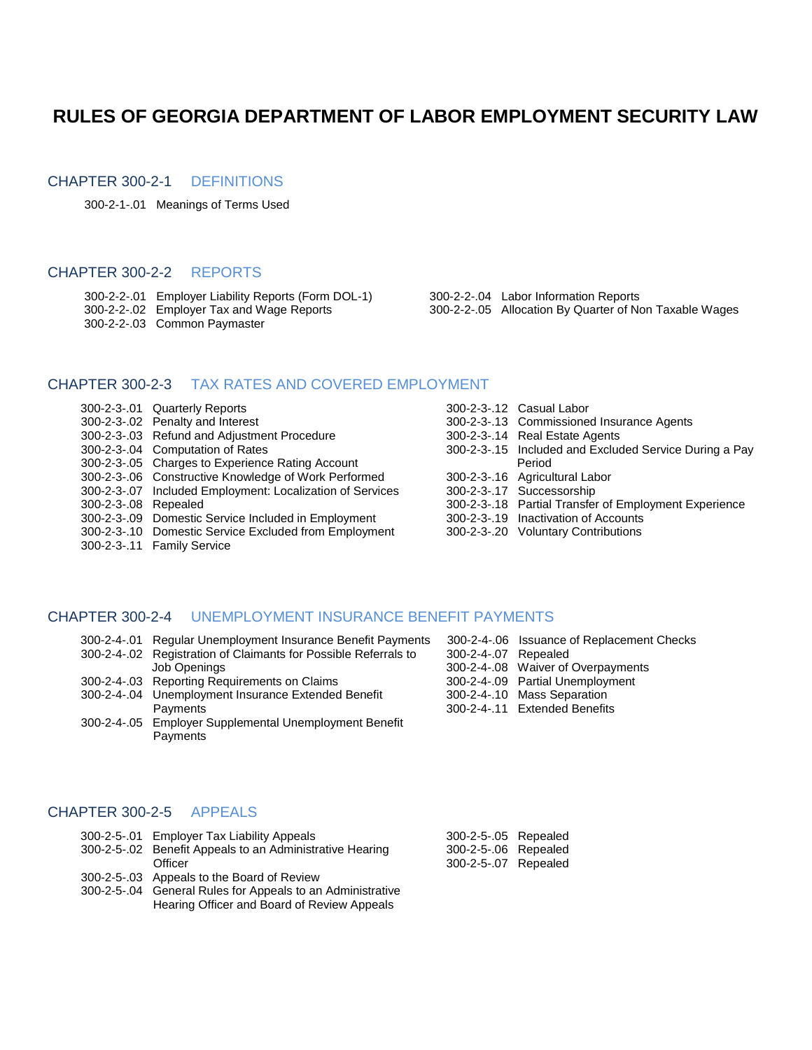# **RULES OF GEORGIA DEPARTMENT OF LABOR EMPLOYMENT SECURITY LAW**

#### CHAPTER 300-2-1 DEFINITIONS

300-2-1-.01 Meanings of Terms Used

#### CHAPTER 300-2-2 REPORTS

- 300-2-2-.01 Employer Liability Reports (Form DOL-1) 300-2-2-.04 Labor Information Reports
- 
- 300-2-2-.03 Common Paymaster
- 
- 300-2-2-.02 Employer Tax and Wage Reports 300-2-2-.05 Allocation By Quarter of Non Taxable Wages

#### CHAPTER 300-2-3 TAX RATES AND COVERED EMPLOYMENT

- 300-2-3-.01 Quarterly Reports 300-2-3-.12 Casual Labor 300-2-3-.02 Penalty and Interest 300-2-3-.13 Commissioned Insurance Agents 300-2-3-.03 Refund and Adjustment Procedure 300-2-3-.14 Real Estate Agents 300-2-3-.04 Computation of Rates 300-2-3-.15 Included and Excluded Service During a Pay 300-2-3-.05 Charges to Experience Rating Account Period 300-2-3-.06 Constructive Knowledge of Work Performed 300-2-3-.16 Agricultural Labor 300-2-3-.07 Included Employment: Localization of Services 300-2-3-.17 Successorship 300-2-3-.08 Repealed 300-2-3-.18 Partial Transfer of Employment Experience 300-2-3-.09 Domestic Service Included in Employment 300-2-3-.19 Inactivation of Accounts 300-2-3-.10 Domestic Service Excluded from Employment 300-2-3-.20 Voluntary Contributions 300-2-3-.11 Family Service
	-
	-
	-
	-
	-
	-
	-
	-

#### CHAPTER 300-2-4 UNEMPLOYMENT INSURANCE BENEFIT PAYMENTS

- 300-2-4-.01 Regular Unemployment Insurance Benefit Payments 300-2-4-.06 Issuance of Replacement Checks 300-2-4-.02 Registration of Claimants for Possible Referrals to 300-2-4-.02 Repealings Job Openings
- 300-2-4-.03 Reporting Requirements on Claims 300-2-4-.03 Partial Requirements on Claims
- 300-2-4-.04 Unemployment Insurance Extended Benefit 3 Payments 300-2-4-.11 Extended Benefits
- 300-2-4-.05 Employer Supplemental Unemployment Benefit **Payments**

|                      | 300-2-4-.06 Issuance of Replacement Check |
|----------------------|-------------------------------------------|
| 800-2-4-.07 Repealed |                                           |
|                      | 800-2-4-.08 Waiver of Overpayments        |
|                      | 800-2-4-.09 Partial Unemployment          |
|                      | 800-2-4-.10 Mass Separation               |
|                      | 300-2-4-.11 Extended Benefits             |

#### CHAPTER 300-2-5 APPEALS

- 300-2-5-.01 Employer Tax Liability Appeals
- 300-2-5-.02 Benefit Appeals to an Administrative Hearing Officer 300-2-5-.07 Repealed
- 300-2-5-.03 Appeals to the Board of Review
- 300-2-5-.04 General Rules for Appeals to an Administrative Hearing Officer and Board of Review Appeals

| 300-2-5-.05 Repealed |          |
|----------------------|----------|
| 300-2-5-.06 Repealed |          |
| 300-2-5-.07          | Repealed |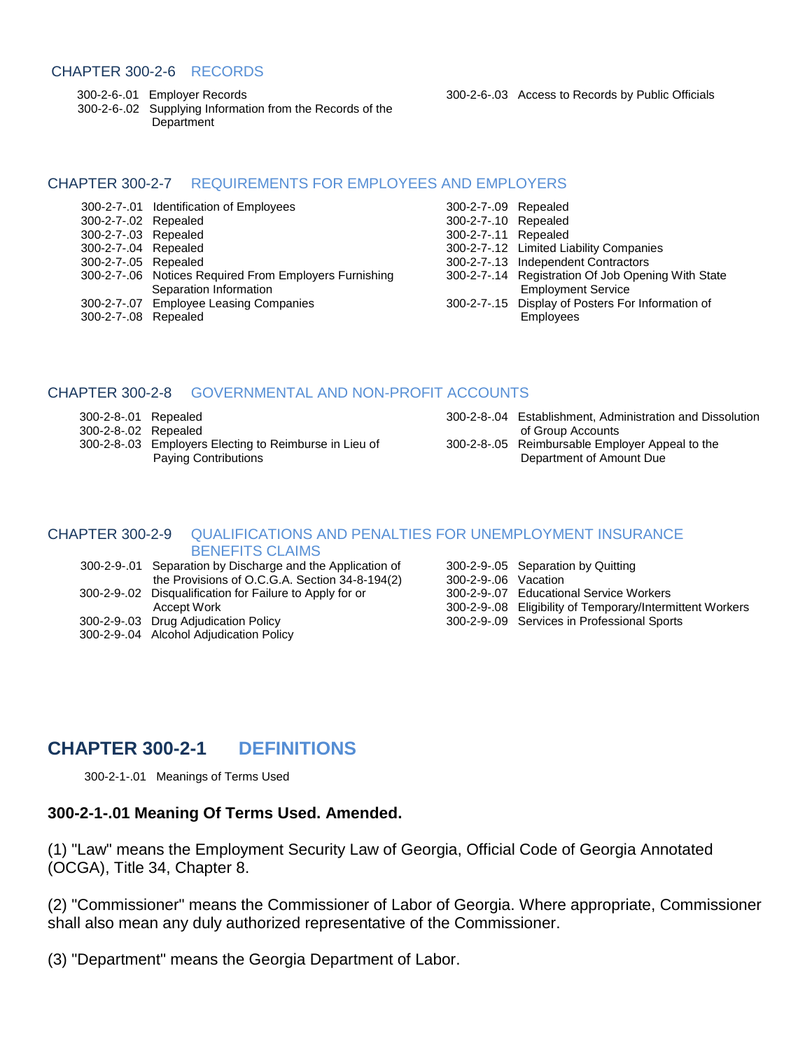#### CHAPTER 300-2-6 RECORDS

 300-2-6-.02 Supplying Information from the Records of the **Department** 

300-2-6-.01 Employer Records 300-2-6-.03 Access to Records by Public Officials

#### CHAPTER 300-2-7 REQUIREMENTS FOR EMPLOYEES AND EMPLOYERS

| 300-2-7-.02 Repealed | 300-2-7-.01 Identification of Employees                | 300-2-7-09 Repealed<br>300-2-7-.10 Repealed |                                                    |
|----------------------|--------------------------------------------------------|---------------------------------------------|----------------------------------------------------|
| 300-2-7-.03 Repealed |                                                        | 300-2-7-.11 Repealed                        |                                                    |
| 300-2-7-.04 Repealed |                                                        |                                             | 300-2-7-.12 Limited Liability Companies            |
| 300-2-7-.05 Repealed |                                                        |                                             | 300-2-7-.13 Independent Contractors                |
|                      | 300-2-7-.06 Notices Required From Employers Furnishing |                                             | 300-2-7-.14 Registration Of Job Opening With State |
|                      | Separation Information                                 |                                             | <b>Employment Service</b>                          |
|                      | 300-2-7-.07 Employee Leasing Companies                 |                                             | 300-2-7-.15 Display of Posters For Information of  |
| 300-2-7-.08 Repealed |                                                        |                                             | <b>Employees</b>                                   |

| 300-2-7-.09 Repealed |                                                    |
|----------------------|----------------------------------------------------|
| 300-2-7-.10 Repealed |                                                    |
| 300-2-7-.11 Repealed |                                                    |
|                      | 300-2-7-.12 Limited Liability Companies            |
|                      | 300-2-7-.13 Independent Contractors                |
|                      | 300-2-7-.14 Registration Of Job Opening With State |
|                      | <b>Employment Service</b>                          |
|                      | 300-2-7-.15 Display of Posters For Information of  |
|                      | $F$ mployano                                       |

#### CHAPTER 300-2-8 GOVERNMENTAL AND NON-PROFIT ACCOUNTS

300-2-8-.03 Employers Electing to Reimburse in Lieu of 300-2-8-.03 Paying Contributions **Department of Amount Due** 

| 300-2-8-.01 Repealed |                                                        | 300-2-8-.04 Establishment, Administration and Dissolution |
|----------------------|--------------------------------------------------------|-----------------------------------------------------------|
| 300-2-8-.02 Repealed |                                                        | of Group Accounts                                         |
|                      | 300-2-8-.03 Employers Electing to Reimburse in Lieu of | 300-2-8-.05 Reimbursable Employer Appeal to the           |

#### CHAPTER 300-2-9 QUALIFICATIONS AND PENALTIES FOR UNEMPLOYMENT INSURANCE BENEFITS CLAIMS

|  | 300-2-9-01 Separation by Discharge and the Application of |                     | 300-2-9-.05 Separation by Quitting                        |
|--|-----------------------------------------------------------|---------------------|-----------------------------------------------------------|
|  | the Provisions of O.C.G.A. Section 34-8-194(2)            | 300-2-9-06 Vacation |                                                           |
|  | 300-2-9-.02 Disqualification for Failure to Apply for or  |                     | 300-2-9-.07 Educational Service Workers                   |
|  | Accept Work                                               |                     | 300-2-9-.08 Eligibility of Temporary/Intermittent Workers |
|  | 300-2-9-.03 Drug Adjudication Policy                      |                     | 300-2-9-.09 Services in Professional Sports               |
|  | 300-2-9-.04 Alcohol Adjudication Policy                   |                     |                                                           |

# **CHAPTER 300-2-1 DEFINITIONS**

300-2-1-.01 Meanings of Terms Used

#### **300-2-1-.01 Meaning Of Terms Used. Amended.**

(1) "Law" means the Employment Security Law of Georgia, Official Code of Georgia Annotated (OCGA), Title 34, Chapter 8.

(2) "Commissioner" means the Commissioner of Labor of Georgia. Where appropriate, Commissioner shall also mean any duly authorized representative of the Commissioner.

(3) "Department" means the Georgia Department of Labor.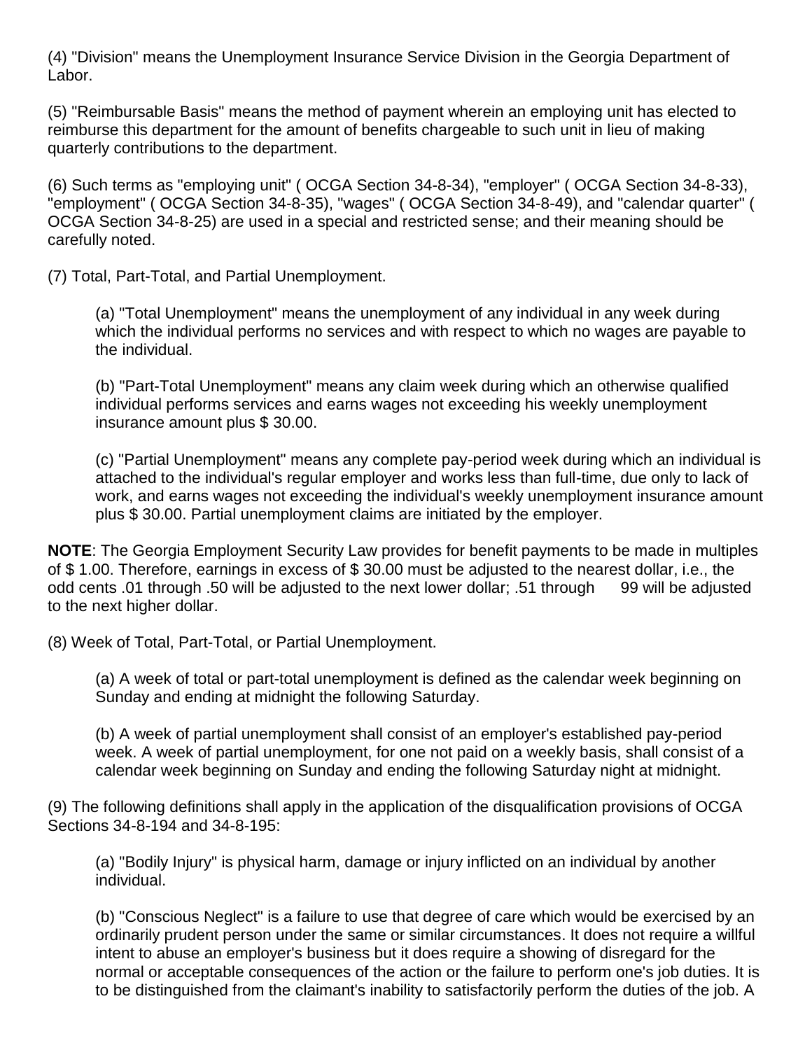(4) "Division" means the Unemployment Insurance Service Division in the Georgia Department of Labor.

(5) "Reimbursable Basis" means the method of payment wherein an employing unit has elected to reimburse this department for the amount of benefits chargeable to such unit in lieu of making quarterly contributions to the department.

(6) Such terms as "employing unit" ( OCGA Section 34-8-34), "employer" ( [OCGA Section 34-8-33\)](https://www.lexis.com/research/buttonTFLink?_m=f32da3b29f267170ddeae8d15d54a8f1&_xfercite=%3ccite%20cc%3d%22USA%22%3e%3c%21%5bCDATA%5bGa.%20Comp.%20R.%20%26%20Regs.%20r.%20300-2-1-.01%5d%5d%3e%3c%2fcite%3e&_butType=4&_butStat=0&_butNum=2&_butInline=1&_butinfo=GACODE%2034-8-33&_fmtstr=FULL&docnum=3&_startdoc=1&wchp=dGLbVzk-zSkAl&_md5=3ee2dc2dc103224fd17ff3e49427bfce), "employment" ( [OCGA Section 34-8-35\)](https://www.lexis.com/research/buttonTFLink?_m=f32da3b29f267170ddeae8d15d54a8f1&_xfercite=%3ccite%20cc%3d%22USA%22%3e%3c%21%5bCDATA%5bGa.%20Comp.%20R.%20%26%20Regs.%20r.%20300-2-1-.01%5d%5d%3e%3c%2fcite%3e&_butType=4&_butStat=0&_butNum=3&_butInline=1&_butinfo=GACODE%2034-8-35&_fmtstr=FULL&docnum=3&_startdoc=1&wchp=dGLbVzk-zSkAl&_md5=b637bad55d3bfdc2b2cbf94ea88e8851), "wages" ( OCGA Section 34-8-49), and "calendar quarter" ( OCGA Section 34-8-25) are used in a special and restricted sense; and their meaning should be carefully noted.

(7) Total, Part-Total, and Partial Unemployment.

 (a) "Total Unemployment" means the unemployment of any individual in any week during which the individual performs no services and with respect to which no wages are payable to the individual.

 (b) "Part-Total Unemployment" means any claim week during which an otherwise qualified individual performs services and earns wages not exceeding his weekly unemployment insurance amount plus \$ 30.00.

 (c) "Partial Unemployment" means any complete pay-period week during which an individual is attached to the individual's regular employer and works less than full-time, due only to lack of work, and earns wages not exceeding the individual's weekly unemployment insurance amount plus \$ 30.00. Partial unemployment claims are initiated by the employer.

**NOTE**: The Georgia Employment Security Law provides for benefit payments to be made in multiples of \$ 1.00. Therefore, earnings in excess of \$ 30.00 must be adjusted to the nearest dollar, i.e., the odd cents .01 through .50 will be adjusted to the next lower dollar; .51 through 99 will be adjusted to the next higher dollar.

(8) Week of Total, Part-Total, or Partial Unemployment.

 (a) A week of total or part-total unemployment is defined as the calendar week beginning on Sunday and ending at midnight the following Saturday.

 (b) A week of partial unemployment shall consist of an employer's established pay-period week. A week of partial unemployment, for one not paid on a weekly basis, shall consist of a calendar week beginning on Sunday and ending the following Saturday night at midnight.

(9) The following definitions shall apply in the application of the disqualification provisions of OCGA Sections 34-8-194 and 34-8-195:

 (a) "Bodily Injury" is physical harm, damage or injury inflicted on an individual by another individual.

 (b) "Conscious Neglect" is a failure to use that degree of care which would be exercised by an ordinarily prudent person under the same or similar circumstances. It does not require a willful intent to abuse an employer's business but it does require a showing of disregard for the normal or acceptable consequences of the action or the failure to perform one's job duties. It is to be distinguished from the claimant's inability to satisfactorily perform the duties of the job. A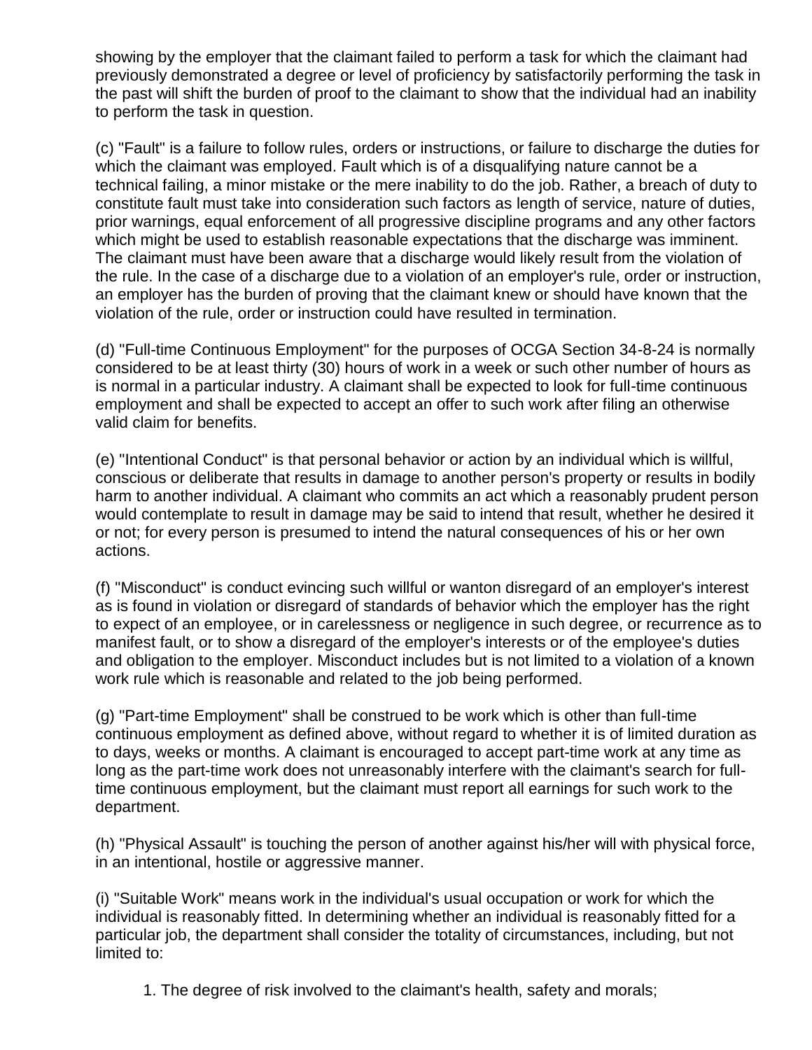showing by the employer that the claimant failed to perform a task for which the claimant had previously demonstrated a degree or level of proficiency by satisfactorily performing the task in the past will shift the burden of proof to the claimant to show that the individual had an inability to perform the task in question.

 (c) "Fault" is a failure to follow rules, orders or instructions, or failure to discharge the duties for which the claimant was employed. Fault which is of a disqualifying nature cannot be a technical failing, a minor mistake or the mere inability to do the job. Rather, a breach of duty to constitute fault must take into consideration such factors as length of service, nature of duties, prior warnings, equal enforcement of all progressive discipline programs and any other factors which might be used to establish reasonable expectations that the discharge was imminent. The claimant must have been aware that a discharge would likely result from the violation of the rule. In the case of a discharge due to a violation of an employer's rule, order or instruction, an employer has the burden of proving that the claimant knew or should have known that the violation of the rule, order or instruction could have resulted in termination.

 (d) "Full-time Continuous Employment" for the purposes of OCGA Section 34-8-24 is normally considered to be at least thirty (30) hours of work in a week or such other number of hours as is normal in a particular industry. A claimant shall be expected to look for full-time continuous employment and shall be expected to accept an offer to such work after filing an otherwise valid claim for benefits.

 (e) "Intentional Conduct" is that personal behavior or action by an individual which is willful, conscious or deliberate that results in damage to another person's property or results in bodily harm to another individual. A claimant who commits an act which a reasonably prudent person would contemplate to result in damage may be said to intend that result, whether he desired it or not; for every person is presumed to intend the natural consequences of his or her own actions.

 (f) "Misconduct" is conduct evincing such willful or wanton disregard of an employer's interest as is found in violation or disregard of standards of behavior which the employer has the right to expect of an employee, or in carelessness or negligence in such degree, or recurrence as to manifest fault, or to show a disregard of the employer's interests or of the employee's duties and obligation to the employer. Misconduct includes but is not limited to a violation of a known work rule which is reasonable and related to the job being performed.

 (g) "Part-time Employment" shall be construed to be work which is other than full-time continuous employment as defined above, without regard to whether it is of limited duration as to days, weeks or months. A claimant is encouraged to accept part-time work at any time as long as the part-time work does not unreasonably interfere with the claimant's search for fulltime continuous employment, but the claimant must report all earnings for such work to the department.

 (h) "Physical Assault" is touching the person of another against his/her will with physical force, in an intentional, hostile or aggressive manner.

 (i) "Suitable Work" means work in the individual's usual occupation or work for which the individual is reasonably fitted. In determining whether an individual is reasonably fitted for a particular job, the department shall consider the totality of circumstances, including, but not limited to:

1. The degree of risk involved to the claimant's health, safety and morals;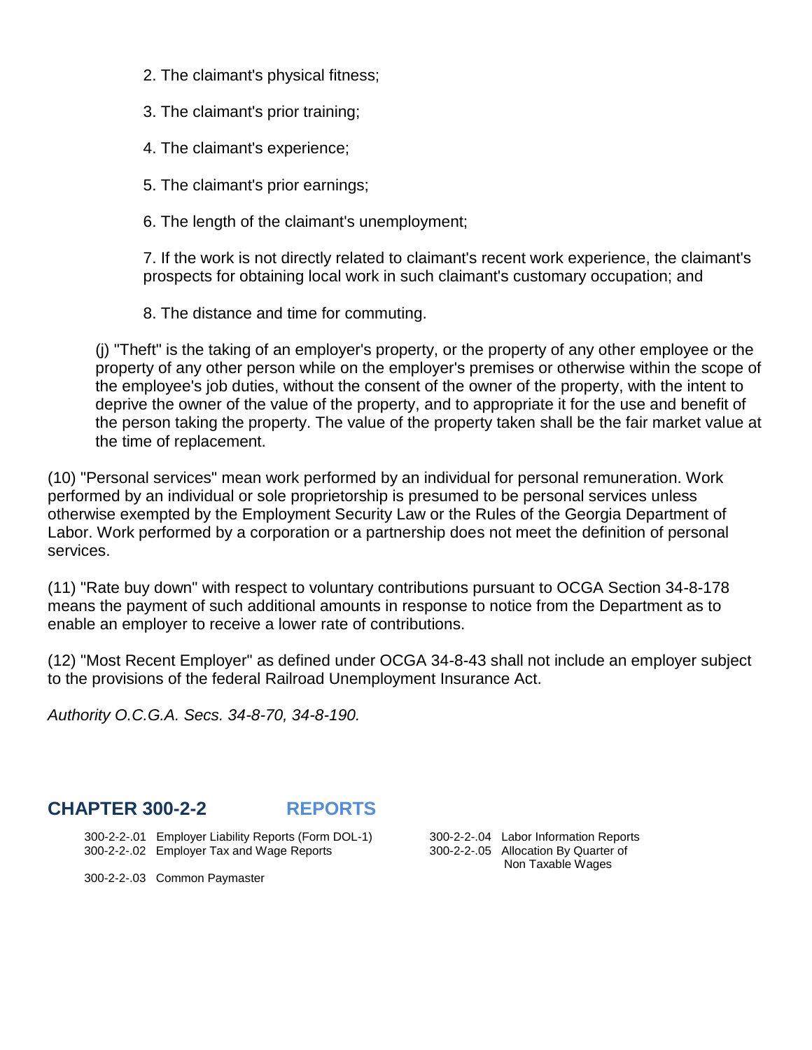- 2. The claimant's physical fitness;
- 3. The claimant's prior training;
- 4. The claimant's experience;
- 5. The claimant's prior earnings;
- 6. The length of the claimant's unemployment;

7. If the work is not directly related to claimant's recent work experience, the claimant's prospects for obtaining local work in such claimant's customary occupation; and

8. The distance and time for commuting.

(j) "Theft" is the taking of an employer's property, or the property of any other employee or the property of any other person while on the employer's premises or otherwise within the scope of the employee's job duties, without the consent of the owner of the property, with the intent to deprive the owner of the value of the property, and to appropriate it for the use and benefit of the person taking the property. The value of the property taken shall be the fair market value at the time of replacement.

(10) "Personal services" mean work performed by an individual for personal remuneration. Work performed by an individual or sole proprietorship is presumed to be personal services unless otherwise exempted by the Employment Security Law or the Rules of the Georgia Department of Labor. Work performed by a corporation or a partnership does not meet the definition of personal services.

(11) "Rate buy down" with respect to voluntary contributions pursuant to OCGA Section 34-8-178 means the payment of such additional amounts in response to notice from the Department as to enable an employer to receive a lower rate of contributions.

(12) "Most Recent Employer" as defined under OCGA 34-8-43 shall not include an employer subject to the provisions of the federal Railroad Unemployment Insurance Act.

*Authority O.C.G.A. Secs. 34-8-70, 34-8-190.*

# **CHAPTER 300-2-2 REPORTS**

 300-2-2-.01 Employer Liability Reports (Form DOL-1) 300-2-2-.04 Labor Information Reports 300-2-2-.02 Employer Tax and Wage Reports 300-2-2-.05 Allocation By Quarter of

Non Taxable Wages

300-2-2-.03 Common Paymaster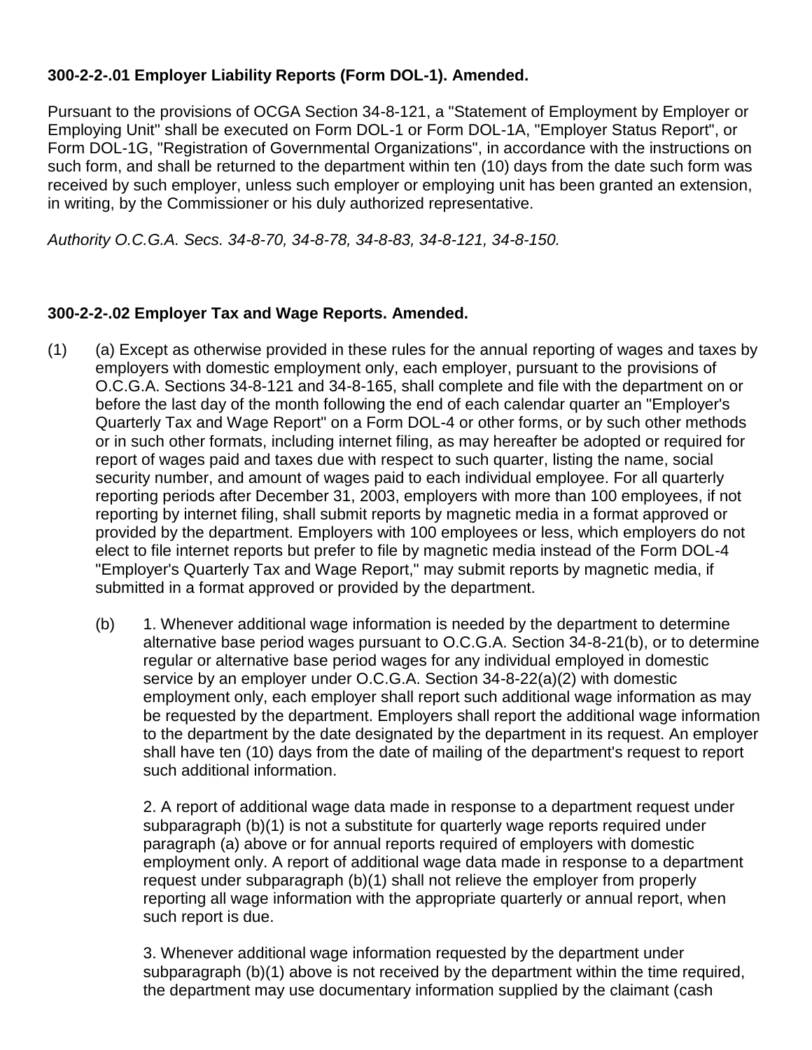# **300-2-2-.01 Employer Liability Reports (Form DOL-1). Amended.**

Pursuant to the provisions of OCGA Section 34-8-121, a "Statement of Employment by Employer or Employing Unit" shall be executed on Form DOL-1 or Form DOL-1A, "Employer Status Report", or Form DOL-1G, "Registration of Governmental Organizations", in accordance with the instructions on such form, and shall be returned to the department within ten (10) days from the date such form was received by such employer, unless such employer or employing unit has been granted an extension, in writing, by the Commissioner or his duly authorized representative.

*Authority O.C.G.A. Secs. 34-8-70, 34-8-78, 34-8-83, 34-8-121, 34-8-150.*

#### **300-2-2-.02 Employer Tax and Wage Reports. Amended.**

- (1) (a) Except as otherwise provided in these rules for the annual reporting of wages and taxes by employers with domestic employment only, each employer, pursuant to the provisions of O.C.G.A. Sections 34-8-121 and 34-8-165, shall complete and file with the department on or before the last day of the month following the end of each calendar quarter an "Employer's Quarterly Tax and Wage Report" on a Form DOL-4 or other forms, or by such other methods or in such other formats, including internet filing, as may hereafter be adopted or required for report of wages paid and taxes due with respect to such quarter, listing the name, social security number, and amount of wages paid to each individual employee. For all quarterly reporting periods after December 31, 2003, employers with more than 100 employees, if not reporting by internet filing, shall submit reports by magnetic media in a format approved or provided by the department. Employers with 100 employees or less, which employers do not elect to file internet reports but prefer to file by magnetic media instead of the Form DOL-4 "Employer's Quarterly Tax and Wage Report," may submit reports by magnetic media, if submitted in a format approved or provided by the department.
	- (b) 1. Whenever additional wage information is needed by the department to determine alternative base period wages pursuant to O.C.G.A. Section 34-8-21(b), or to determine regular or alternative base period wages for any individual employed in domestic service by an employer under O.C.G.A. Section 34-8-22(a)(2) with domestic employment only, each employer shall report such additional wage information as may be requested by the department. Employers shall report the additional wage information to the department by the date designated by the department in its request. An employer shall have ten (10) days from the date of mailing of the department's request to report such additional information.

2. A report of additional wage data made in response to a department request under subparagraph (b)(1) is not a substitute for quarterly wage reports required under paragraph (a) above or for annual reports required of employers with domestic employment only. A report of additional wage data made in response to a department request under subparagraph (b)(1) shall not relieve the employer from properly reporting all wage information with the appropriate quarterly or annual report, when such report is due.

3. Whenever additional wage information requested by the department under subparagraph (b)(1) above is not received by the department within the time required, the department may use documentary information supplied by the claimant (cash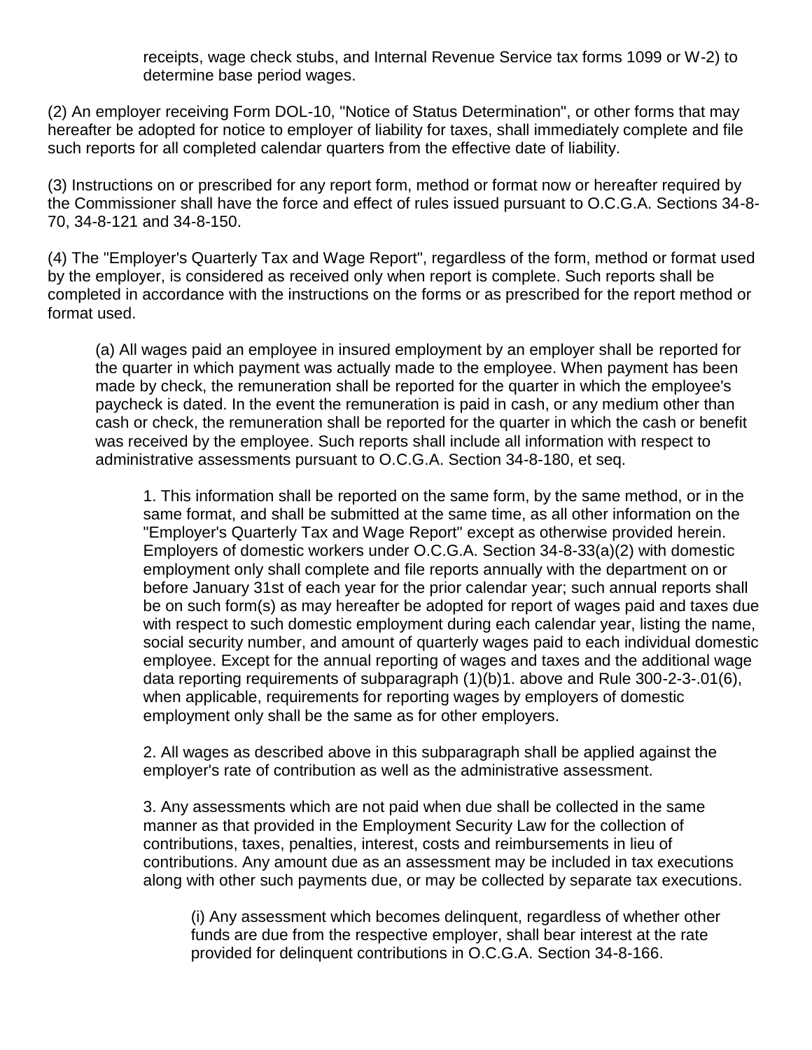receipts, wage check stubs, and Internal Revenue Service tax forms 1099 or W-2) to determine base period wages.

(2) An employer receiving Form DOL-10, "Notice of Status Determination", or other forms that may hereafter be adopted for notice to employer of liability for taxes, shall immediately complete and file such reports for all completed calendar quarters from the effective date of liability.

(3) Instructions on or prescribed for any report form, method or format now or hereafter required by the Commissioner shall have the force and effect of rules issued pursuant to O.C.G.A. Sections 34-8- 70, 34-8-121 and 34-8-150.

(4) The "Employer's Quarterly Tax and Wage Report", regardless of the form, method or format used by the employer, is considered as received only when report is complete. Such reports shall be completed in accordance with the instructions on the forms or as prescribed for the report method or format used.

 (a) All wages paid an employee in insured employment by an employer shall be reported for the quarter in which payment was actually made to the employee. When payment has been made by check, the remuneration shall be reported for the quarter in which the employee's paycheck is dated. In the event the remuneration is paid in cash, or any medium other than cash or check, the remuneration shall be reported for the quarter in which the cash or benefit was received by the employee. Such reports shall include all information with respect to administrative assessments pursuant to O.C.G.A. Section 34-8-180, et seq.

 1. This information shall be reported on the same form, by the same method, or in the same format, and shall be submitted at the same time, as all other information on the "Employer's Quarterly Tax and Wage Report" except as otherwise provided herein. Employers of domestic workers under O.C.G.A. Section 34-8-33(a)(2) with domestic employment only shall complete and file reports annually with the department on or before January 31st of each year for the prior calendar year; such annual reports shall be on such form(s) as may hereafter be adopted for report of wages paid and taxes due with respect to such domestic employment during each calendar year, listing the name, social security number, and amount of quarterly wages paid to each individual domestic employee. Except for the annual reporting of wages and taxes and the additional wage data reporting requirements of subparagraph (1)(b)1. above and Rule 300-2-3-.01(6), when applicable, requirements for reporting wages by employers of domestic employment only shall be the same as for other employers.

 2. All wages as described above in this subparagraph shall be applied against the employer's rate of contribution as well as the administrative assessment.

3. Any assessments which are not paid when due shall be collected in the same manner as that provided in the Employment Security Law for the collection of contributions, taxes, penalties, interest, costs and reimbursements in lieu of contributions. Any amount due as an assessment may be included in tax executions along with other such payments due, or may be collected by separate tax executions.

(i) Any assessment which becomes delinquent, regardless of whether other funds are due from the respective employer, shall bear interest at the rate provided for delinquent contributions in O.C.G.A. Section 34-8-166.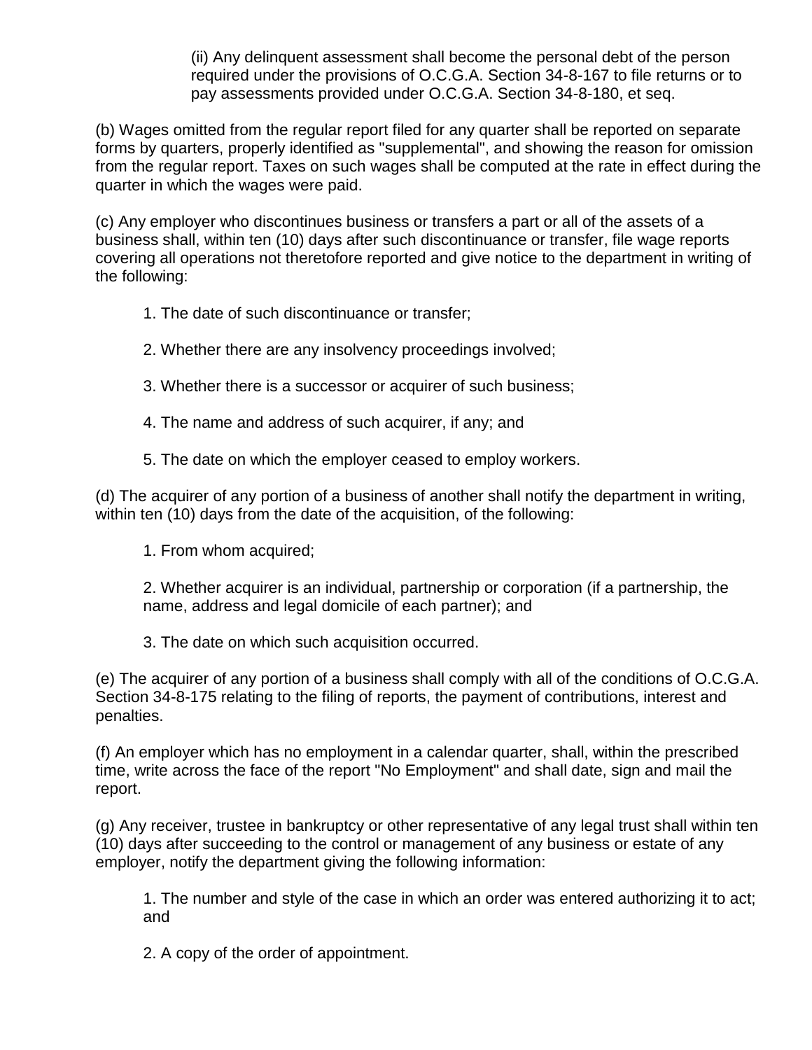(ii) Any delinquent assessment shall become the personal debt of the person required under the provisions of O.C.G.A. Section 34-8-167 to file returns or to pay assessments provided under O.C.G.A. Section 34-8-180, et seq.

(b) Wages omitted from the regular report filed for any quarter shall be reported on separate forms by quarters, properly identified as "supplemental", and showing the reason for omission from the regular report. Taxes on such wages shall be computed at the rate in effect during the quarter in which the wages were paid.

(c) Any employer who discontinues business or transfers a part or all of the assets of a business shall, within ten (10) days after such discontinuance or transfer, file wage reports covering all operations not theretofore reported and give notice to the department in writing of the following:

- 1. The date of such discontinuance or transfer;
- 2. Whether there are any insolvency proceedings involved;
- 3. Whether there is a successor or acquirer of such business;
- 4. The name and address of such acquirer, if any; and
- 5. The date on which the employer ceased to employ workers.

(d) The acquirer of any portion of a business of another shall notify the department in writing, within ten (10) days from the date of the acquisition, of the following:

1. From whom acquired;

2. Whether acquirer is an individual, partnership or corporation (if a partnership, the name, address and legal domicile of each partner); and

3. The date on which such acquisition occurred.

(e) The acquirer of any portion of a business shall comply with all of the conditions of O.C.G.A. Section 34-8-175 relating to the filing of reports, the payment of contributions, interest and penalties.

(f) An employer which has no employment in a calendar quarter, shall, within the prescribed time, write across the face of the report "No Employment" and shall date, sign and mail the report.

(g) Any receiver, trustee in bankruptcy or other representative of any legal trust shall within ten (10) days after succeeding to the control or management of any business or estate of any employer, notify the department giving the following information:

1. The number and style of the case in which an order was entered authorizing it to act; and

2. A copy of the order of appointment.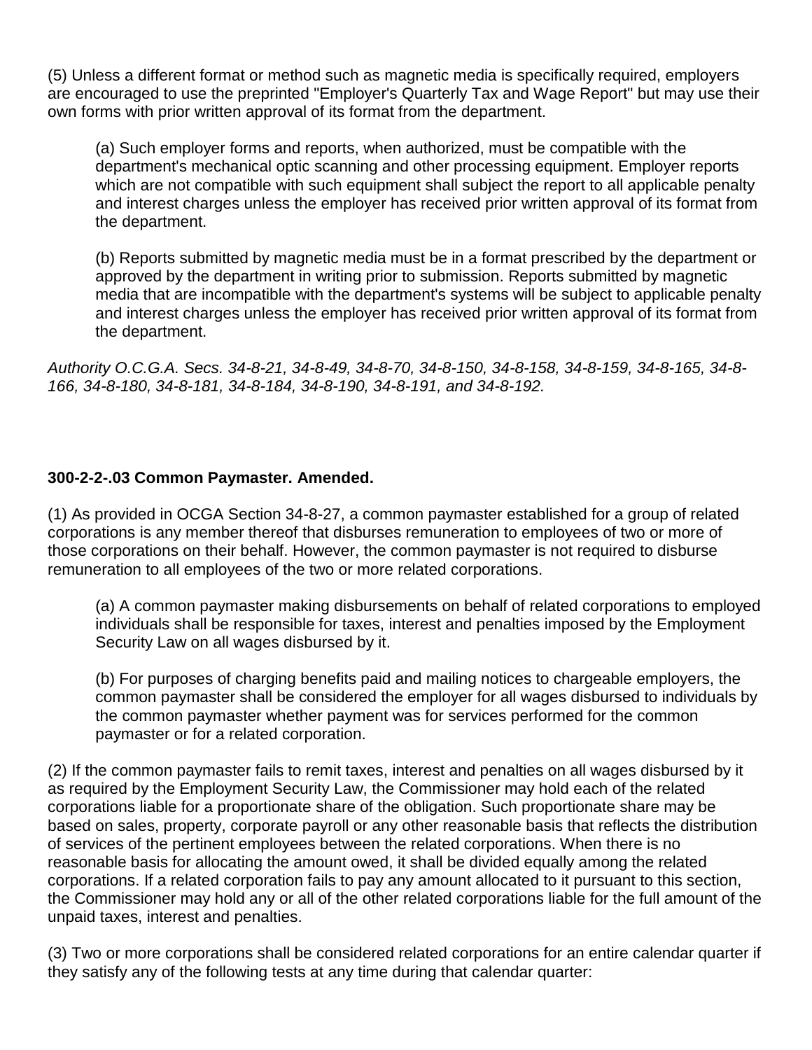(5) Unless a different format or method such as magnetic media is specifically required, employers are encouraged to use the preprinted "Employer's Quarterly Tax and Wage Report" but may use their own forms with prior written approval of its format from the department.

(a) Such employer forms and reports, when authorized, must be compatible with the department's mechanical optic scanning and other processing equipment. Employer reports which are not compatible with such equipment shall subject the report to all applicable penalty and interest charges unless the employer has received prior written approval of its format from the department.

(b) Reports submitted by magnetic media must be in a format prescribed by the department or approved by the department in writing prior to submission. Reports submitted by magnetic media that are incompatible with the department's systems will be subject to applicable penalty and interest charges unless the employer has received prior written approval of its format from the department.

*Authority O.C.G.A. Secs. 34-8-21, 34-8-49, 34-8-70, 34-8-150, 34-8-158, 34-8-159, 34-8-165, 34-8- 166, 34-8-180, 34-8-181, 34-8-184, 34-8-190, 34-8-191, and 34-8-192.*

## **300-2-2-.03 Common Paymaster. Amended.**

(1) As provided in OCGA Section 34-8-27, a common paymaster established for a group of related corporations is any member thereof that disburses remuneration to employees of two or more of those corporations on their behalf. However, the common paymaster is not required to disburse remuneration to all employees of the two or more related corporations.

(a) A common paymaster making disbursements on behalf of related corporations to employed individuals shall be responsible for taxes, interest and penalties imposed by the Employment Security Law on all wages disbursed by it.

(b) For purposes of charging benefits paid and mailing notices to chargeable employers, the common paymaster shall be considered the employer for all wages disbursed to individuals by the common paymaster whether payment was for services performed for the common paymaster or for a related corporation.

(2) If the common paymaster fails to remit taxes, interest and penalties on all wages disbursed by it as required by the Employment Security Law, the Commissioner may hold each of the related corporations liable for a proportionate share of the obligation. Such proportionate share may be based on sales, property, corporate payroll or any other reasonable basis that reflects the distribution of services of the pertinent employees between the related corporations. When there is no reasonable basis for allocating the amount owed, it shall be divided equally among the related corporations. If a related corporation fails to pay any amount allocated to it pursuant to this section, the Commissioner may hold any or all of the other related corporations liable for the full amount of the unpaid taxes, interest and penalties.

(3) Two or more corporations shall be considered related corporations for an entire calendar quarter if they satisfy any of the following tests at any time during that calendar quarter: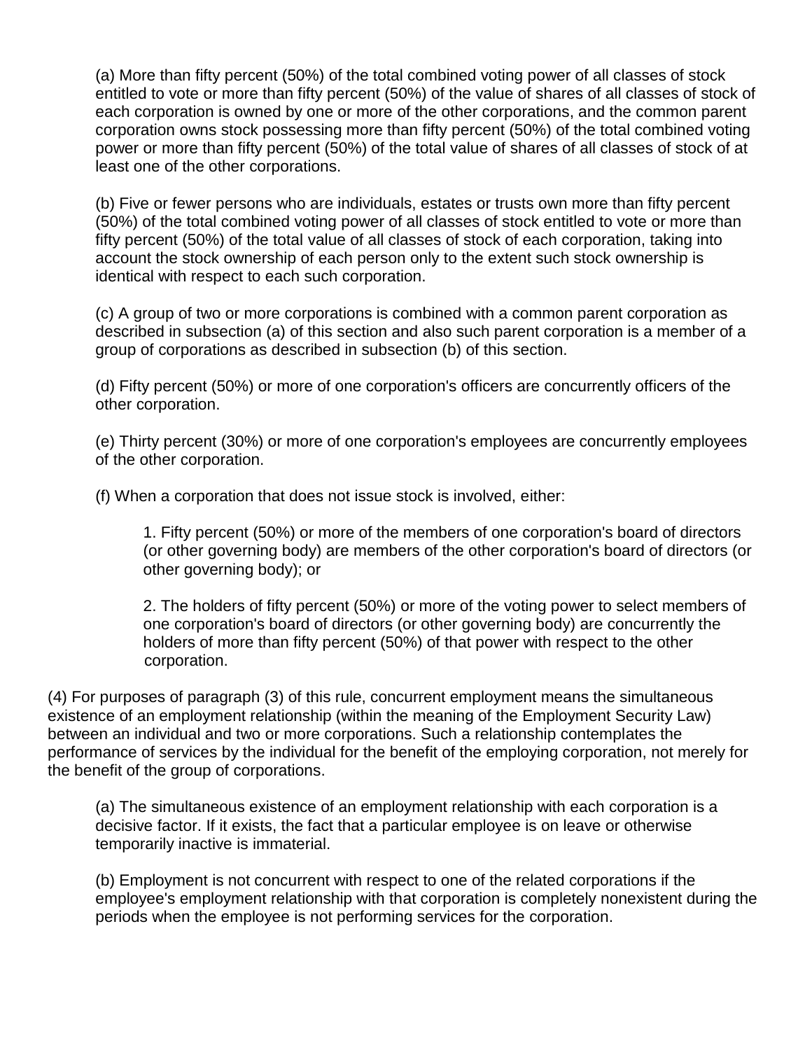(a) More than fifty percent (50%) of the total combined voting power of all classes of stock entitled to vote or more than fifty percent (50%) of the value of shares of all classes of stock of each corporation is owned by one or more of the other corporations, and the common parent corporation owns stock possessing more than fifty percent (50%) of the total combined voting power or more than fifty percent (50%) of the total value of shares of all classes of stock of at least one of the other corporations.

(b) Five or fewer persons who are individuals, estates or trusts own more than fifty percent (50%) of the total combined voting power of all classes of stock entitled to vote or more than fifty percent (50%) of the total value of all classes of stock of each corporation, taking into account the stock ownership of each person only to the extent such stock ownership is identical with respect to each such corporation.

(c) A group of two or more corporations is combined with a common parent corporation as described in subsection (a) of this section and also such parent corporation is a member of a group of corporations as described in subsection (b) of this section.

(d) Fifty percent (50%) or more of one corporation's officers are concurrently officers of the other corporation.

(e) Thirty percent (30%) or more of one corporation's employees are concurrently employees of the other corporation.

(f) When a corporation that does not issue stock is involved, either:

1. Fifty percent (50%) or more of the members of one corporation's board of directors (or other governing body) are members of the other corporation's board of directors (or other governing body); or

2. The holders of fifty percent (50%) or more of the voting power to select members of one corporation's board of directors (or other governing body) are concurrently the holders of more than fifty percent (50%) of that power with respect to the other corporation.

(4) For purposes of paragraph (3) of this rule, concurrent employment means the simultaneous existence of an employment relationship (within the meaning of the Employment Security Law) between an individual and two or more corporations. Such a relationship contemplates the performance of services by the individual for the benefit of the employing corporation, not merely for the benefit of the group of corporations.

(a) The simultaneous existence of an employment relationship with each corporation is a decisive factor. If it exists, the fact that a particular employee is on leave or otherwise temporarily inactive is immaterial.

(b) Employment is not concurrent with respect to one of the related corporations if the employee's employment relationship with that corporation is completely nonexistent during the periods when the employee is not performing services for the corporation.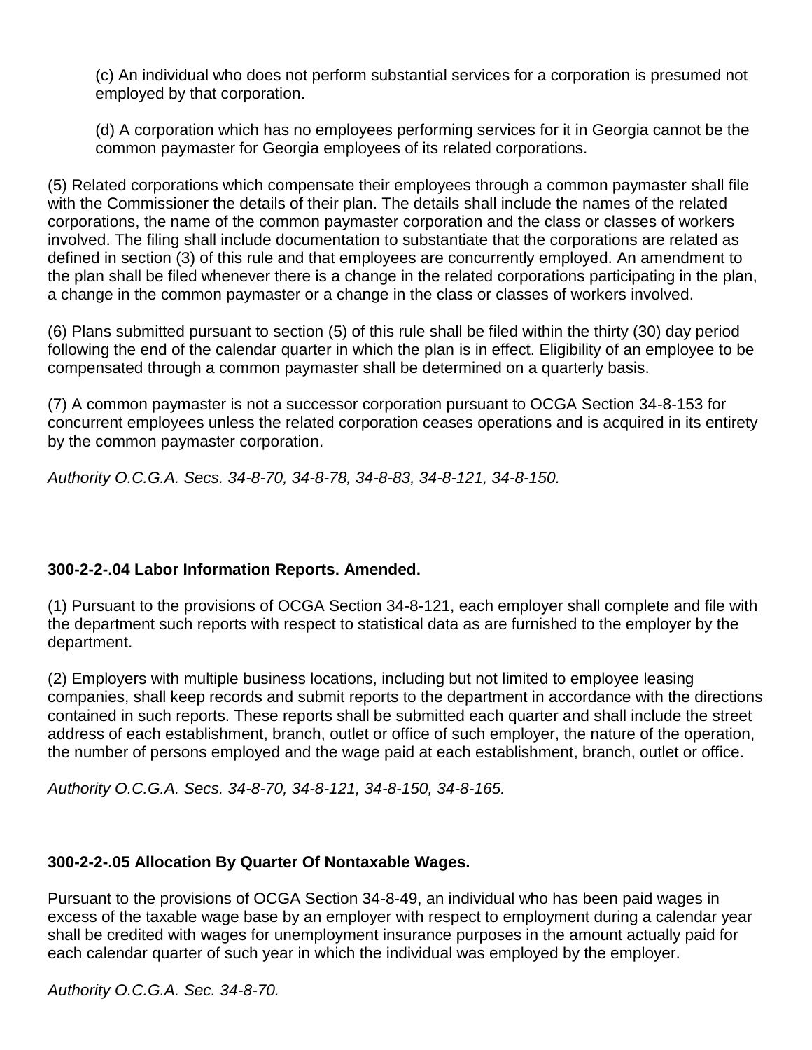(c) An individual who does not perform substantial services for a corporation is presumed not employed by that corporation.

(d) A corporation which has no employees performing services for it in Georgia cannot be the common paymaster for Georgia employees of its related corporations.

(5) Related corporations which compensate their employees through a common paymaster shall file with the Commissioner the details of their plan. The details shall include the names of the related corporations, the name of the common paymaster corporation and the class or classes of workers involved. The filing shall include documentation to substantiate that the corporations are related as defined in section (3) of this rule and that employees are concurrently employed. An amendment to the plan shall be filed whenever there is a change in the related corporations participating in the plan, a change in the common paymaster or a change in the class or classes of workers involved.

(6) Plans submitted pursuant to section (5) of this rule shall be filed within the thirty (30) day period following the end of the calendar quarter in which the plan is in effect. Eligibility of an employee to be compensated through a common paymaster shall be determined on a quarterly basis.

(7) A common paymaster is not a successor corporation pursuant to OCGA Section 34-8-153 for concurrent employees unless the related corporation ceases operations and is acquired in its entirety by the common paymaster corporation.

*Authority O.C.G.A. Secs. 34-8-70, 34-8-78, 34-8-83, 34-8-121, 34-8-150.*

## **300-2-2-.04 Labor Information Reports. Amended.**

(1) Pursuant to the provisions of OCGA Section 34-8-121, each employer shall complete and file with the department such reports with respect to statistical data as are furnished to the employer by the department.

(2) Employers with multiple business locations, including but not limited to employee leasing companies, shall keep records and submit reports to the department in accordance with the directions contained in such reports. These reports shall be submitted each quarter and shall include the street address of each establishment, branch, outlet or office of such employer, the nature of the operation, the number of persons employed and the wage paid at each establishment, branch, outlet or office.

*Authority O.C.G.A. Secs. 34-8-70, 34-8-121, 34-8-150, 34-8-165.*

## **300-2-2-.05 Allocation By Quarter Of Nontaxable Wages.**

Pursuant to the provisions of OCGA Section 34-8-49, an individual who has been paid wages in excess of the taxable wage base by an employer with respect to employment during a calendar year shall be credited with wages for unemployment insurance purposes in the amount actually paid for each calendar quarter of such year in which the individual was employed by the employer.

*Authority O.C.G.A. Sec. 34-8-70.*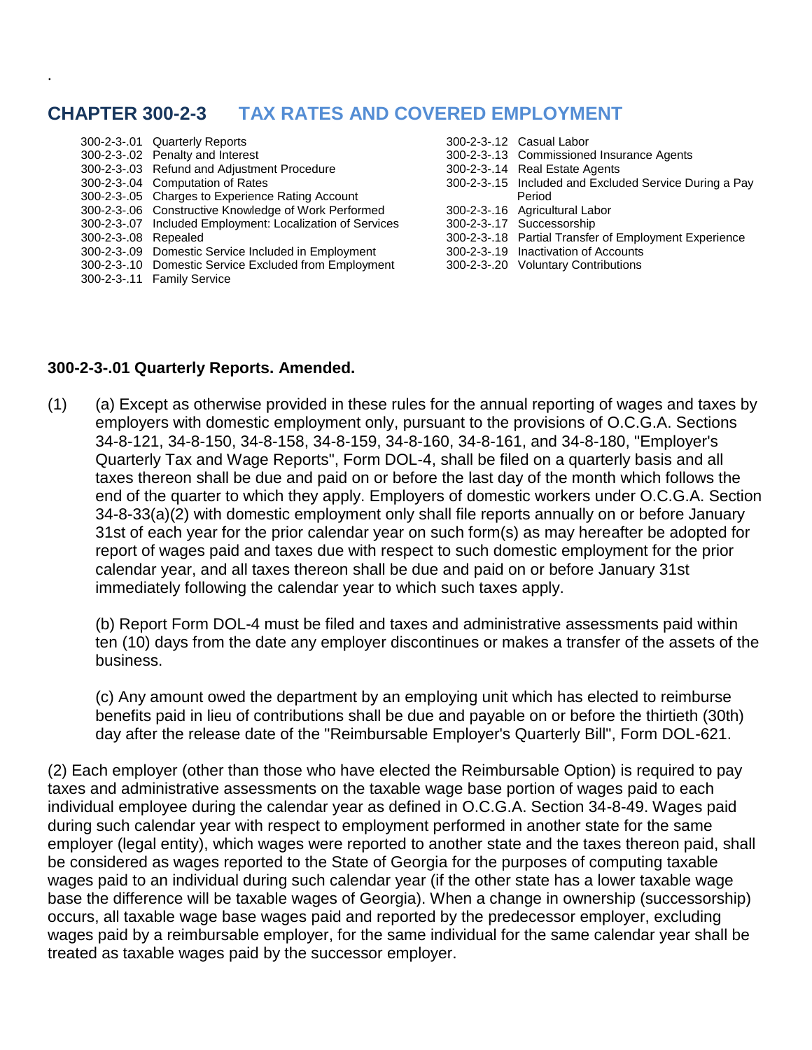# **CHAPTER 300-2-3 TAX RATES AND COVERED EMPLOYMENT**

|                      | 300-2-3-.01 Quarterly Reports                             | 300-2-3-.12 Casual Labor        |
|----------------------|-----------------------------------------------------------|---------------------------------|
|                      | 300-2-3-.02 Penalty and Interest                          | 300-2-3-.13 Commissioned In     |
|                      | 300-2-3-.03 Refund and Adjustment Procedure               | 300-2-3-.14 Real Estate Agen    |
|                      | 300-2-3-.04 Computation of Rates                          | 300-2-3-.15 Included and Excl   |
|                      | 300-2-3-.05 Charges to Experience Rating Account          | Period                          |
|                      | 300-2-3-.06 Constructive Knowledge of Work Performed      | 300-2-3-.16 Agricultural Labor  |
|                      | 300-2-3-.07 Included Employment: Localization of Services | 300-2-3-.17 Successorship       |
| 300-2-3-.08 Repealed |                                                           | 300-2-3-.18 Partial Transfer of |
|                      | 300-2-3-.09 Domestic Service Included in Employment       | 300-2-3-.19 Inactivation of Acc |
|                      | 300-2-3-.10 Domestic Service Excluded from Employment     | 300-2-3-.20 Voluntary Contrib   |
|                      | 300-2-3-.11 Family Service                                |                                 |
|                      |                                                           |                                 |

- 00-2-3-.12 Casual Labor
- 00-2-3-.13 Commissioned Insurance Agents
- 300-2-3-.14 Real Estate Agents
- $300-2-3-15$  Included and Excluded Service During a Pay
- 
- 
- 
- 00-2-3-.18 Partial Transfer of Employment Experience
- 00-2-3-.19 Inactivation of Accounts
- 00-2-3-.20 Voluntary Contributions

#### **300-2-3-.01 Quarterly Reports. Amended.**

.

(1) (a) Except as otherwise provided in these rules for the annual reporting of wages and taxes by employers with domestic employment only, pursuant to the provisions of O.C.G.A. Sections 34-8-121, 34-8-150, 34-8-158, 34-8-159, 34-8-160, 34-8-161, and 34-8-180, "Employer's Quarterly Tax and Wage Reports", Form DOL-4, shall be filed on a quarterly basis and all taxes thereon shall be due and paid on or before the last day of the month which follows the end of the quarter to which they apply. Employers of domestic workers under O.C.G.A. Section 34-8-33(a)(2) with domestic employment only shall file reports annually on or before January 31st of each year for the prior calendar year on such form(s) as may hereafter be adopted for report of wages paid and taxes due with respect to such domestic employment for the prior calendar year, and all taxes thereon shall be due and paid on or before January 31st immediately following the calendar year to which such taxes apply.

(b) Report Form DOL-4 must be filed and taxes and administrative assessments paid within ten (10) days from the date any employer discontinues or makes a transfer of the assets of the business.

(c) Any amount owed the department by an employing unit which has elected to reimburse benefits paid in lieu of contributions shall be due and payable on or before the thirtieth (30th) day after the release date of the "Reimbursable Employer's Quarterly Bill", Form DOL-621.

(2) Each employer (other than those who have elected the Reimbursable Option) is required to pay taxes and administrative assessments on the taxable wage base portion of wages paid to each individual employee during the calendar year as defined in O.C.G.A. Section 34-8-49. Wages paid during such calendar year with respect to employment performed in another state for the same employer (legal entity), which wages were reported to another state and the taxes thereon paid, shall be considered as wages reported to the State of Georgia for the purposes of computing taxable wages paid to an individual during such calendar year (if the other state has a lower taxable wage base the difference will be taxable wages of Georgia). When a change in ownership (successorship) occurs, all taxable wage base wages paid and reported by the predecessor employer, excluding wages paid by a reimbursable employer, for the same individual for the same calendar year shall be treated as taxable wages paid by the successor employer.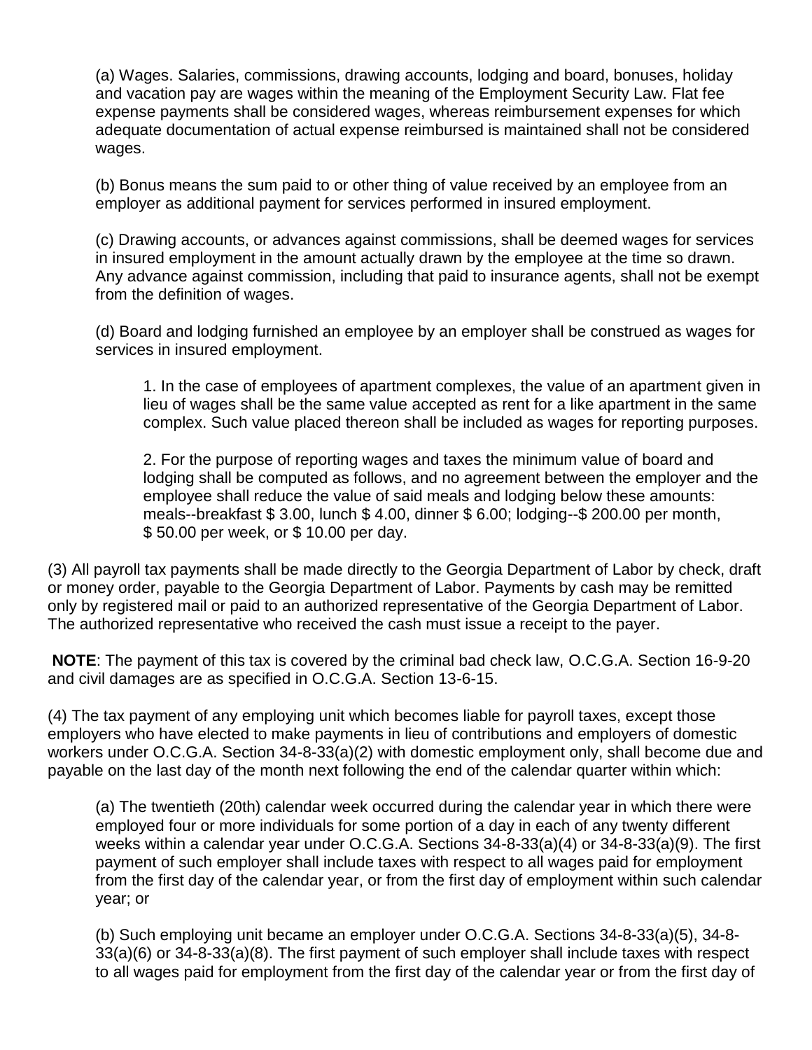(a) Wages. Salaries, commissions, drawing accounts, lodging and board, bonuses, holiday and vacation pay are wages within the meaning of the Employment Security Law. Flat fee expense payments shall be considered wages, whereas reimbursement expenses for which adequate documentation of actual expense reimbursed is maintained shall not be considered wages.

(b) Bonus means the sum paid to or other thing of value received by an employee from an employer as additional payment for services performed in insured employment.

(c) Drawing accounts, or advances against commissions, shall be deemed wages for services in insured employment in the amount actually drawn by the employee at the time so drawn. Any advance against commission, including that paid to insurance agents, shall not be exempt from the definition of wages.

(d) Board and lodging furnished an employee by an employer shall be construed as wages for services in insured employment.

1. In the case of employees of apartment complexes, the value of an apartment given in lieu of wages shall be the same value accepted as rent for a like apartment in the same complex. Such value placed thereon shall be included as wages for reporting purposes.

2. For the purpose of reporting wages and taxes the minimum value of board and lodging shall be computed as follows, and no agreement between the employer and the employee shall reduce the value of said meals and lodging below these amounts: meals--breakfast \$ 3.00, lunch \$ 4.00, dinner \$ 6.00; lodging--\$ 200.00 per month, \$ 50.00 per week, or \$ 10.00 per day.

(3) All payroll tax payments shall be made directly to the Georgia Department of Labor by check, draft or money order, payable to the Georgia Department of Labor. Payments by cash may be remitted only by registered mail or paid to an authorized representative of the Georgia Department of Labor. The authorized representative who received the cash must issue a receipt to the payer.

**NOTE**: The payment of this tax is covered by the criminal bad check law, O.C.G.A. Section 16-9-20 and civil damages are as specified in O.C.G.A. Section 13-6-15.

(4) The tax payment of any employing unit which becomes liable for payroll taxes, except those employers who have elected to make payments in lieu of contributions and employers of domestic workers under O.C.G.A. Section 34-8-33(a)(2) with domestic employment only, shall become due and payable on the last day of the month next following the end of the calendar quarter within which:

(a) The twentieth (20th) calendar week occurred during the calendar year in which there were employed four or more individuals for some portion of a day in each of any twenty different weeks within a calendar year under O.C.G.A. Sections 34-8-33(a)(4) or 34-8-33(a)(9). The first payment of such employer shall include taxes with respect to all wages paid for employment from the first day of the calendar year, or from the first day of employment within such calendar year; or

(b) Such employing unit became an employer under O.C.G.A. Sections 34-8-33(a)(5), 34-8- 33(a)(6) or 34-8-33(a)(8). The first payment of such employer shall include taxes with respect to all wages paid for employment from the first day of the calendar year or from the first day of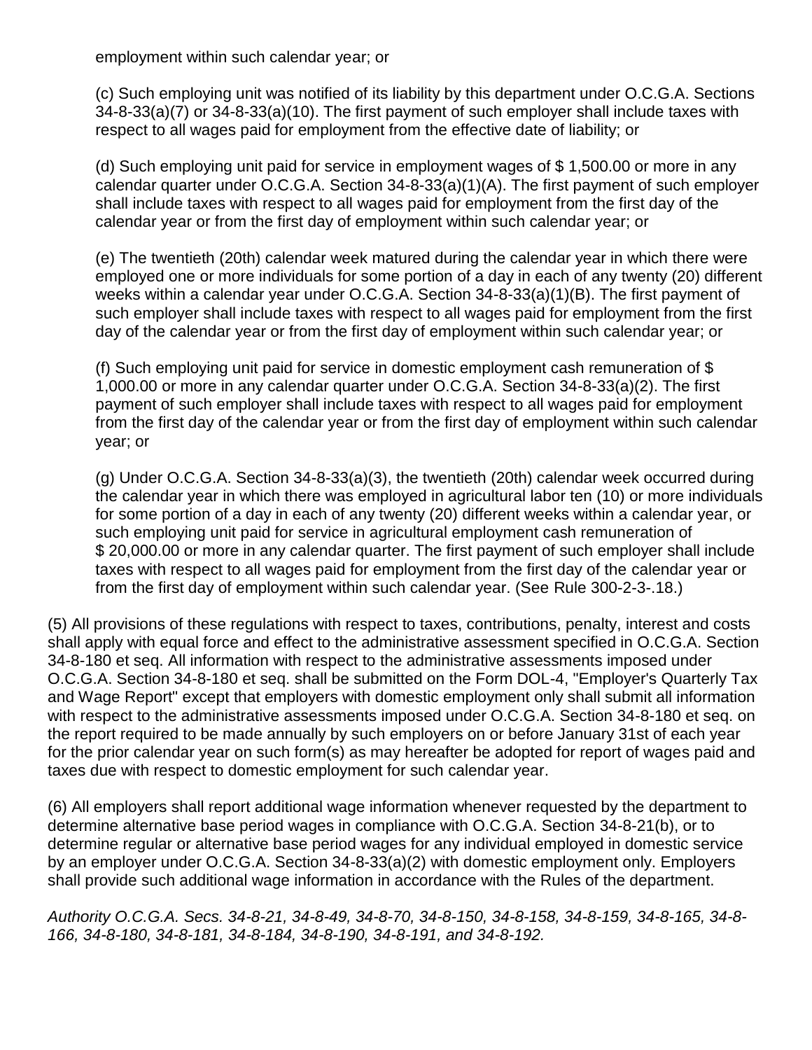employment within such calendar year; or

(c) Such employing unit was notified of its liability by this department under O.C.G.A. Sections 34-8-33(a)(7) or 34-8-33(a)(10). The first payment of such employer shall include taxes with respect to all wages paid for employment from the effective date of liability; or

(d) Such employing unit paid for service in employment wages of \$ 1,500.00 or more in any calendar quarter under O.C.G.A. Section 34-8-33(a)(1)(A). The first payment of such employer shall include taxes with respect to all wages paid for employment from the first day of the calendar year or from the first day of employment within such calendar year; or

(e) The twentieth (20th) calendar week matured during the calendar year in which there were employed one or more individuals for some portion of a day in each of any twenty (20) different weeks within a calendar year under O.C.G.A. Section 34-8-33(a)(1)(B). The first payment of such employer shall include taxes with respect to all wages paid for employment from the first day of the calendar year or from the first day of employment within such calendar year; or

(f) Such employing unit paid for service in domestic employment cash remuneration of \$ 1,000.00 or more in any calendar quarter under O.C.G.A. Section 34-8-33(a)(2). The first payment of such employer shall include taxes with respect to all wages paid for employment from the first day of the calendar year or from the first day of employment within such calendar year; or

(g) Under O.C.G.A. Section 34-8-33(a)(3), the twentieth (20th) calendar week occurred during the calendar year in which there was employed in agricultural labor ten (10) or more individuals for some portion of a day in each of any twenty (20) different weeks within a calendar year, or such employing unit paid for service in agricultural employment cash remuneration of \$ 20,000.00 or more in any calendar quarter. The first payment of such employer shall include taxes with respect to all wages paid for employment from the first day of the calendar year or from the first day of employment within such calendar year. (See [Rule 300-2-3-.18.](https://www.lexis.com/research/buttonTFLink?_m=185e9ccb5f50073556ce53e79089b699&_xfercite=%3ccite%20cc%3d%22USA%22%3e%3c%21%5bCDATA%5bGa.%20Comp.%20R.%20%26%20Regs.%20r.%20300-2-3-.01%5d%5d%3e%3c%2fcite%3e&_butType=4&_butStat=0&_butNum=24&_butInline=1&_butinfo=GA%20ADMIN%20300-2-3-.18&_fmtstr=FULL&docnum=9&_startdoc=1&wchp=dGLbVzk-zSkAl&_md5=b628d44120bcc0b6a8479405f3ae8849))

(5) All provisions of these regulations with respect to taxes, contributions, penalty, interest and costs shall apply with equal force and effect to the administrative assessment specified in O.C.G.A. Section 34-8-180 et seq. All information with respect to the administrative assessments imposed under O.C.G.A. Section 34-8-180 et seq. shall be submitted on the Form DOL-4, "Employer's Quarterly Tax and Wage Report" except that employers with domestic employment only shall submit all information with respect to the administrative assessments imposed under O.C.G.A. Section 34-8-180 et seq. on the report required to be made annually by such employers on or before January 31st of each year for the prior calendar year on such form(s) as may hereafter be adopted for report of wages paid and taxes due with respect to domestic employment for such calendar year.

(6) All employers shall report additional wage information whenever requested by the department to determine alternative base period wages in compliance with O.C.G.A. Section 34-8-21(b), or to determine regular or alternative base period wages for any individual employed in domestic service by an employer under O.C.G.A. Section 34-8-33(a)(2) with domestic employment only. Employers shall provide such additional wage information in accordance with the Rules of the department.

*Authority O.C.G.A. Secs. 34-8-21, 34-8-49, 34-8-70, 34-8-150, 34-8-158, 34-8-159, 34-8-165, 34-8- 166, 34-8-180, 34-8-181, 34-8-184, 34-8-190, 34-8-191, and 34-8-192.*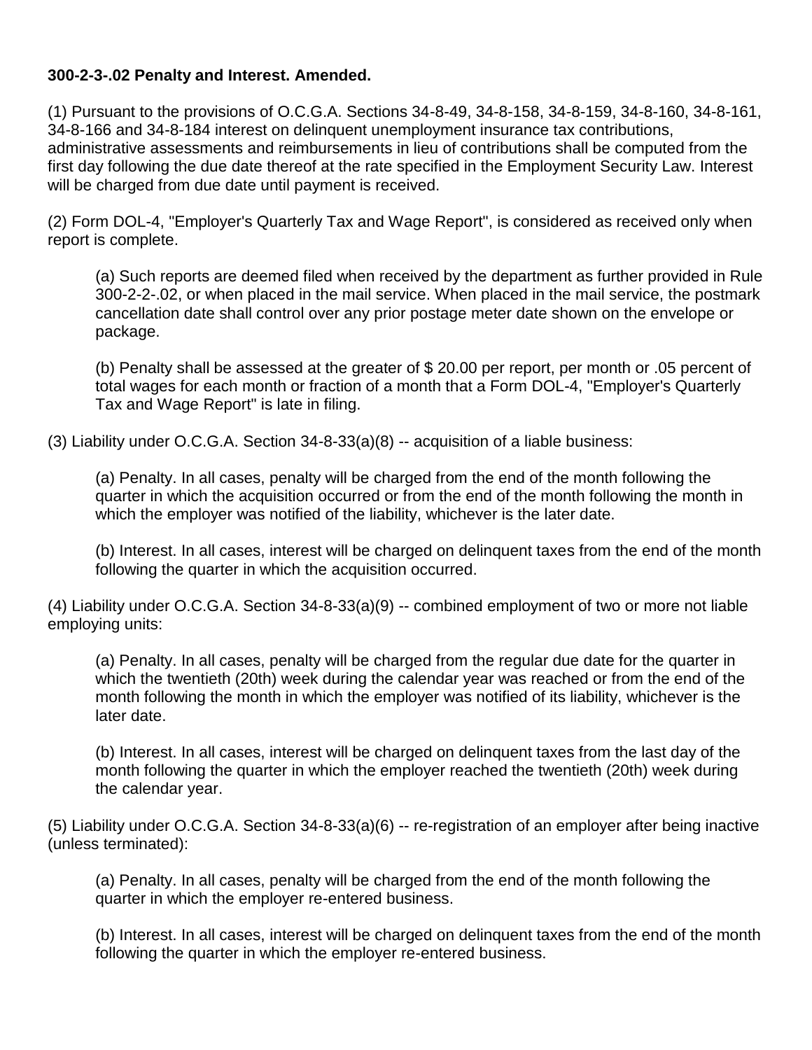#### **300-2-3-.02 Penalty and Interest. Amended.**

(1) Pursuant to the provisions of O.C.G.A. Sections 34-8-49, 34-8-158, 34-8-159, 34-8-160, 34-8-161, 34-8-166 and 34-8-184 interest on delinquent unemployment insurance tax contributions, administrative assessments and reimbursements in lieu of contributions shall be computed from the first day following the due date thereof at the rate specified in the Employment Security Law. Interest will be charged from due date until payment is received.

(2) Form DOL-4, "Employer's Quarterly Tax and Wage Report", is considered as received only when report is complete.

(a) Such reports are deemed filed when received by the department as further provided in Rule 300-2-2-.02, or when placed in the mail service. When placed in the mail service, the postmark cancellation date shall control over any prior postage meter date shown on the envelope or package.

(b) Penalty shall be assessed at the greater of \$ 20.00 per report, per month or .05 percent of total wages for each month or fraction of a month that a Form DOL-4, "Employer's Quarterly Tax and Wage Report" is late in filing.

 $(3)$  Liability under O.C.G.A. Section 34-8-33 $(a)(8)$  -- acquisition of a liable business:

(a) Penalty. In all cases, penalty will be charged from the end of the month following the quarter in which the acquisition occurred or from the end of the month following the month in which the employer was notified of the liability, whichever is the later date.

(b) Interest. In all cases, interest will be charged on delinquent taxes from the end of the month following the quarter in which the acquisition occurred.

(4) Liability under O.C.G.A. Section 34-8-33(a)(9) -- combined employment of two or more not liable employing units:

(a) Penalty. In all cases, penalty will be charged from the regular due date for the quarter in which the twentieth (20th) week during the calendar year was reached or from the end of the month following the month in which the employer was notified of its liability, whichever is the later date.

(b) Interest. In all cases, interest will be charged on delinquent taxes from the last day of the month following the quarter in which the employer reached the twentieth (20th) week during the calendar year.

(5) Liability under O.C.G.A. Section 34-8-33(a)(6) -- re-registration of an employer after being inactive (unless terminated):

(a) Penalty. In all cases, penalty will be charged from the end of the month following the quarter in which the employer re-entered business.

(b) Interest. In all cases, interest will be charged on delinquent taxes from the end of the month following the quarter in which the employer re-entered business.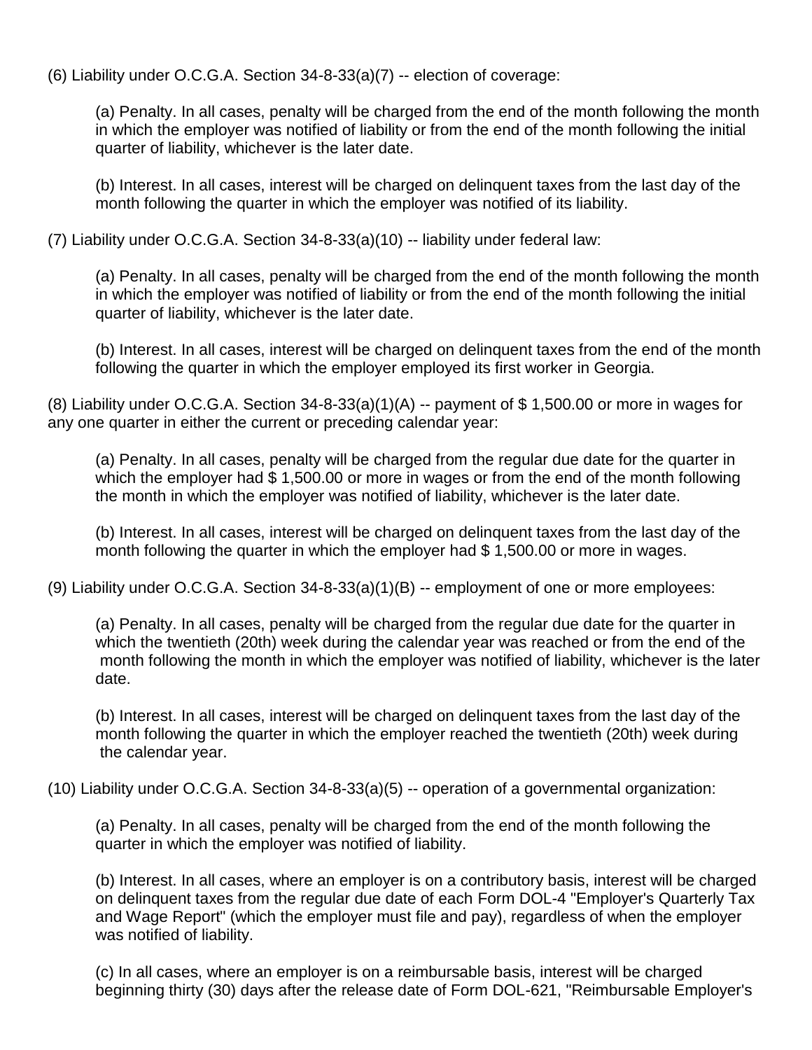(6) Liability under O.C.G.A. Section 34-8-33(a)(7) -- election of coverage:

(a) Penalty. In all cases, penalty will be charged from the end of the month following the month in which the employer was notified of liability or from the end of the month following the initial quarter of liability, whichever is the later date.

(b) Interest. In all cases, interest will be charged on delinquent taxes from the last day of the month following the quarter in which the employer was notified of its liability.

(7) Liability under O.C.G.A. Section 34-8-33(a)(10) -- liability under federal law:

(a) Penalty. In all cases, penalty will be charged from the end of the month following the month in which the employer was notified of liability or from the end of the month following the initial quarter of liability, whichever is the later date.

(b) Interest. In all cases, interest will be charged on delinquent taxes from the end of the month following the quarter in which the employer employed its first worker in Georgia.

(8) Liability under O.C.G.A. Section  $34-8-33(a)(1)(A) -$  payment of \$1,500.00 or more in wages for any one quarter in either the current or preceding calendar year:

(a) Penalty. In all cases, penalty will be charged from the regular due date for the quarter in which the employer had \$1,500.00 or more in wages or from the end of the month following the month in which the employer was notified of liability, whichever is the later date.

(b) Interest. In all cases, interest will be charged on delinquent taxes from the last day of the month following the quarter in which the employer had \$ 1,500.00 or more in wages.

(9) Liability under O.C.G.A. Section 34-8-33(a)(1)(B) -- employment of one or more employees:

(a) Penalty. In all cases, penalty will be charged from the regular due date for the quarter in which the twentieth (20th) week during the calendar year was reached or from the end of the month following the month in which the employer was notified of liability, whichever is the later date.

(b) Interest. In all cases, interest will be charged on delinquent taxes from the last day of the month following the quarter in which the employer reached the twentieth (20th) week during the calendar year.

(10) Liability under O.C.G.A. Section 34-8-33(a)(5) -- operation of a governmental organization:

(a) Penalty. In all cases, penalty will be charged from the end of the month following the quarter in which the employer was notified of liability.

(b) Interest. In all cases, where an employer is on a contributory basis, interest will be charged on delinquent taxes from the regular due date of each Form DOL-4 "Employer's Quarterly Tax and Wage Report" (which the employer must file and pay), regardless of when the employer was notified of liability.

(c) In all cases, where an employer is on a reimbursable basis, interest will be charged beginning thirty (30) days after the release date of Form DOL-621, "Reimbursable Employer's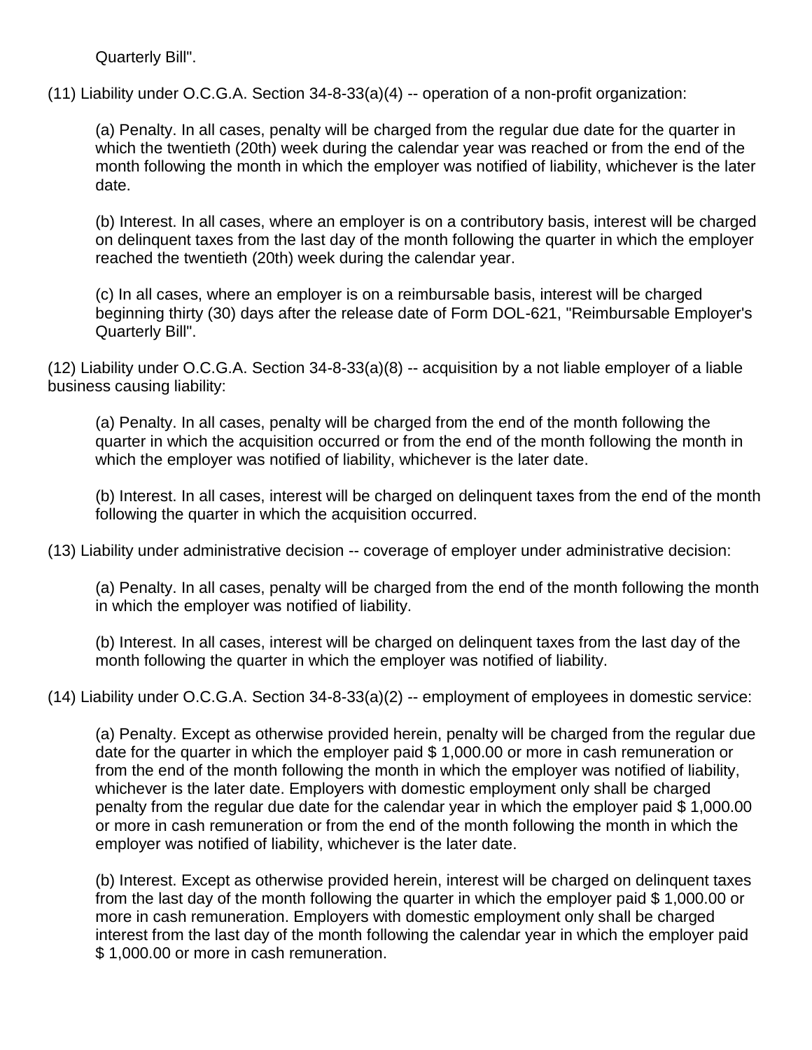Quarterly Bill".

(11) Liability under O.C.G.A. Section 34-8-33(a)(4) -- operation of a non-profit organization:

(a) Penalty. In all cases, penalty will be charged from the regular due date for the quarter in which the twentieth (20th) week during the calendar year was reached or from the end of the month following the month in which the employer was notified of liability, whichever is the later date.

(b) Interest. In all cases, where an employer is on a contributory basis, interest will be charged on delinquent taxes from the last day of the month following the quarter in which the employer reached the twentieth (20th) week during the calendar year.

(c) In all cases, where an employer is on a reimbursable basis, interest will be charged beginning thirty (30) days after the release date of Form DOL-621, "Reimbursable Employer's Quarterly Bill".

(12) Liability under O.C.G.A. Section 34-8-33(a)(8) -- acquisition by a not liable employer of a liable business causing liability:

(a) Penalty. In all cases, penalty will be charged from the end of the month following the quarter in which the acquisition occurred or from the end of the month following the month in which the employer was notified of liability, whichever is the later date.

(b) Interest. In all cases, interest will be charged on delinquent taxes from the end of the month following the quarter in which the acquisition occurred.

(13) Liability under administrative decision -- coverage of employer under administrative decision:

(a) Penalty. In all cases, penalty will be charged from the end of the month following the month in which the employer was notified of liability.

(b) Interest. In all cases, interest will be charged on delinquent taxes from the last day of the month following the quarter in which the employer was notified of liability.

(14) Liability under O.C.G.A. Section 34-8-33(a)(2) -- employment of employees in domestic service:

(a) Penalty. Except as otherwise provided herein, penalty will be charged from the regular due date for the quarter in which the employer paid \$ 1,000.00 or more in cash remuneration or from the end of the month following the month in which the employer was notified of liability, whichever is the later date. Employers with domestic employment only shall be charged penalty from the regular due date for the calendar year in which the employer paid \$ 1,000.00 or more in cash remuneration or from the end of the month following the month in which the employer was notified of liability, whichever is the later date.

(b) Interest. Except as otherwise provided herein, interest will be charged on delinquent taxes from the last day of the month following the quarter in which the employer paid \$ 1,000.00 or more in cash remuneration. Employers with domestic employment only shall be charged interest from the last day of the month following the calendar year in which the employer paid \$ 1,000.00 or more in cash remuneration.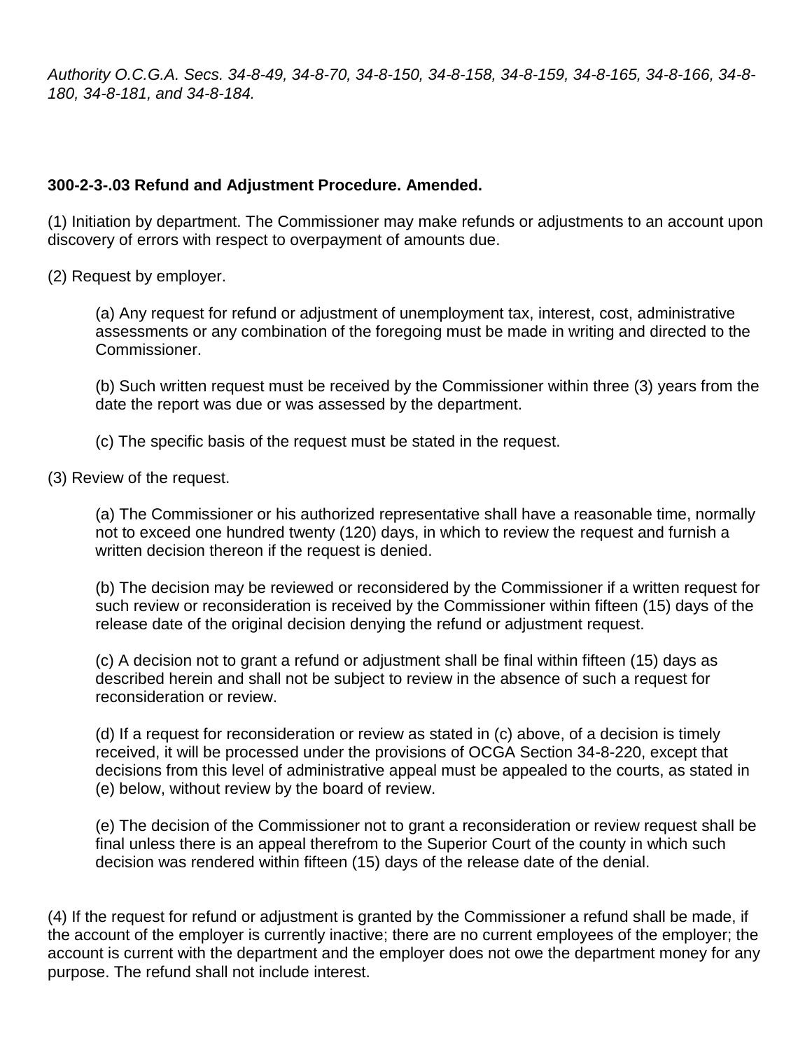*Authority O.C.G.A. Secs. 34-8-49, 34-8-70, 34-8-150, 34-8-158, 34-8-159, 34-8-165, 34-8-166, 34-8- 180, 34-8-181, and 34-8-184.*

#### **300-2-3-.03 Refund and Adjustment Procedure. Amended.**

(1) Initiation by department. The Commissioner may make refunds or adjustments to an account upon discovery of errors with respect to overpayment of amounts due.

(2) Request by employer.

(a) Any request for refund or adjustment of unemployment tax, interest, cost, administrative assessments or any combination of the foregoing must be made in writing and directed to the Commissioner.

(b) Such written request must be received by the Commissioner within three (3) years from the date the report was due or was assessed by the department.

(c) The specific basis of the request must be stated in the request.

(3) Review of the request.

(a) The Commissioner or his authorized representative shall have a reasonable time, normally not to exceed one hundred twenty (120) days, in which to review the request and furnish a written decision thereon if the request is denied.

(b) The decision may be reviewed or reconsidered by the Commissioner if a written request for such review or reconsideration is received by the Commissioner within fifteen (15) days of the release date of the original decision denying the refund or adjustment request.

(c) A decision not to grant a refund or adjustment shall be final within fifteen (15) days as described herein and shall not be subject to review in the absence of such a request for reconsideration or review.

(d) If a request for reconsideration or review as stated in (c) above, of a decision is timely received, it will be processed under the provisions of OCGA Section 34-8-220, except that decisions from this level of administrative appeal must be appealed to the courts, as stated in (e) below, without review by the board of review.

(e) The decision of the Commissioner not to grant a reconsideration or review request shall be final unless there is an appeal therefrom to the Superior Court of the county in which such decision was rendered within fifteen (15) days of the release date of the denial.

(4) If the request for refund or adjustment is granted by the Commissioner a refund shall be made, if the account of the employer is currently inactive; there are no current employees of the employer; the account is current with the department and the employer does not owe the department money for any purpose. The refund shall not include interest.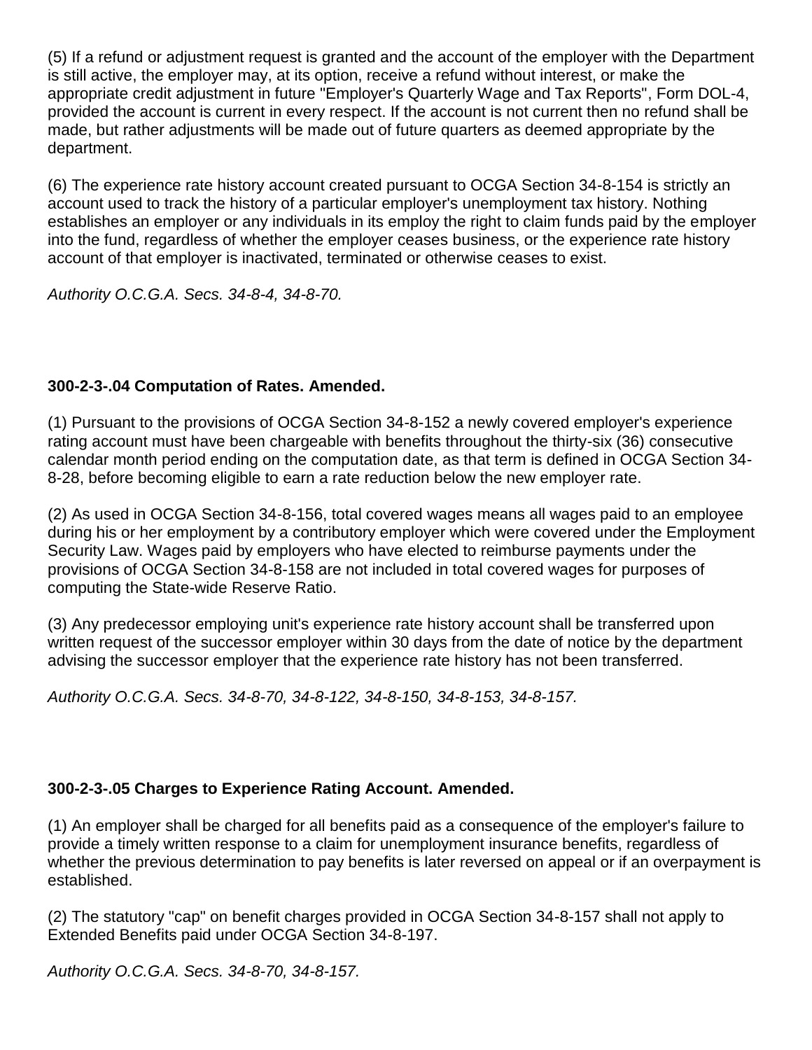(5) If a refund or adjustment request is granted and the account of the employer with the Department is still active, the employer may, at its option, receive a refund without interest, or make the appropriate credit adjustment in future "Employer's Quarterly Wage and Tax Reports", Form DOL-4, provided the account is current in every respect. If the account is not current then no refund shall be made, but rather adjustments will be made out of future quarters as deemed appropriate by the department.

(6) The experience rate history account created pursuant to OCGA Section 34-8-154 is strictly an account used to track the history of a particular employer's unemployment tax history. Nothing establishes an employer or any individuals in its employ the right to claim funds paid by the employer into the fund, regardless of whether the employer ceases business, or the experience rate history account of that employer is inactivated, terminated or otherwise ceases to exist.

*Authority O.C.G.A. Secs. 34-8-4, 34-8-70.*

# **300-2-3-.04 Computation of Rates. Amended.**

(1) Pursuant to the provisions of OCGA Section 34-8-152 a newly covered employer's experience rating account must have been chargeable with benefits throughout the thirty-six (36) consecutive calendar month period ending on the computation date, as that term is defined in OCGA Section 34- 8-28, before becoming eligible to earn a rate reduction below the new employer rate.

(2) As used in OCGA Section 34-8-156, total covered wages means all wages paid to an employee during his or her employment by a contributory employer which were covered under the Employment Security Law. Wages paid by employers who have elected to reimburse payments under the provisions of OCGA Section 34-8-158 are not included in total covered wages for purposes of computing the State-wide Reserve Ratio.

(3) Any predecessor employing unit's experience rate history account shall be transferred upon written request of the successor employer within 30 days from the date of notice by the department advising the successor employer that the experience rate history has not been transferred.

*Authority O.C.G.A. Secs. 34-8-70, 34-8-122, 34-8-150, 34-8-153, 34-8-157.*

## **300-2-3-.05 Charges to Experience Rating Account. Amended.**

(1) An employer shall be charged for all benefits paid as a consequence of the employer's failure to provide a timely written response to a claim for unemployment insurance benefits, regardless of whether the previous determination to pay benefits is later reversed on appeal or if an overpayment is established.

(2) The statutory "cap" on benefit charges provided in OCGA Section 34-8-157 shall not apply to Extended Benefits paid under OCGA Section 34-8-197.

*Authority O.C.G.A. Secs. 34-8-70, 34-8-157.*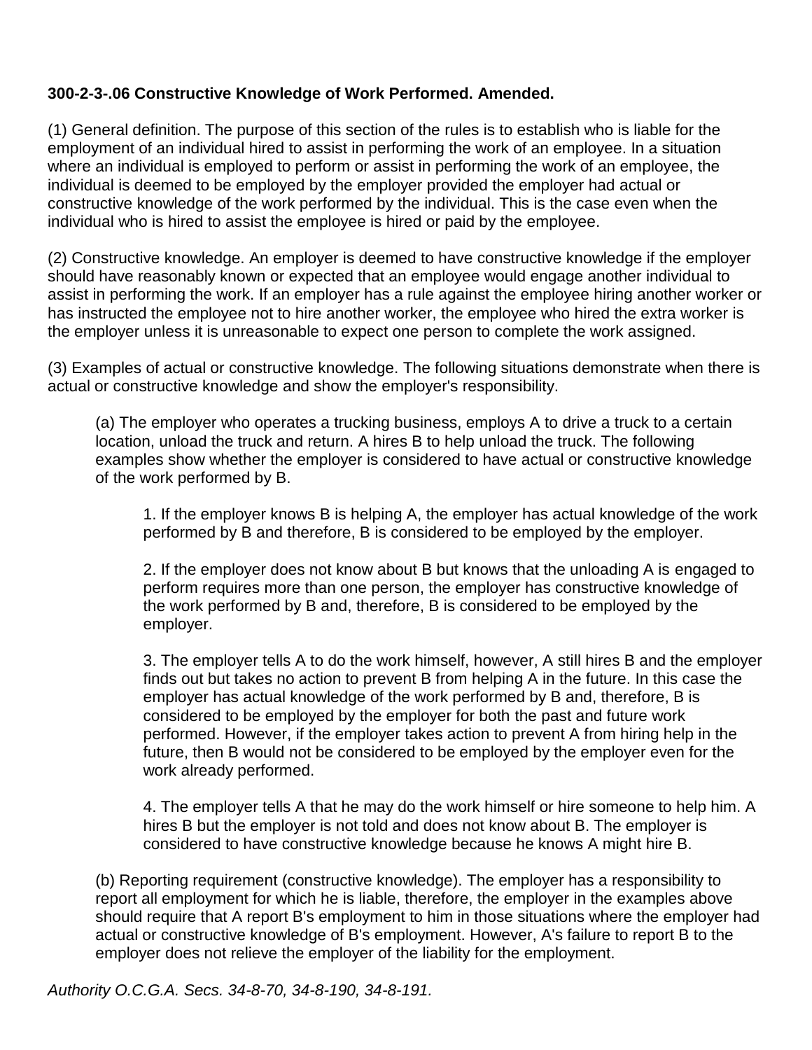#### **300-2-3-.06 Constructive Knowledge of Work Performed. Amended.**

(1) General definition. The purpose of this section of the rules is to establish who is liable for the employment of an individual hired to assist in performing the work of an employee. In a situation where an individual is employed to perform or assist in performing the work of an employee, the individual is deemed to be employed by the employer provided the employer had actual or constructive knowledge of the work performed by the individual. This is the case even when the individual who is hired to assist the employee is hired or paid by the employee.

(2) Constructive knowledge. An employer is deemed to have constructive knowledge if the employer should have reasonably known or expected that an employee would engage another individual to assist in performing the work. If an employer has a rule against the employee hiring another worker or has instructed the employee not to hire another worker, the employee who hired the extra worker is the employer unless it is unreasonable to expect one person to complete the work assigned.

(3) Examples of actual or constructive knowledge. The following situations demonstrate when there is actual or constructive knowledge and show the employer's responsibility.

(a) The employer who operates a trucking business, employs A to drive a truck to a certain location, unload the truck and return. A hires B to help unload the truck. The following examples show whether the employer is considered to have actual or constructive knowledge of the work performed by B.

1. If the employer knows B is helping A, the employer has actual knowledge of the work performed by B and therefore, B is considered to be employed by the employer.

2. If the employer does not know about B but knows that the unloading A is engaged to perform requires more than one person, the employer has constructive knowledge of the work performed by B and, therefore, B is considered to be employed by the employer.

3. The employer tells A to do the work himself, however, A still hires B and the employer finds out but takes no action to prevent B from helping A in the future. In this case the employer has actual knowledge of the work performed by B and, therefore, B is considered to be employed by the employer for both the past and future work performed. However, if the employer takes action to prevent A from hiring help in the future, then B would not be considered to be employed by the employer even for the work already performed.

4. The employer tells A that he may do the work himself or hire someone to help him. A hires B but the employer is not told and does not know about B. The employer is considered to have constructive knowledge because he knows A might hire B.

(b) Reporting requirement (constructive knowledge). The employer has a responsibility to report all employment for which he is liable, therefore, the employer in the examples above should require that A report B's employment to him in those situations where the employer had actual or constructive knowledge of B's employment. However, A's failure to report B to the employer does not relieve the employer of the liability for the employment.

*Authority O.C.G.A. Secs. 34-8-70, 34-8-190, 34-8-191.*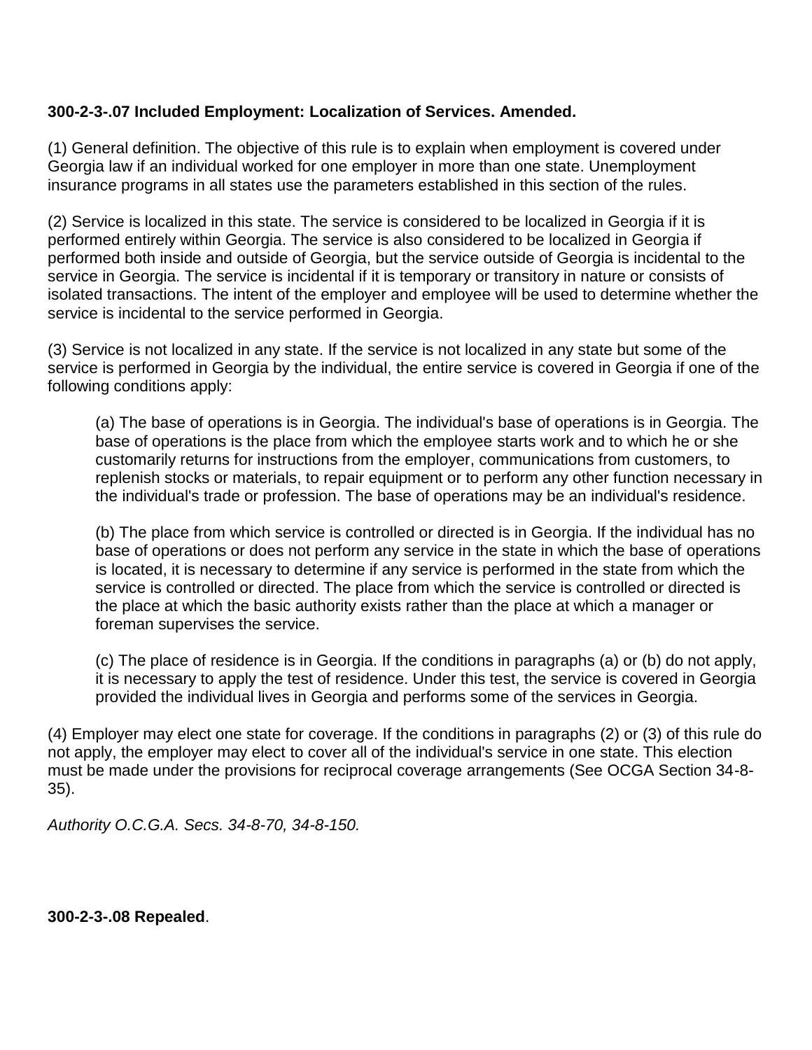#### **300-2-3-.07 Included Employment: Localization of Services. Amended.**

(1) General definition. The objective of this rule is to explain when employment is covered under Georgia law if an individual worked for one employer in more than one state. Unemployment insurance programs in all states use the parameters established in this section of the rules.

(2) Service is localized in this state. The service is considered to be localized in Georgia if it is performed entirely within Georgia. The service is also considered to be localized in Georgia if performed both inside and outside of Georgia, but the service outside of Georgia is incidental to the service in Georgia. The service is incidental if it is temporary or transitory in nature or consists of isolated transactions. The intent of the employer and employee will be used to determine whether the service is incidental to the service performed in Georgia.

(3) Service is not localized in any state. If the service is not localized in any state but some of the service is performed in Georgia by the individual, the entire service is covered in Georgia if one of the following conditions apply:

(a) The base of operations is in Georgia. The individual's base of operations is in Georgia. The base of operations is the place from which the employee starts work and to which he or she customarily returns for instructions from the employer, communications from customers, to replenish stocks or materials, to repair equipment or to perform any other function necessary in the individual's trade or profession. The base of operations may be an individual's residence.

(b) The place from which service is controlled or directed is in Georgia. If the individual has no base of operations or does not perform any service in the state in which the base of operations is located, it is necessary to determine if any service is performed in the state from which the service is controlled or directed. The place from which the service is controlled or directed is the place at which the basic authority exists rather than the place at which a manager or foreman supervises the service.

(c) The place of residence is in Georgia. If the conditions in paragraphs (a) or (b) do not apply, it is necessary to apply the test of residence. Under this test, the service is covered in Georgia provided the individual lives in Georgia and performs some of the services in Georgia.

(4) Employer may elect one state for coverage. If the conditions in paragraphs (2) or (3) of this rule do not apply, the employer may elect to cover all of the individual's service in one state. This election must be made under the provisions for reciprocal coverage arrangements (See OCGA Section 34-8- 35).

*Authority O.C.G.A. Secs. 34-8-70, 34-8-150.*

**300-2-3-.08 Repealed**.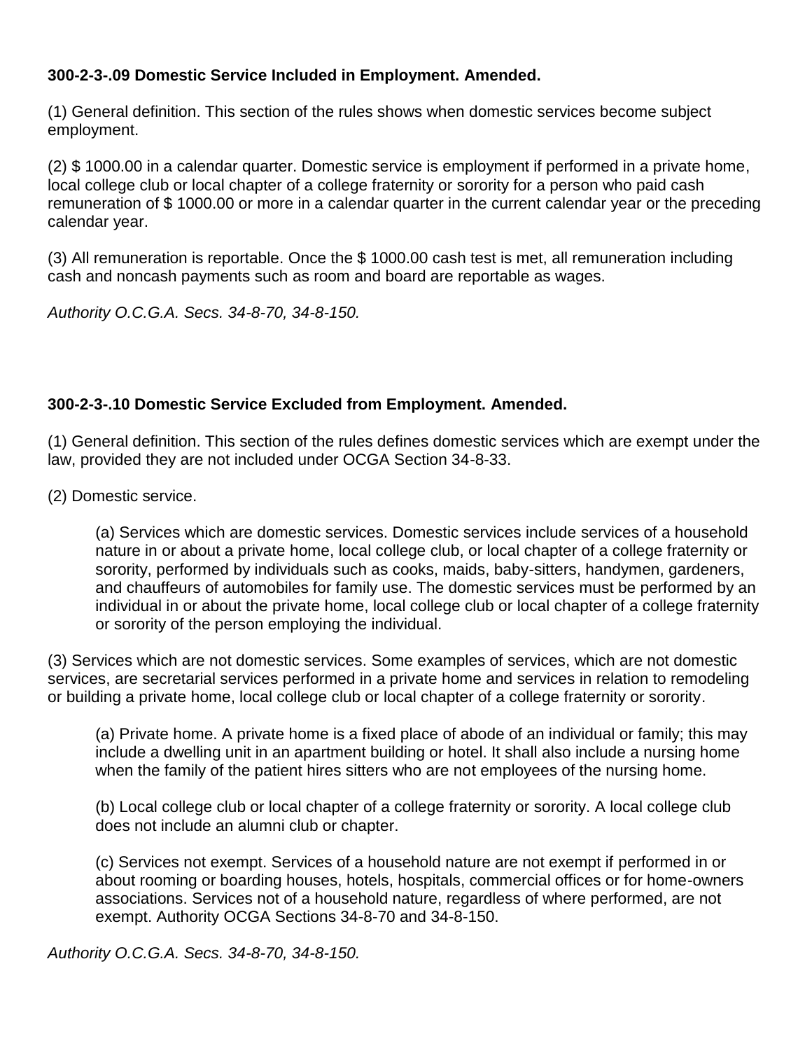## **300-2-3-.09 Domestic Service Included in Employment. Amended.**

(1) General definition. This section of the rules shows when domestic services become subject employment.

(2) \$ 1000.00 in a calendar quarter. Domestic service is employment if performed in a private home, local college club or local chapter of a college fraternity or sorority for a person who paid cash remuneration of \$ 1000.00 or more in a calendar quarter in the current calendar year or the preceding calendar year.

(3) All remuneration is reportable. Once the \$ 1000.00 cash test is met, all remuneration including cash and noncash payments such as room and board are reportable as wages.

*Authority O.C.G.A. Secs. 34-8-70, 34-8-150.*

# **300-2-3-.10 Domestic Service Excluded from Employment. Amended.**

(1) General definition. This section of the rules defines domestic services which are exempt under the law, provided they are not included under OCGA Section 34-8-33.

(2) Domestic service.

(a) Services which are domestic services. Domestic services include services of a household nature in or about a private home, local college club, or local chapter of a college fraternity or sorority, performed by individuals such as cooks, maids, baby-sitters, handymen, gardeners, and chauffeurs of automobiles for family use. The domestic services must be performed by an individual in or about the private home, local college club or local chapter of a college fraternity or sorority of the person employing the individual.

(3) Services which are not domestic services. Some examples of services, which are not domestic services, are secretarial services performed in a private home and services in relation to remodeling or building a private home, local college club or local chapter of a college fraternity or sorority.

(a) Private home. A private home is a fixed place of abode of an individual or family; this may include a dwelling unit in an apartment building or hotel. It shall also include a nursing home when the family of the patient hires sitters who are not employees of the nursing home.

(b) Local college club or local chapter of a college fraternity or sorority. A local college club does not include an alumni club or chapter.

(c) Services not exempt. Services of a household nature are not exempt if performed in or about rooming or boarding houses, hotels, hospitals, commercial offices or for home-owners associations. Services not of a household nature, regardless of where performed, are not exempt. Authority [OCGA Sections 34-8-70](https://www.lexis.com/research/buttonTFLink?_m=258ed6a22d29288652fa68f10648c0c4&_xfercite=%3ccite%20cc%3d%22USA%22%3e%3c%21%5bCDATA%5bGa.%20Comp.%20R.%20%26%20Regs.%20r.%20300-2-3-.10%5d%5d%3e%3c%2fcite%3e&_butType=4&_butStat=0&_butNum=2&_butInline=1&_butinfo=GACODE%2034-8-70&_fmtstr=FULL&docnum=18&_startdoc=1&wchp=dGLbVzk-zSkAl&_md5=49a4acd02526c3318cc1d0ecd33b4f5f) and [34-8-150.](https://www.lexis.com/research/buttonTFLink?_m=258ed6a22d29288652fa68f10648c0c4&_xfercite=%3ccite%20cc%3d%22USA%22%3e%3c%21%5bCDATA%5bGa.%20Comp.%20R.%20%26%20Regs.%20r.%20300-2-3-.10%5d%5d%3e%3c%2fcite%3e&_butType=4&_butStat=0&_butNum=3&_butInline=1&_butinfo=GACODE%2034-8-150&_fmtstr=FULL&docnum=18&_startdoc=1&wchp=dGLbVzk-zSkAl&_md5=988602c3c41867dcc3e6e7aa6ea6e9f8)

*Authority O.C.G.A. Secs. 34-8-70, 34-8-150.*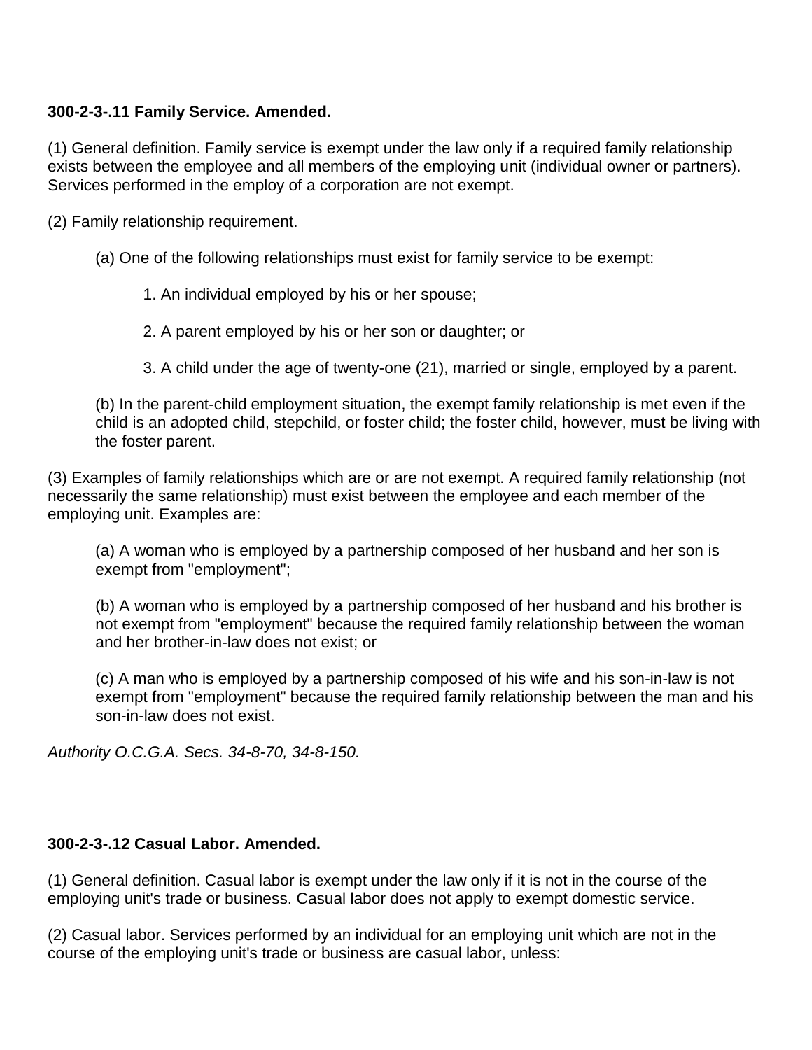## **300-2-3-.11 Family Service. Amended.**

(1) General definition. Family service is exempt under the law only if a required family relationship exists between the employee and all members of the employing unit (individual owner or partners). Services performed in the employ of a corporation are not exempt.

(2) Family relationship requirement.

- (a) One of the following relationships must exist for family service to be exempt:
	- 1. An individual employed by his or her spouse;
	- 2. A parent employed by his or her son or daughter; or
	- 3. A child under the age of twenty-one (21), married or single, employed by a parent.

(b) In the parent-child employment situation, the exempt family relationship is met even if the child is an adopted child, stepchild, or foster child; the foster child, however, must be living with the foster parent.

(3) Examples of family relationships which are or are not exempt. A required family relationship (not necessarily the same relationship) must exist between the employee and each member of the employing unit. Examples are:

(a) A woman who is employed by a partnership composed of her husband and her son is exempt from "employment";

(b) A woman who is employed by a partnership composed of her husband and his brother is not exempt from "employment" because the required family relationship between the woman and her brother-in-law does not exist; or

(c) A man who is employed by a partnership composed of his wife and his son-in-law is not exempt from "employment" because the required family relationship between the man and his son-in-law does not exist.

*Authority O.C.G.A. Secs. 34-8-70, 34-8-150.*

#### **300-2-3-.12 Casual Labor. Amended.**

(1) General definition. Casual labor is exempt under the law only if it is not in the course of the employing unit's trade or business. Casual labor does not apply to exempt domestic service.

(2) Casual labor. Services performed by an individual for an employing unit which are not in the course of the employing unit's trade or business are casual labor, unless: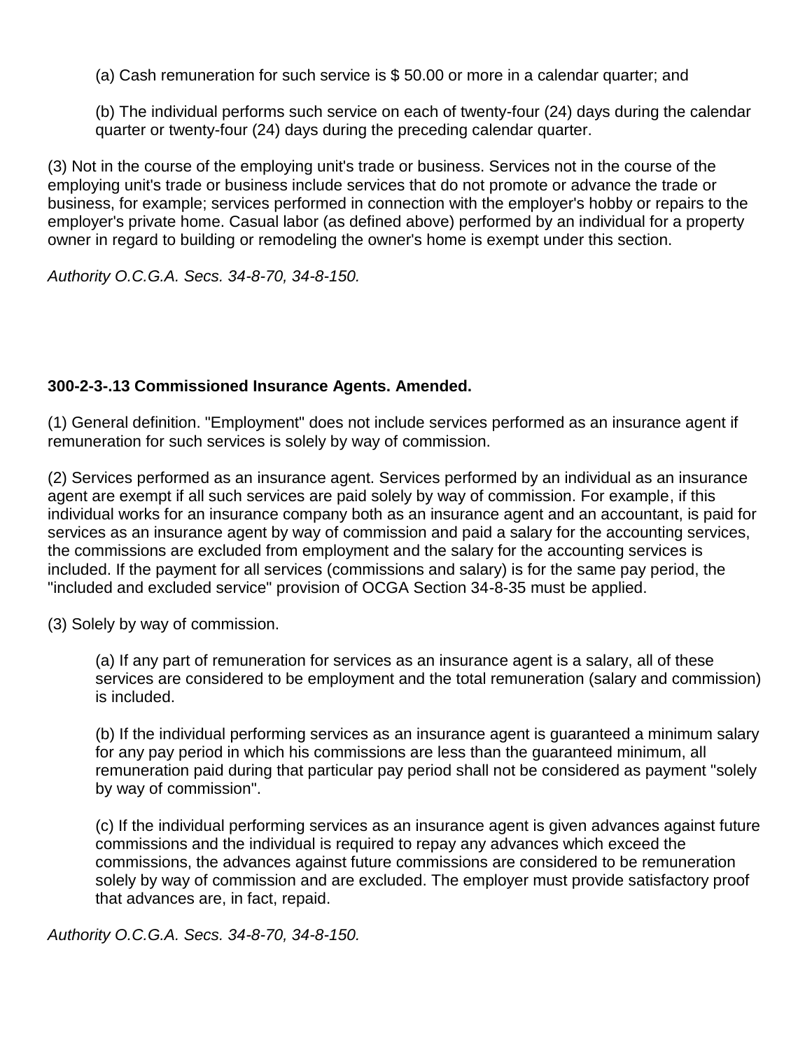(a) Cash remuneration for such service is \$ 50.00 or more in a calendar quarter; and

(b) The individual performs such service on each of twenty-four (24) days during the calendar quarter or twenty-four (24) days during the preceding calendar quarter.

(3) Not in the course of the employing unit's trade or business. Services not in the course of the employing unit's trade or business include services that do not promote or advance the trade or business, for example; services performed in connection with the employer's hobby or repairs to the employer's private home. Casual labor (as defined above) performed by an individual for a property owner in regard to building or remodeling the owner's home is exempt under this section.

*Authority O.C.G.A. Secs. 34-8-70, 34-8-150.*

#### **300-2-3-.13 Commissioned Insurance Agents. Amended.**

(1) General definition. "Employment" does not include services performed as an insurance agent if remuneration for such services is solely by way of commission.

(2) Services performed as an insurance agent. Services performed by an individual as an insurance agent are exempt if all such services are paid solely by way of commission. For example, if this individual works for an insurance company both as an insurance agent and an accountant, is paid for services as an insurance agent by way of commission and paid a salary for the accounting services, the commissions are excluded from employment and the salary for the accounting services is included. If the payment for all services (commissions and salary) is for the same pay period, the "included and excluded service" provision of OCGA Section 34-8-35 must be applied.

(3) Solely by way of commission.

(a) If any part of remuneration for services as an insurance agent is a salary, all of these services are considered to be employment and the total remuneration (salary and commission) is included.

(b) If the individual performing services as an insurance agent is guaranteed a minimum salary for any pay period in which his commissions are less than the guaranteed minimum, all remuneration paid during that particular pay period shall not be considered as payment "solely by way of commission".

(c) If the individual performing services as an insurance agent is given advances against future commissions and the individual is required to repay any advances which exceed the commissions, the advances against future commissions are considered to be remuneration solely by way of commission and are excluded. The employer must provide satisfactory proof that advances are, in fact, repaid.

*Authority O.C.G.A. Secs. 34-8-70, 34-8-150.*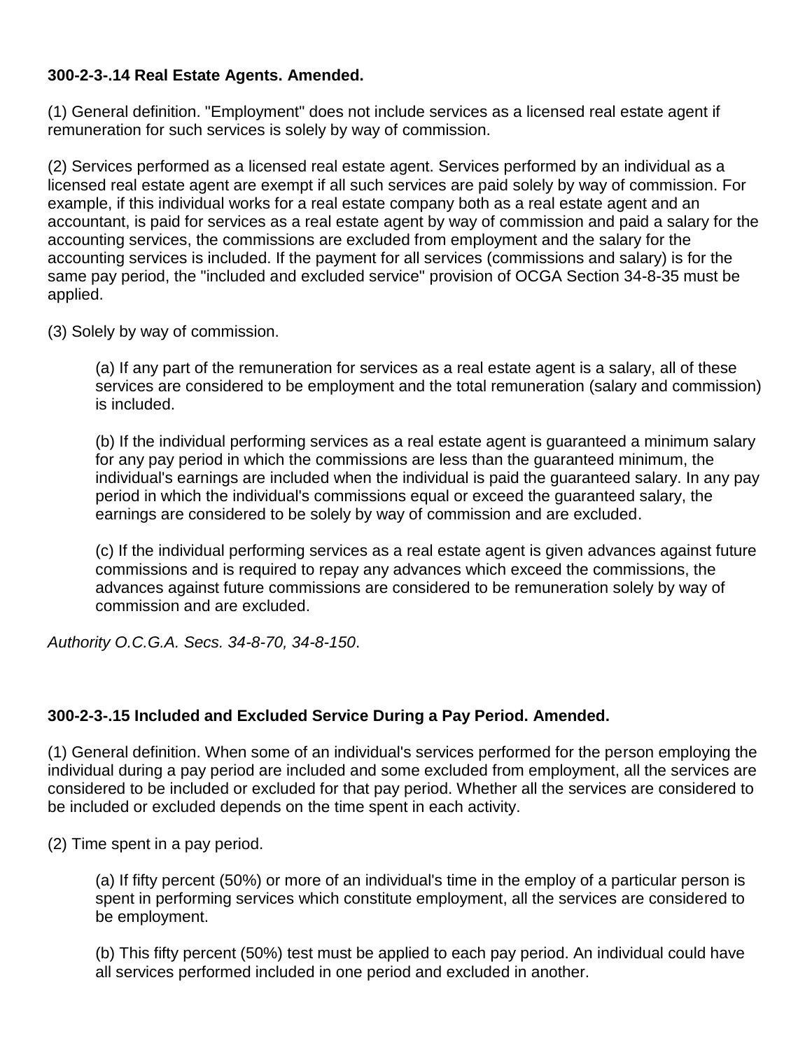## **300-2-3-.14 Real Estate Agents. Amended.**

(1) General definition. "Employment" does not include services as a licensed real estate agent if remuneration for such services is solely by way of commission.

(2) Services performed as a licensed real estate agent. Services performed by an individual as a licensed real estate agent are exempt if all such services are paid solely by way of commission. For example, if this individual works for a real estate company both as a real estate agent and an accountant, is paid for services as a real estate agent by way of commission and paid a salary for the accounting services, the commissions are excluded from employment and the salary for the accounting services is included. If the payment for all services (commissions and salary) is for the same pay period, the "included and excluded service" provision of OCGA Section 34-8-35 must be applied.

(3) Solely by way of commission.

(a) If any part of the remuneration for services as a real estate agent is a salary, all of these services are considered to be employment and the total remuneration (salary and commission) is included.

(b) If the individual performing services as a real estate agent is guaranteed a minimum salary for any pay period in which the commissions are less than the guaranteed minimum, the individual's earnings are included when the individual is paid the guaranteed salary. In any pay period in which the individual's commissions equal or exceed the guaranteed salary, the earnings are considered to be solely by way of commission and are excluded.

(c) If the individual performing services as a real estate agent is given advances against future commissions and is required to repay any advances which exceed the commissions, the advances against future commissions are considered to be remuneration solely by way of commission and are excluded.

*Authority O.C.G.A. Secs. 34-8-70, 34-8-150*.

#### **300-2-3-.15 Included and Excluded Service During a Pay Period. Amended.**

(1) General definition. When some of an individual's services performed for the person employing the individual during a pay period are included and some excluded from employment, all the services are considered to be included or excluded for that pay period. Whether all the services are considered to be included or excluded depends on the time spent in each activity.

(2) Time spent in a pay period.

(a) If fifty percent (50%) or more of an individual's time in the employ of a particular person is spent in performing services which constitute employment, all the services are considered to be employment.

(b) This fifty percent (50%) test must be applied to each pay period. An individual could have all services performed included in one period and excluded in another.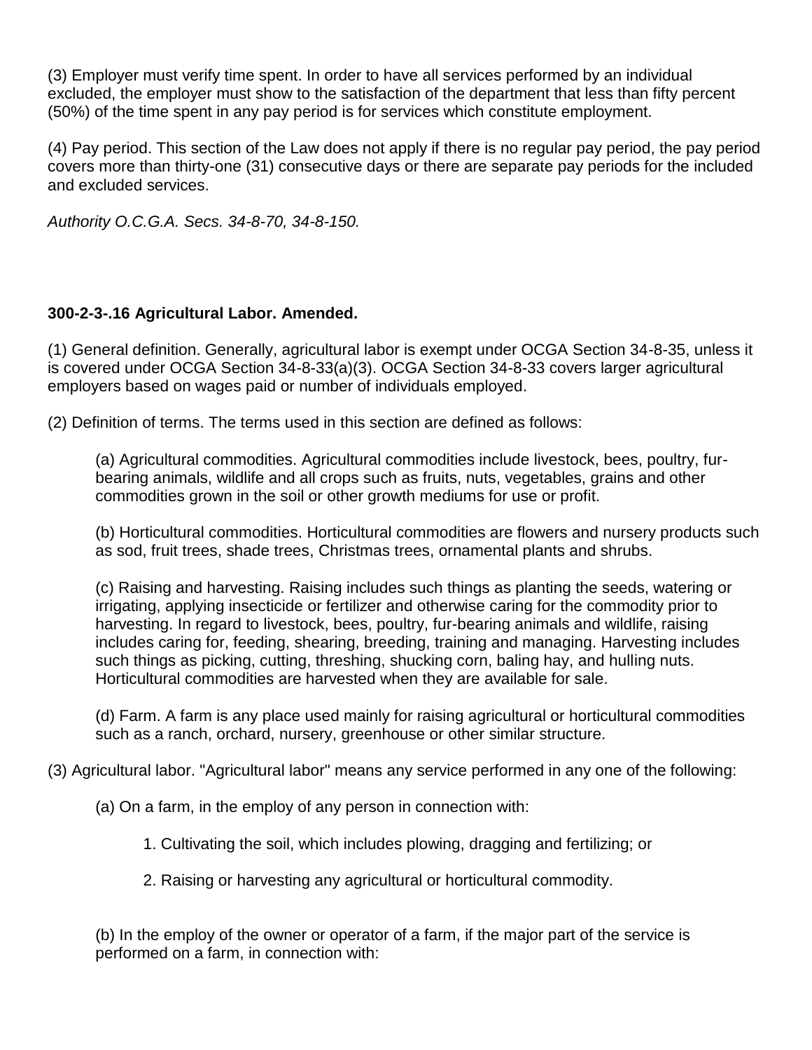(3) Employer must verify time spent. In order to have all services performed by an individual excluded, the employer must show to the satisfaction of the department that less than fifty percent (50%) of the time spent in any pay period is for services which constitute employment.

(4) Pay period. This section of the Law does not apply if there is no regular pay period, the pay period covers more than thirty-one (31) consecutive days or there are separate pay periods for the included and excluded services.

*Authority O.C.G.A. Secs. 34-8-70, 34-8-150.*

## **300-2-3-.16 Agricultural Labor. Amended.**

(1) General definition. Generally, agricultural labor is exempt under OCGA Section 34-8-35, unless it is covered under OCGA Section 34-8-33(a)(3). OCGA Section 34-8-33 covers larger agricultural employers based on wages paid or number of individuals employed.

(2) Definition of terms. The terms used in this section are defined as follows:

(a) Agricultural commodities. Agricultural commodities include livestock, bees, poultry, furbearing animals, wildlife and all crops such as fruits, nuts, vegetables, grains and other commodities grown in the soil or other growth mediums for use or profit.

(b) Horticultural commodities. Horticultural commodities are flowers and nursery products such as sod, fruit trees, shade trees, Christmas trees, ornamental plants and shrubs.

(c) Raising and harvesting. Raising includes such things as planting the seeds, watering or irrigating, applying insecticide or fertilizer and otherwise caring for the commodity prior to harvesting. In regard to livestock, bees, poultry, fur-bearing animals and wildlife, raising includes caring for, feeding, shearing, breeding, training and managing. Harvesting includes such things as picking, cutting, threshing, shucking corn, baling hay, and hulling nuts. Horticultural commodities are harvested when they are available for sale.

(d) Farm. A farm is any place used mainly for raising agricultural or horticultural commodities such as a ranch, orchard, nursery, greenhouse or other similar structure.

(3) Agricultural labor. "Agricultural labor" means any service performed in any one of the following:

- (a) On a farm, in the employ of any person in connection with:
	- 1. Cultivating the soil, which includes plowing, dragging and fertilizing; or
	- 2. Raising or harvesting any agricultural or horticultural commodity.

(b) In the employ of the owner or operator of a farm, if the major part of the service is performed on a farm, in connection with: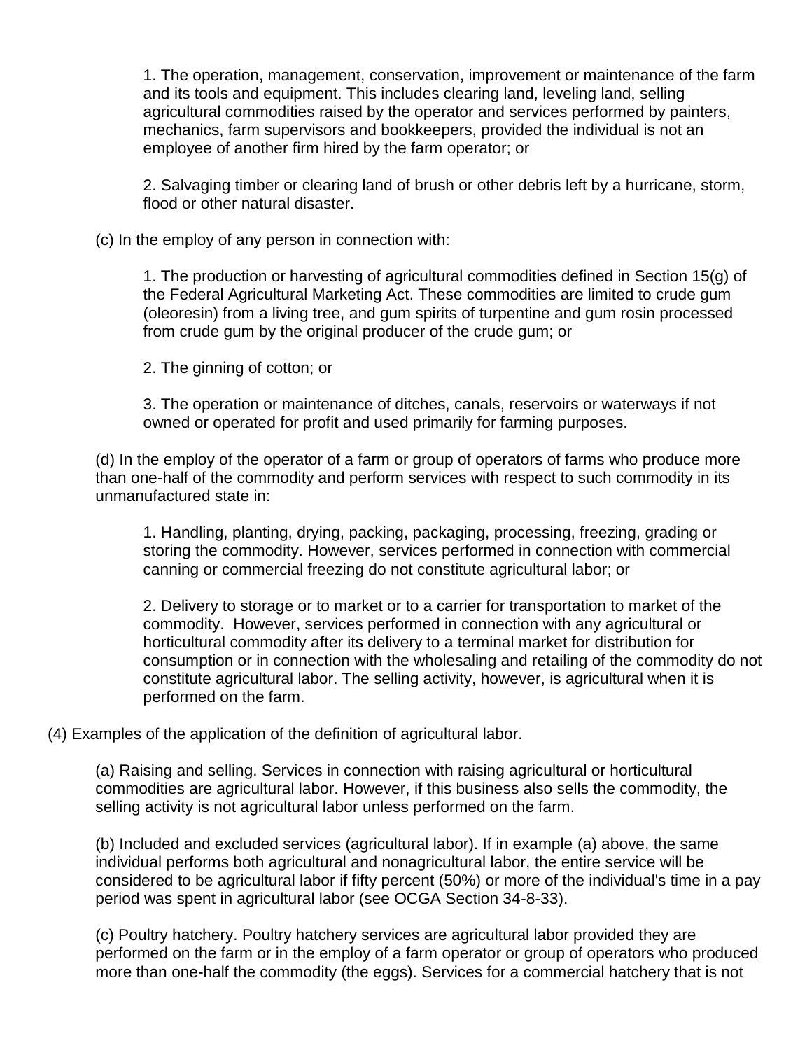1. The operation, management, conservation, improvement or maintenance of the farm and its tools and equipment. This includes clearing land, leveling land, selling agricultural commodities raised by the operator and services performed by painters, mechanics, farm supervisors and bookkeepers, provided the individual is not an employee of another firm hired by the farm operator; or

2. Salvaging timber or clearing land of brush or other debris left by a hurricane, storm, flood or other natural disaster.

(c) In the employ of any person in connection with:

1. The production or harvesting of agricultural commodities defined in Section 15(g) of the Federal Agricultural Marketing Act. These commodities are limited to crude gum (oleoresin) from a living tree, and gum spirits of turpentine and gum rosin processed from crude gum by the original producer of the crude gum; or

2. The ginning of cotton; or

3. The operation or maintenance of ditches, canals, reservoirs or waterways if not owned or operated for profit and used primarily for farming purposes.

(d) In the employ of the operator of a farm or group of operators of farms who produce more than one-half of the commodity and perform services with respect to such commodity in its unmanufactured state in:

1. Handling, planting, drying, packing, packaging, processing, freezing, grading or storing the commodity. However, services performed in connection with commercial canning or commercial freezing do not constitute agricultural labor; or

2. Delivery to storage or to market or to a carrier for transportation to market of the commodity. However, services performed in connection with any agricultural or horticultural commodity after its delivery to a terminal market for distribution for consumption or in connection with the wholesaling and retailing of the commodity do not constitute agricultural labor. The selling activity, however, is agricultural when it is performed on the farm.

(4) Examples of the application of the definition of agricultural labor.

(a) Raising and selling. Services in connection with raising agricultural or horticultural commodities are agricultural labor. However, if this business also sells the commodity, the selling activity is not agricultural labor unless performed on the farm.

(b) Included and excluded services (agricultural labor). If in example (a) above, the same individual performs both agricultural and nonagricultural labor, the entire service will be considered to be agricultural labor if fifty percent (50%) or more of the individual's time in a pay period was spent in agricultural labor (see OCGA Section 34-8-33).

(c) Poultry hatchery. Poultry hatchery services are agricultural labor provided they are performed on the farm or in the employ of a farm operator or group of operators who produced more than one-half the commodity (the eggs). Services for a commercial hatchery that is not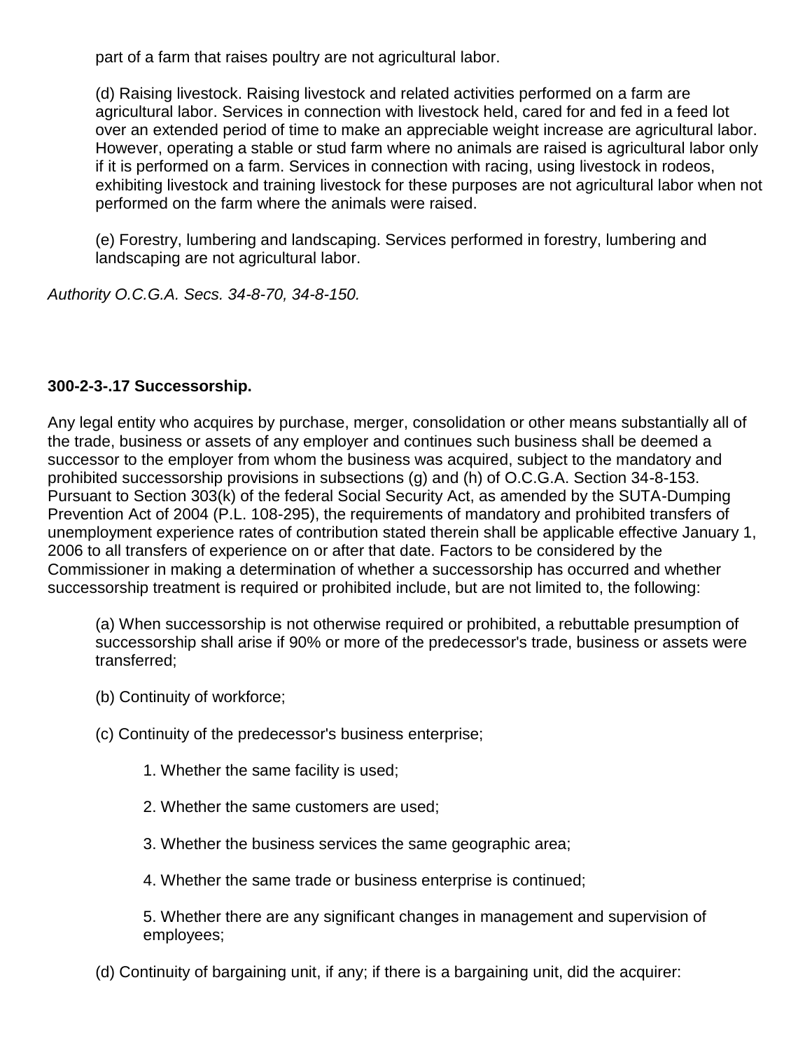part of a farm that raises poultry are not agricultural labor.

(d) Raising livestock. Raising livestock and related activities performed on a farm are agricultural labor. Services in connection with livestock held, cared for and fed in a feed lot over an extended period of time to make an appreciable weight increase are agricultural labor. However, operating a stable or stud farm where no animals are raised is agricultural labor only if it is performed on a farm. Services in connection with racing, using livestock in rodeos, exhibiting livestock and training livestock for these purposes are not agricultural labor when not performed on the farm where the animals were raised.

(e) Forestry, lumbering and landscaping. Services performed in forestry, lumbering and landscaping are not agricultural labor.

*Authority O.C.G.A. Secs. 34-8-70, 34-8-150.*

# **300-2-3-.17 Successorship.**

Any legal entity who acquires by purchase, merger, consolidation or other means substantially all of the trade, business or assets of any employer and continues such business shall be deemed a successor to the employer from whom the business was acquired, subject to the mandatory and prohibited successorship provisions in subsections (g) and (h) of O.C.G.A. Section 34-8-153. Pursuant to Section 303(k) of the federal Social Security Act, as amended by the SUTA-Dumping Prevention Act of 2004 (P.L. 108-295), the requirements of mandatory and prohibited transfers of unemployment experience rates of contribution stated therein shall be applicable effective January 1, 2006 to all transfers of experience on or after that date. Factors to be considered by the Commissioner in making a determination of whether a successorship has occurred and whether successorship treatment is required or prohibited include, but are not limited to, the following:

(a) When successorship is not otherwise required or prohibited, a rebuttable presumption of successorship shall arise if 90% or more of the predecessor's trade, business or assets were transferred;

- (b) Continuity of workforce;
- (c) Continuity of the predecessor's business enterprise;
	- 1. Whether the same facility is used;
	- 2. Whether the same customers are used;
	- 3. Whether the business services the same geographic area;
	- 4. Whether the same trade or business enterprise is continued;

5. Whether there are any significant changes in management and supervision of employees;

(d) Continuity of bargaining unit, if any; if there is a bargaining unit, did the acquirer: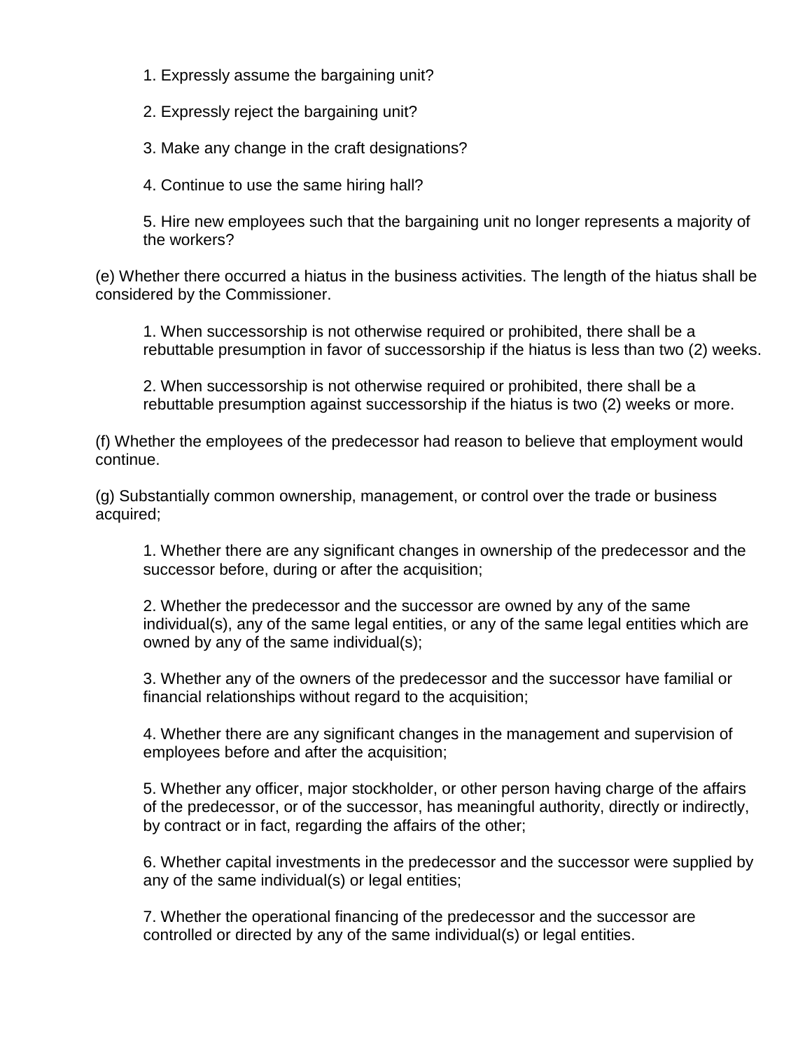1. Expressly assume the bargaining unit?

2. Expressly reject the bargaining unit?

3. Make any change in the craft designations?

4. Continue to use the same hiring hall?

5. Hire new employees such that the bargaining unit no longer represents a majority of the workers?

(e) Whether there occurred a hiatus in the business activities. The length of the hiatus shall be considered by the Commissioner.

1. When successorship is not otherwise required or prohibited, there shall be a rebuttable presumption in favor of successorship if the hiatus is less than two (2) weeks.

2. When successorship is not otherwise required or prohibited, there shall be a rebuttable presumption against successorship if the hiatus is two (2) weeks or more.

(f) Whether the employees of the predecessor had reason to believe that employment would continue.

(g) Substantially common ownership, management, or control over the trade or business acquired;

1. Whether there are any significant changes in ownership of the predecessor and the successor before, during or after the acquisition;

2. Whether the predecessor and the successor are owned by any of the same individual(s), any of the same legal entities, or any of the same legal entities which are owned by any of the same individual(s);

3. Whether any of the owners of the predecessor and the successor have familial or financial relationships without regard to the acquisition;

4. Whether there are any significant changes in the management and supervision of employees before and after the acquisition;

5. Whether any officer, major stockholder, or other person having charge of the affairs of the predecessor, or of the successor, has meaningful authority, directly or indirectly, by contract or in fact, regarding the affairs of the other;

6. Whether capital investments in the predecessor and the successor were supplied by any of the same individual(s) or legal entities;

7. Whether the operational financing of the predecessor and the successor are controlled or directed by any of the same individual(s) or legal entities.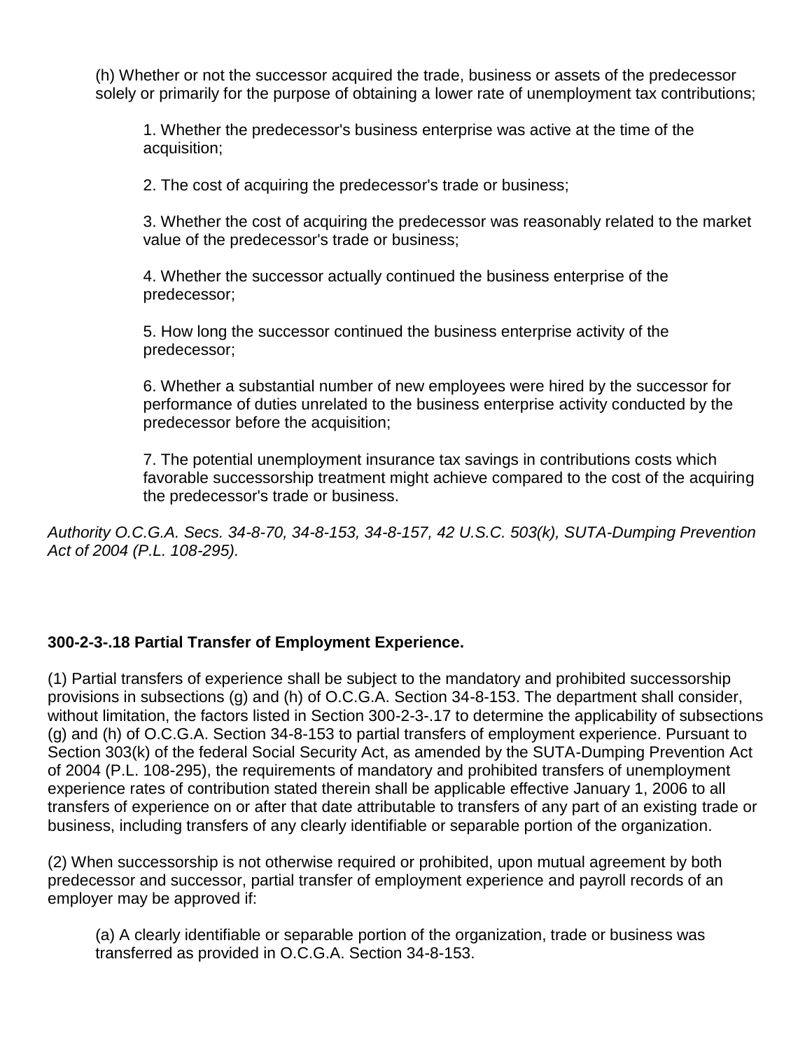(h) Whether or not the successor acquired the trade, business or assets of the predecessor solely or primarily for the purpose of obtaining a lower rate of unemployment tax contributions;

1. Whether the predecessor's business enterprise was active at the time of the acquisition;

2. The cost of acquiring the predecessor's trade or business;

3. Whether the cost of acquiring the predecessor was reasonably related to the market value of the predecessor's trade or business;

4. Whether the successor actually continued the business enterprise of the predecessor;

5. How long the successor continued the business enterprise activity of the predecessor;

6. Whether a substantial number of new employees were hired by the successor for performance of duties unrelated to the business enterprise activity conducted by the predecessor before the acquisition;

7. The potential unemployment insurance tax savings in contributions costs which favorable successorship treatment might achieve compared to the cost of the acquiring the predecessor's trade or business.

*Authority O.C.G.A. Secs. 34-8-70, 34-8-153, 34-8-157, 42 U.S.C. 503(k), SUTA-Dumping Prevention Act of 2004 (P.L. 108-295).*

## **300-2-3-.18 Partial Transfer of Employment Experience.**

(1) Partial transfers of experience shall be subject to the mandatory and prohibited successorship provisions in subsections (g) and (h) of O.C.G.A. Section 34-8-153. The department shall consider, without limitation, the factors listed in Section 300-2-3-.17 to determine the applicability of subsections (g) and (h) of O.C.G.A. Section 34-8-153 to partial transfers of employment experience. Pursuant to Section 303(k) of the federal Social Security Act, as amended by the SUTA-Dumping Prevention Act of 2004 (P.L. 108-295), the requirements of mandatory and prohibited transfers of unemployment experience rates of contribution stated therein shall be applicable effective January 1, 2006 to all transfers of experience on or after that date attributable to transfers of any part of an existing trade or business, including transfers of any clearly identifiable or separable portion of the organization.

(2) When successorship is not otherwise required or prohibited, upon mutual agreement by both predecessor and successor, partial transfer of employment experience and payroll records of an employer may be approved if:

(a) A clearly identifiable or separable portion of the organization, trade or business was transferred as provided in O.C.G.A. Section 34-8-153.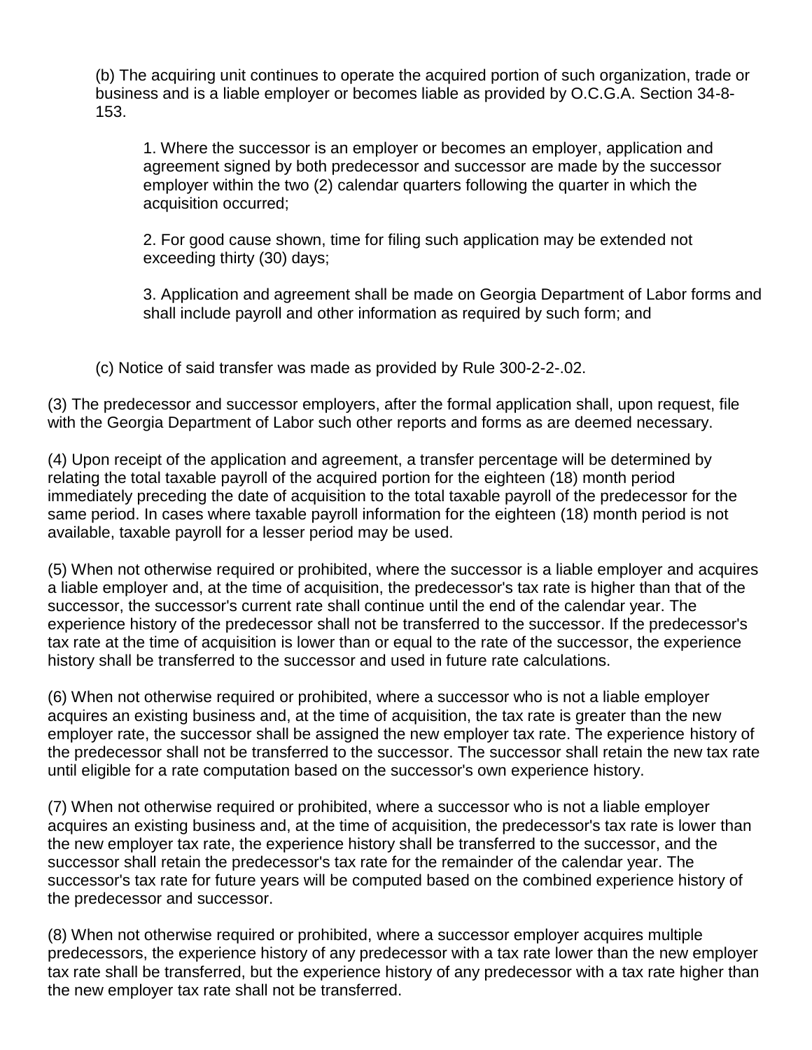(b) The acquiring unit continues to operate the acquired portion of such organization, trade or business and is a liable employer or becomes liable as provided by O.C.G.A. Section 34-8- 153.

1. Where the successor is an employer or becomes an employer, application and agreement signed by both predecessor and successor are made by the successor employer within the two (2) calendar quarters following the quarter in which the acquisition occurred;

2. For good cause shown, time for filing such application may be extended not exceeding thirty (30) days;

3. Application and agreement shall be made on Georgia Department of Labor forms and shall include payroll and other information as required by such form; and

(c) Notice of said transfer was made as provided by Rule 300-2-2-.02.

(3) The predecessor and successor employers, after the formal application shall, upon request, file with the Georgia Department of Labor such other reports and forms as are deemed necessary.

(4) Upon receipt of the application and agreement, a transfer percentage will be determined by relating the total taxable payroll of the acquired portion for the eighteen (18) month period immediately preceding the date of acquisition to the total taxable payroll of the predecessor for the same period. In cases where taxable payroll information for the eighteen (18) month period is not available, taxable payroll for a lesser period may be used.

(5) When not otherwise required or prohibited, where the successor is a liable employer and acquires a liable employer and, at the time of acquisition, the predecessor's tax rate is higher than that of the successor, the successor's current rate shall continue until the end of the calendar year. The experience history of the predecessor shall not be transferred to the successor. If the predecessor's tax rate at the time of acquisition is lower than or equal to the rate of the successor, the experience history shall be transferred to the successor and used in future rate calculations.

(6) When not otherwise required or prohibited, where a successor who is not a liable employer acquires an existing business and, at the time of acquisition, the tax rate is greater than the new employer rate, the successor shall be assigned the new employer tax rate. The experience history of the predecessor shall not be transferred to the successor. The successor shall retain the new tax rate until eligible for a rate computation based on the successor's own experience history.

(7) When not otherwise required or prohibited, where a successor who is not a liable employer acquires an existing business and, at the time of acquisition, the predecessor's tax rate is lower than the new employer tax rate, the experience history shall be transferred to the successor, and the successor shall retain the predecessor's tax rate for the remainder of the calendar year. The successor's tax rate for future years will be computed based on the combined experience history of the predecessor and successor.

(8) When not otherwise required or prohibited, where a successor employer acquires multiple predecessors, the experience history of any predecessor with a tax rate lower than the new employer tax rate shall be transferred, but the experience history of any predecessor with a tax rate higher than the new employer tax rate shall not be transferred.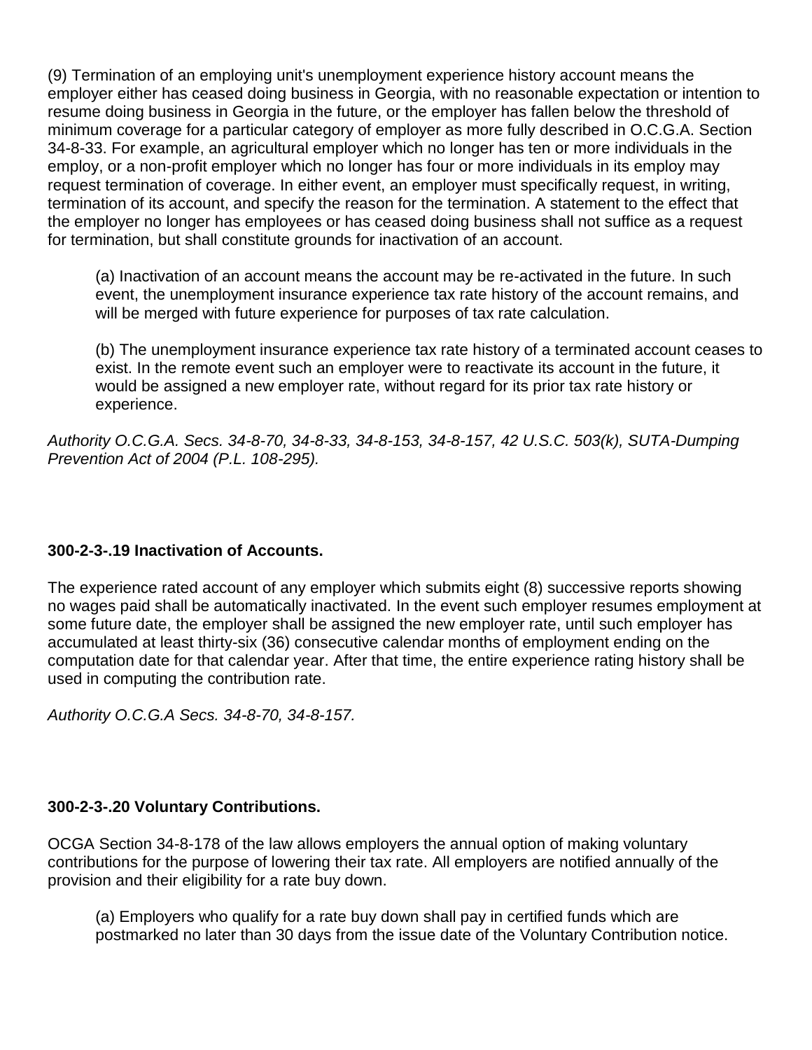(9) Termination of an employing unit's unemployment experience history account means the employer either has ceased doing business in Georgia, with no reasonable expectation or intention to resume doing business in Georgia in the future, or the employer has fallen below the threshold of minimum coverage for a particular category of employer as more fully described in O.C.G.A. Section 34-8-33. For example, an agricultural employer which no longer has ten or more individuals in the employ, or a non-profit employer which no longer has four or more individuals in its employ may request termination of coverage. In either event, an employer must specifically request, in writing, termination of its account, and specify the reason for the termination. A statement to the effect that the employer no longer has employees or has ceased doing business shall not suffice as a request for termination, but shall constitute grounds for inactivation of an account.

(a) Inactivation of an account means the account may be re-activated in the future. In such event, the unemployment insurance experience tax rate history of the account remains, and will be merged with future experience for purposes of tax rate calculation.

(b) The unemployment insurance experience tax rate history of a terminated account ceases to exist. In the remote event such an employer were to reactivate its account in the future, it would be assigned a new employer rate, without regard for its prior tax rate history or experience.

*Authority O.C.G.A. Secs. 34-8-70, 34-8-33, 34-8-153, 34-8-157, 42 U.S.C. 503(k), SUTA-Dumping Prevention Act of 2004 (P.L. 108-295).*

## **300-2-3-.19 Inactivation of Accounts.**

The experience rated account of any employer which submits eight (8) successive reports showing no wages paid shall be automatically inactivated. In the event such employer resumes employment at some future date, the employer shall be assigned the new employer rate, until such employer has accumulated at least thirty-six (36) consecutive calendar months of employment ending on the computation date for that calendar year. After that time, the entire experience rating history shall be used in computing the contribution rate.

*Authority O.C.G.A Secs. 34-8-70, 34-8-157.*

## **300-2-3-.20 Voluntary Contributions.**

OCGA Section 34-8-178 of the law allows employers the annual option of making voluntary contributions for the purpose of lowering their tax rate. All employers are notified annually of the provision and their eligibility for a rate buy down.

(a) Employers who qualify for a rate buy down shall pay in certified funds which are postmarked no later than 30 days from the issue date of the Voluntary Contribution notice.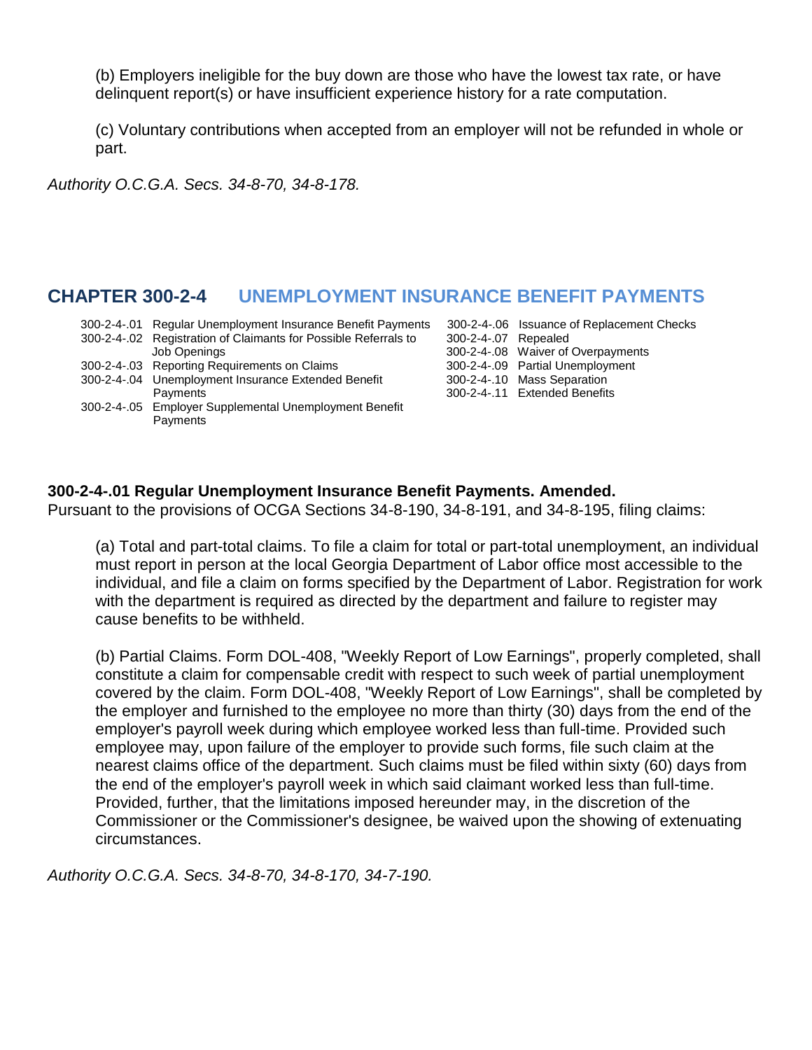(b) Employers ineligible for the buy down are those who have the lowest tax rate, or have delinquent report(s) or have insufficient experience history for a rate computation.

(c) Voluntary contributions when accepted from an employer will not be refunded in whole or part.

*Authority O.C.G.A. Secs. 34-8-70, 34-8-178.*

# **CHAPTER 300-2-4 UNEMPLOYMENT INSURANCE BENEFIT PAYMENTS**

|  | 300-2-4-.01 Regular Unemployment Insurance Benefit Payments     | $300 - 2$ |
|--|-----------------------------------------------------------------|-----------|
|  | 300-2-4-.02 Registration of Claimants for Possible Referrals to | $300 - 2$ |
|  | <b>Job Openings</b>                                             | $300 - 2$ |
|  | 300-2-4-.03 Reporting Requirements on Claims                    | $300 - 2$ |
|  | 300-2-4-.04 Unemployment Insurance Extended Benefit             | $300 - 2$ |
|  | Payments                                                        | $300 - 2$ |
|  | 300-2-4-.05 Employer Supplemental Unemployment Benefit          |           |
|  | Payments                                                        |           |

-4-.06 Issuance of Replacement Checks -4-.07 Repealed -4-.08 Waiver of Overpayments -4-.09 Partial Unemployment -4-.10 Mass Separation -4-.11 Extended Benefits

#### **300-2-4-.01 Regular Unemployment Insurance Benefit Payments. Amended.**

Pursuant to the provisions of OCGA Sections 34-8-190, 34-8-191, and 34-8-195, filing claims:

(a) Total and part-total claims. To file a claim for total or part-total unemployment, an individual must report in person at the local Georgia Department of Labor office most accessible to the individual, and file a claim on forms specified by the Department of Labor. Registration for work with the department is required as directed by the department and failure to register may cause benefits to be withheld.

(b) Partial Claims. Form DOL-408, "Weekly Report of Low Earnings", properly completed, shall constitute a claim for compensable credit with respect to such week of partial unemployment covered by the claim. Form DOL-408, "Weekly Report of Low Earnings", shall be completed by the employer and furnished to the employee no more than thirty (30) days from the end of the employer's payroll week during which employee worked less than full-time. Provided such employee may, upon failure of the employer to provide such forms, file such claim at the nearest claims office of the department. Such claims must be filed within sixty (60) days from the end of the employer's payroll week in which said claimant worked less than full-time. Provided, further, that the limitations imposed hereunder may, in the discretion of the Commissioner or the Commissioner's designee, be waived upon the showing of extenuating circumstances.

*Authority O.C.G.A. Secs. 34-8-70, 34-8-170, 34-7-190.*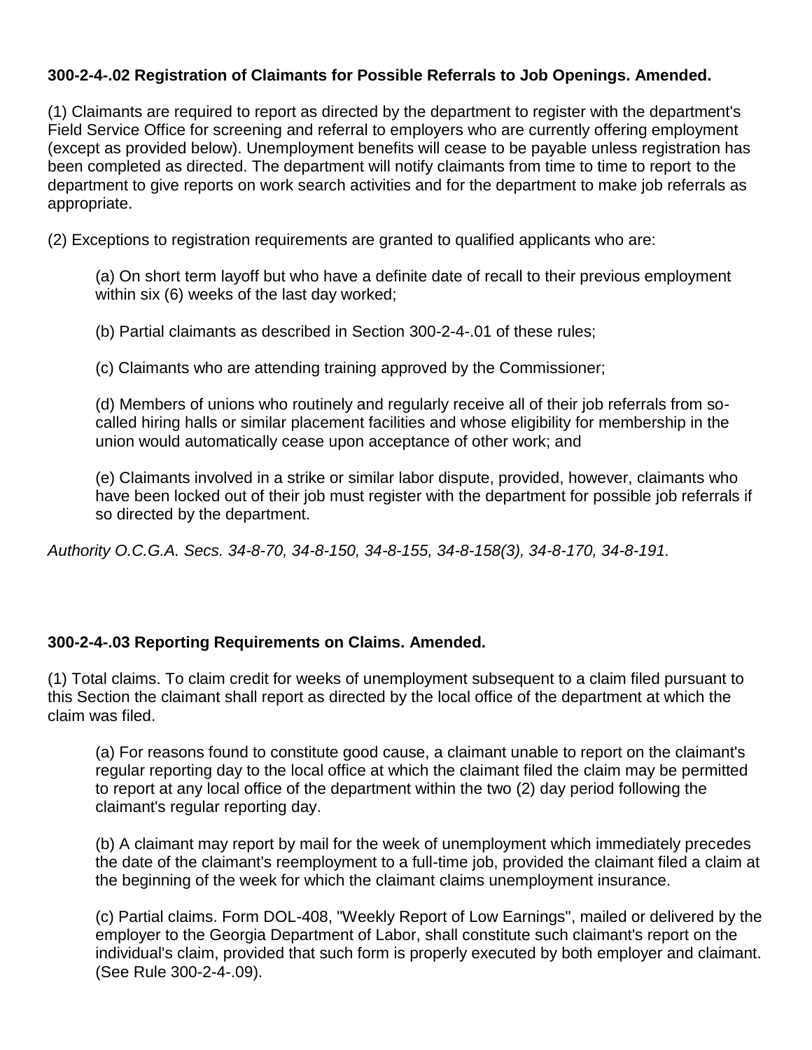## **300-2-4-.02 Registration of Claimants for Possible Referrals to Job Openings. Amended.**

(1) Claimants are required to report as directed by the department to register with the department's Field Service Office for screening and referral to employers who are currently offering employment (except as provided below). Unemployment benefits will cease to be payable unless registration has been completed as directed. The department will notify claimants from time to time to report to the department to give reports on work search activities and for the department to make job referrals as appropriate.

(2) Exceptions to registration requirements are granted to qualified applicants who are:

(a) On short term layoff but who have a definite date of recall to their previous employment within six (6) weeks of the last day worked;

(b) Partial claimants as described in Section 300-2-4-.01 of these rules;

(c) Claimants who are attending training approved by the Commissioner;

(d) Members of unions who routinely and regularly receive all of their job referrals from socalled hiring halls or similar placement facilities and whose eligibility for membership in the union would automatically cease upon acceptance of other work; and

(e) Claimants involved in a strike or similar labor dispute, provided, however, claimants who have been locked out of their job must register with the department for possible job referrals if so directed by the department.

*Authority O.C.G.A. Secs. 34-8-70, 34-8-150, 34-8-155, 34-8-158(3), 34-8-170, 34-8-191.*

## **300-2-4-.03 Reporting Requirements on Claims. Amended.**

(1) Total claims. To claim credit for weeks of unemployment subsequent to a claim filed pursuant to this Section the claimant shall report as directed by the local office of the department at which the claim was filed.

(a) For reasons found to constitute good cause, a claimant unable to report on the claimant's regular reporting day to the local office at which the claimant filed the claim may be permitted to report at any local office of the department within the two (2) day period following the claimant's regular reporting day.

(b) A claimant may report by mail for the week of unemployment which immediately precedes the date of the claimant's reemployment to a full-time job, provided the claimant filed a claim at the beginning of the week for which the claimant claims unemployment insurance.

(c) Partial claims. Form DOL-408, "Weekly Report of Low Earnings", mailed or delivered by the employer to the Georgia Department of Labor, shall constitute such claimant's report on the individual's claim, provided that such form is properly executed by both employer and claimant. (See [Rule 300-2-4-.09\)](https://www.lexis.com/research/buttonTFLink?_m=817165f7f7409930a638391aaef280df&_xfercite=%3ccite%20cc%3d%22USA%22%3e%3c%21%5bCDATA%5bGa.%20Comp.%20R.%20%26%20Regs.%20r.%20300-2-4-.03%5d%5d%3e%3c%2fcite%3e&_butType=4&_butStat=0&_butNum=1&_butInline=1&_butinfo=GA%20ADMIN%20300-2-4-.09&_fmtstr=FULL&docnum=3&_startdoc=1&wchp=dGLbVzk-zSkAl&_md5=8203aba7fc671993e3b4908bb00dfe53).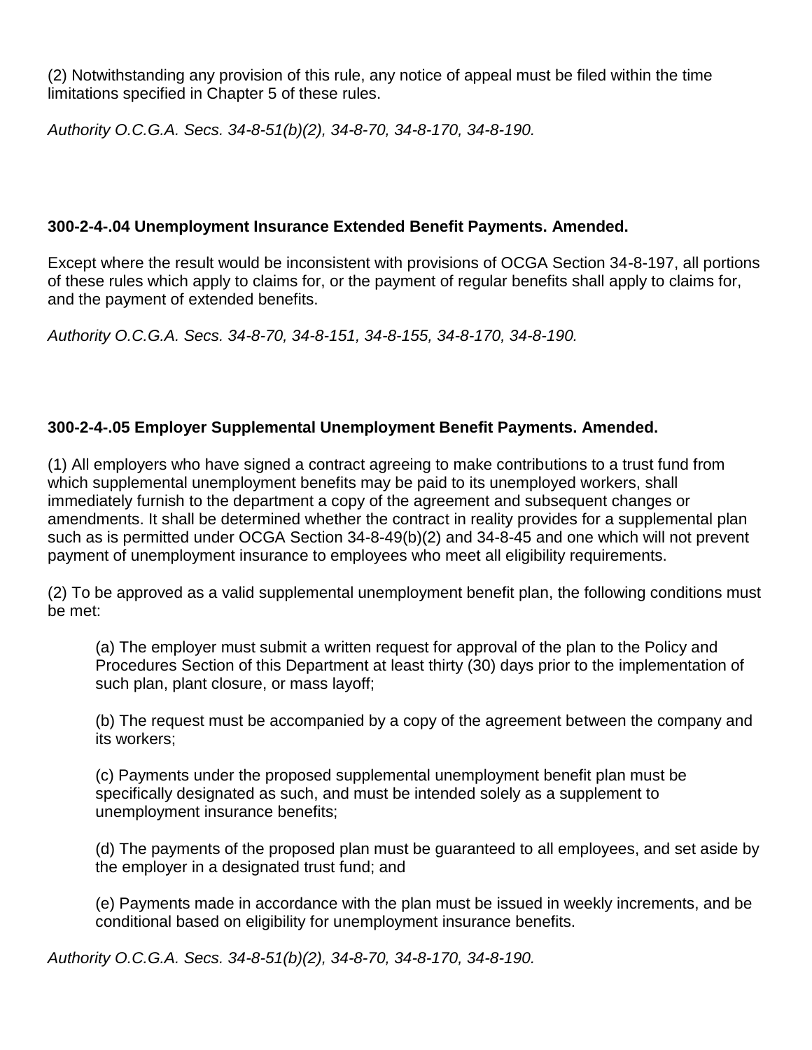(2) Notwithstanding any provision of this rule, any notice of appeal must be filed within the time limitations specified in Chapter 5 of these rules.

*Authority O.C.G.A. Secs. 34-8-51(b)(2), 34-8-70, 34-8-170, 34-8-190.*

#### **300-2-4-.04 Unemployment Insurance Extended Benefit Payments. Amended.**

Except where the result would be inconsistent with provisions of OCGA Section 34-8-197, all portions of these rules which apply to claims for, or the payment of regular benefits shall apply to claims for, and the payment of extended benefits.

*Authority O.C.G.A. Secs. 34-8-70, 34-8-151, 34-8-155, 34-8-170, 34-8-190.*

#### **300-2-4-.05 Employer Supplemental Unemployment Benefit Payments. Amended.**

(1) All employers who have signed a contract agreeing to make contributions to a trust fund from which supplemental unemployment benefits may be paid to its unemployed workers, shall immediately furnish to the department a copy of the agreement and subsequent changes or amendments. It shall be determined whether the contract in reality provides for a supplemental plan such as is permitted under OCGA Section 34-8-49(b)(2) and [34-8-45](https://www.lexis.com/research/buttonTFLink?_m=4035e4b71be6f5c27ca71c67b6631b1d&_xfercite=%3ccite%20cc%3d%22USA%22%3e%3c%21%5bCDATA%5bGa.%20Comp.%20R.%20%26%20Regs.%20r.%20300-2-4-.05%5d%5d%3e%3c%2fcite%3e&_butType=4&_butStat=0&_butNum=2&_butInline=1&_butinfo=GACODE%2034-8-45&_fmtstr=FULL&docnum=5&_startdoc=1&wchp=dGLbVzk-zSkAl&_md5=7ef1a223c9e3b0c527d2ec7168c10f32) and one which will not prevent payment of unemployment insurance to employees who meet all eligibility requirements.

(2) To be approved as a valid supplemental unemployment benefit plan, the following conditions must be met:

(a) The employer must submit a written request for approval of the plan to the Policy and Procedures Section of this Department at least thirty (30) days prior to the implementation of such plan, plant closure, or mass layoff;

(b) The request must be accompanied by a copy of the agreement between the company and its workers;

(c) Payments under the proposed supplemental unemployment benefit plan must be specifically designated as such, and must be intended solely as a supplement to unemployment insurance benefits;

(d) The payments of the proposed plan must be guaranteed to all employees, and set aside by the employer in a designated trust fund; and

(e) Payments made in accordance with the plan must be issued in weekly increments, and be conditional based on eligibility for unemployment insurance benefits.

*Authority O.C.G.A. Secs. 34-8-51(b)(2), 34-8-70, 34-8-170, 34-8-190.*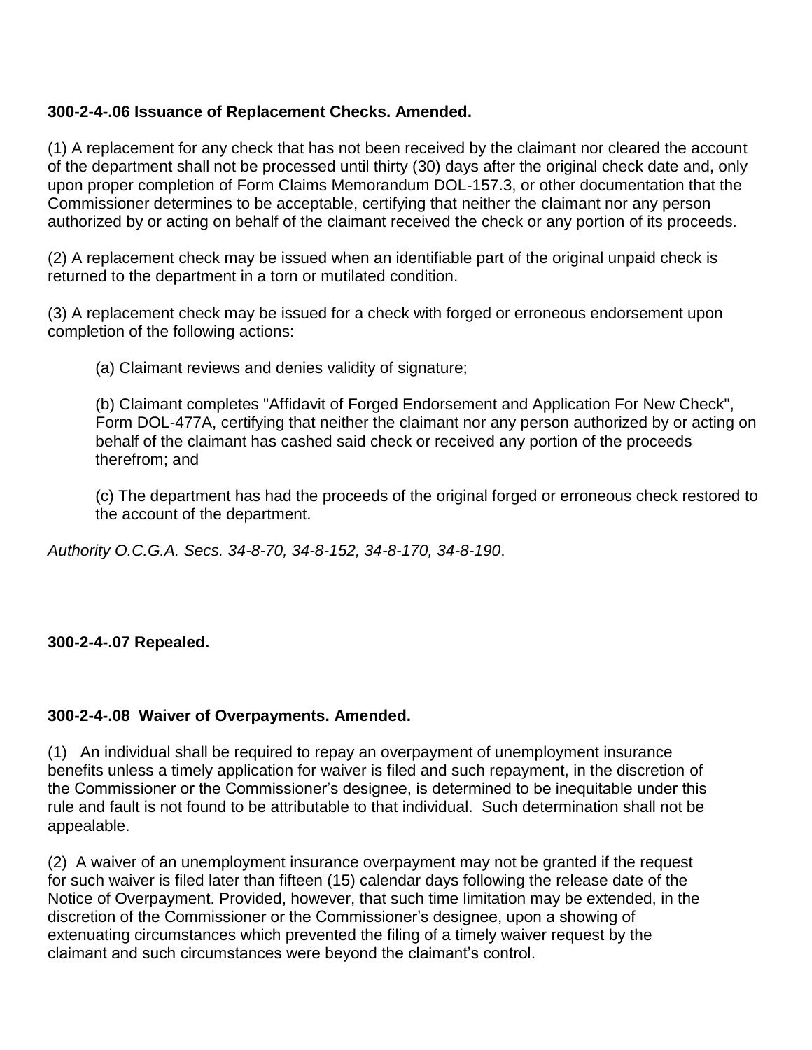## **300-2-4-.06 Issuance of Replacement Checks. Amended.**

(1) A replacement for any check that has not been received by the claimant nor cleared the account of the department shall not be processed until thirty (30) days after the original check date and, only upon proper completion of Form Claims Memorandum DOL-157.3, or other documentation that the Commissioner determines to be acceptable, certifying that neither the claimant nor any person authorized by or acting on behalf of the claimant received the check or any portion of its proceeds.

(2) A replacement check may be issued when an identifiable part of the original unpaid check is returned to the department in a torn or mutilated condition.

(3) A replacement check may be issued for a check with forged or erroneous endorsement upon completion of the following actions:

(a) Claimant reviews and denies validity of signature;

(b) Claimant completes "Affidavit of Forged Endorsement and Application For New Check", Form DOL-477A, certifying that neither the claimant nor any person authorized by or acting on behalf of the claimant has cashed said check or received any portion of the proceeds therefrom; and

(c) The department has had the proceeds of the original forged or erroneous check restored to the account of the department.

*Authority O.C.G.A. Secs. 34-8-70, 34-8-152, 34-8-170, 34-8-190*.

#### **300-2-4-.07 Repealed.**

#### **300-2-4-.08 Waiver of Overpayments. Amended.**

(1) An individual shall be required to repay an overpayment of unemployment insurance benefits unless a timely application for waiver is filed and such repayment, in the discretion of the Commissioner or the Commissioner's designee, is determined to be inequitable under this rule and fault is not found to be attributable to that individual. Such determination shall not be appealable.

(2) A waiver of an unemployment insurance overpayment may not be granted if the request for such waiver is filed later than fifteen (15) calendar days following the release date of the Notice of Overpayment. Provided, however, that such time limitation may be extended, in the discretion of the Commissioner or the Commissioner's designee, upon a showing of extenuating circumstances which prevented the filing of a timely waiver request by the claimant and such circumstances were beyond the claimant's control.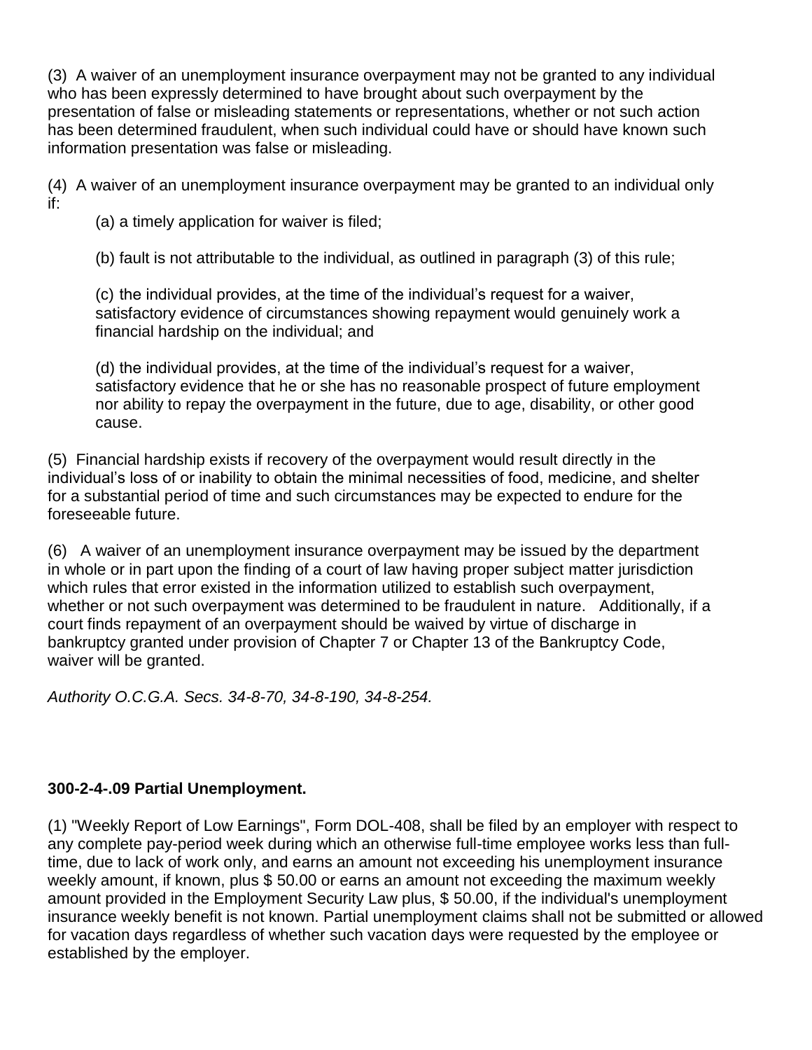(3) A waiver of an unemployment insurance overpayment may not be granted to any individual who has been expressly determined to have brought about such overpayment by the presentation of false or misleading statements or representations, whether or not such action has been determined fraudulent, when such individual could have or should have known such information presentation was false or misleading.

(4) A waiver of an unemployment insurance overpayment may be granted to an individual only if:

(a) a timely application for waiver is filed;

(b) fault is not attributable to the individual, as outlined in paragraph (3) of this rule;

(c) the individual provides, at the time of the individual's request for a waiver, satisfactory evidence of circumstances showing repayment would genuinely work a financial hardship on the individual; and

(d) the individual provides, at the time of the individual's request for a waiver, satisfactory evidence that he or she has no reasonable prospect of future employment nor ability to repay the overpayment in the future, due to age, disability, or other good cause.

(5) Financial hardship exists if recovery of the overpayment would result directly in the individual's loss of or inability to obtain the minimal necessities of food, medicine, and shelter for a substantial period of time and such circumstances may be expected to endure for the foreseeable future.

(6) A waiver of an unemployment insurance overpayment may be issued by the department in whole or in part upon the finding of a court of law having proper subject matter jurisdiction which rules that error existed in the information utilized to establish such overpayment, whether or not such overpayment was determined to be fraudulent in nature. Additionally, if a court finds repayment of an overpayment should be waived by virtue of discharge in bankruptcy granted under provision of Chapter 7 or Chapter 13 of the Bankruptcy Code, waiver will be granted.

*Authority O.C.G.A. Secs. 34-8-70, 34-8-190, 34-8-254.* 

# **300-2-4-.09 Partial Unemployment.**

(1) "Weekly Report of Low Earnings", Form DOL-408, shall be filed by an employer with respect to any complete pay-period week during which an otherwise full-time employee works less than fulltime, due to lack of work only, and earns an amount not exceeding his unemployment insurance weekly amount, if known, plus \$ 50.00 or earns an amount not exceeding the maximum weekly amount provided in the Employment Security Law plus, \$ 50.00, if the individual's unemployment insurance weekly benefit is not known. Partial unemployment claims shall not be submitted or allowed for vacation days regardless of whether such vacation days were requested by the employee or established by the employer.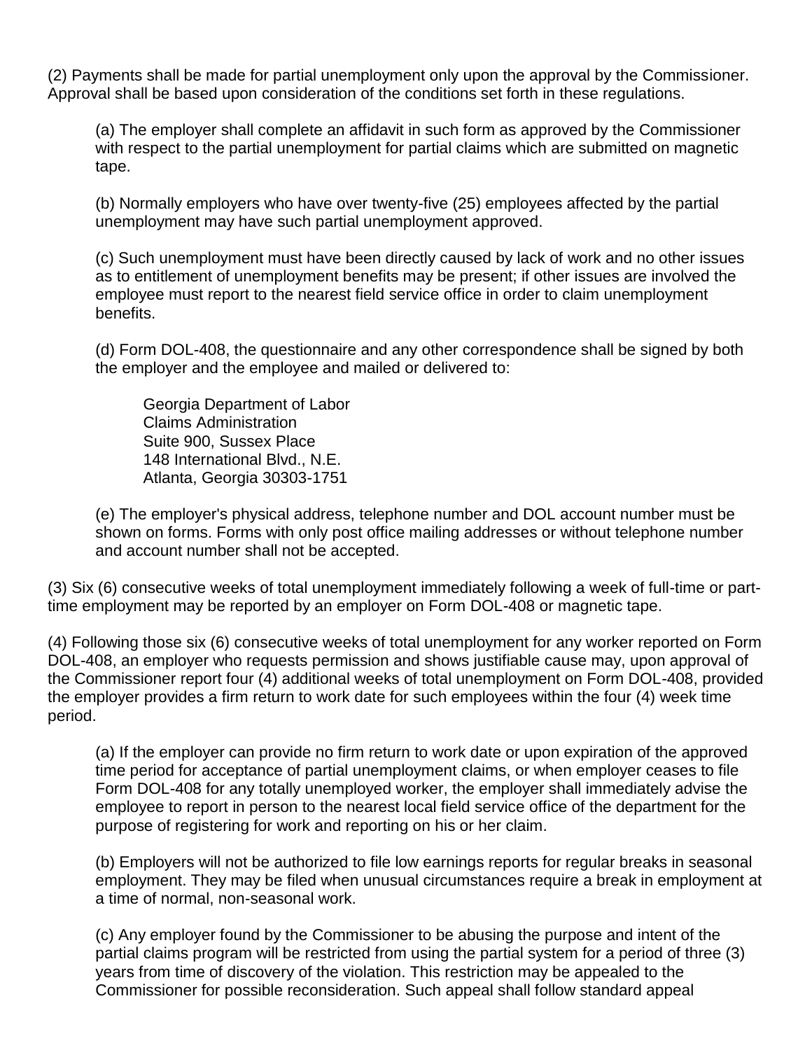(2) Payments shall be made for partial unemployment only upon the approval by the Commissioner. Approval shall be based upon consideration of the conditions set forth in these regulations.

(a) The employer shall complete an affidavit in such form as approved by the Commissioner with respect to the partial unemployment for partial claims which are submitted on magnetic tape.

(b) Normally employers who have over twenty-five (25) employees affected by the partial unemployment may have such partial unemployment approved.

(c) Such unemployment must have been directly caused by lack of work and no other issues as to entitlement of unemployment benefits may be present; if other issues are involved the employee must report to the nearest field service office in order to claim unemployment benefits.

(d) Form DOL-408, the questionnaire and any other correspondence shall be signed by both the employer and the employee and mailed or delivered to:

Georgia Department of Labor Claims Administration Suite 900, Sussex Place 148 International Blvd., N.E. Atlanta, Georgia 30303-1751

(e) The employer's physical address, telephone number and DOL account number must be shown on forms. Forms with only post office mailing addresses or without telephone number and account number shall not be accepted.

(3) Six (6) consecutive weeks of total unemployment immediately following a week of full-time or parttime employment may be reported by an employer on Form DOL-408 or magnetic tape.

(4) Following those six (6) consecutive weeks of total unemployment for any worker reported on Form DOL-408, an employer who requests permission and shows justifiable cause may, upon approval of the Commissioner report four (4) additional weeks of total unemployment on Form DOL-408, provided the employer provides a firm return to work date for such employees within the four (4) week time period.

(a) If the employer can provide no firm return to work date or upon expiration of the approved time period for acceptance of partial unemployment claims, or when employer ceases to file Form DOL-408 for any totally unemployed worker, the employer shall immediately advise the employee to report in person to the nearest local field service office of the department for the purpose of registering for work and reporting on his or her claim.

(b) Employers will not be authorized to file low earnings reports for regular breaks in seasonal employment. They may be filed when unusual circumstances require a break in employment at a time of normal, non-seasonal work.

(c) Any employer found by the Commissioner to be abusing the purpose and intent of the partial claims program will be restricted from using the partial system for a period of three (3) years from time of discovery of the violation. This restriction may be appealed to the Commissioner for possible reconsideration. Such appeal shall follow standard appeal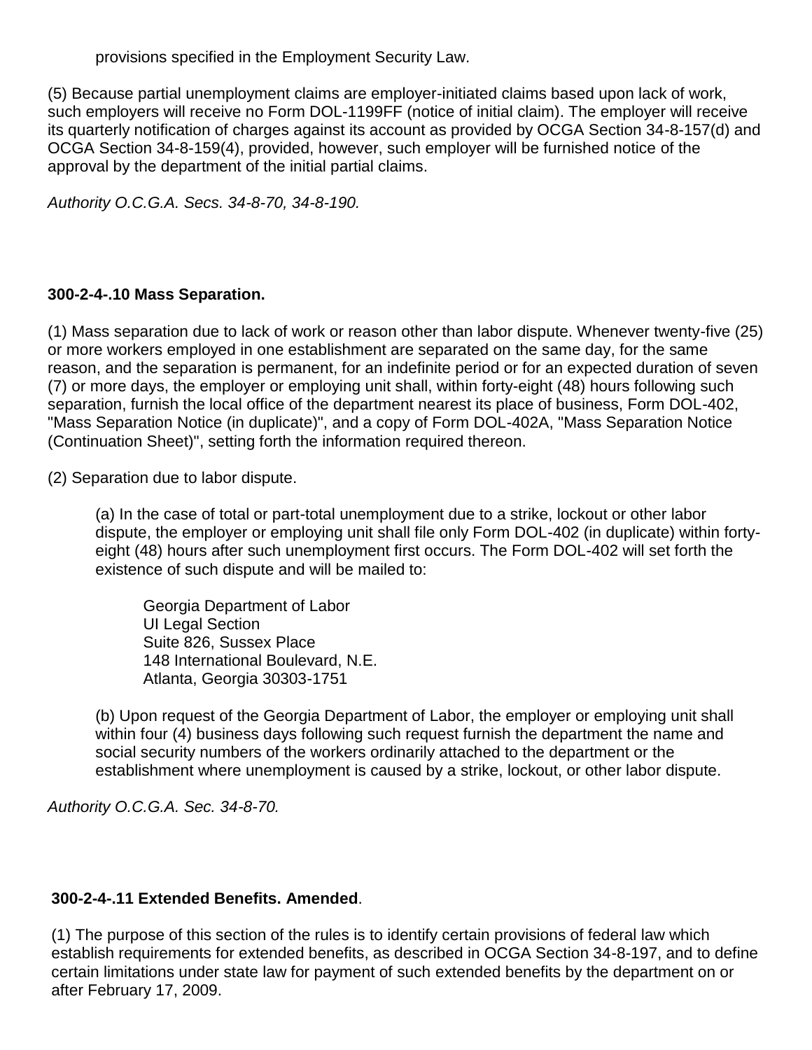provisions specified in the Employment Security Law.

(5) Because partial unemployment claims are employer-initiated claims based upon lack of work, such employers will receive no Form DOL-1199FF (notice of initial claim). The employer will receive its quarterly notification of charges against its account as provided by OCGA Section 34-8-157(d) and OCGA Section 34-8-159(4), provided, however, such employer will be furnished notice of the approval by the department of the initial partial claims.

*Authority O.C.G.A. Secs. 34-8-70, 34-8-190.*

# **300-2-4-.10 Mass Separation.**

(1) Mass separation due to lack of work or reason other than labor dispute. Whenever twenty-five (25) or more workers employed in one establishment are separated on the same day, for the same reason, and the separation is permanent, for an indefinite period or for an expected duration of seven (7) or more days, the employer or employing unit shall, within forty-eight (48) hours following such separation, furnish the local office of the department nearest its place of business, Form DOL-402, "Mass Separation Notice (in duplicate)", and a copy of Form DOL-402A, "Mass Separation Notice (Continuation Sheet)", setting forth the information required thereon.

(2) Separation due to labor dispute.

(a) In the case of total or part-total unemployment due to a strike, lockout or other labor dispute, the employer or employing unit shall file only Form DOL-402 (in duplicate) within fortyeight (48) hours after such unemployment first occurs. The Form DOL-402 will set forth the existence of such dispute and will be mailed to:

Georgia Department of Labor UI Legal Section Suite 826, Sussex Place 148 International Boulevard, N.E. Atlanta, Georgia 30303-1751

(b) Upon request of the Georgia Department of Labor, the employer or employing unit shall within four (4) business days following such request furnish the department the name and social security numbers of the workers ordinarily attached to the department or the establishment where unemployment is caused by a strike, lockout, or other labor dispute.

*Authority O.C.G.A. Sec. 34-8-70.*

# **300-2-4-.11 Extended Benefits. Amended**.

(1) The purpose of this section of the rules is to identify certain provisions of federal law which establish requirements for extended benefits, as described in OCGA Section 34-8-197, and to define certain limitations under state law for payment of such extended benefits by the department on or after February 17, 2009.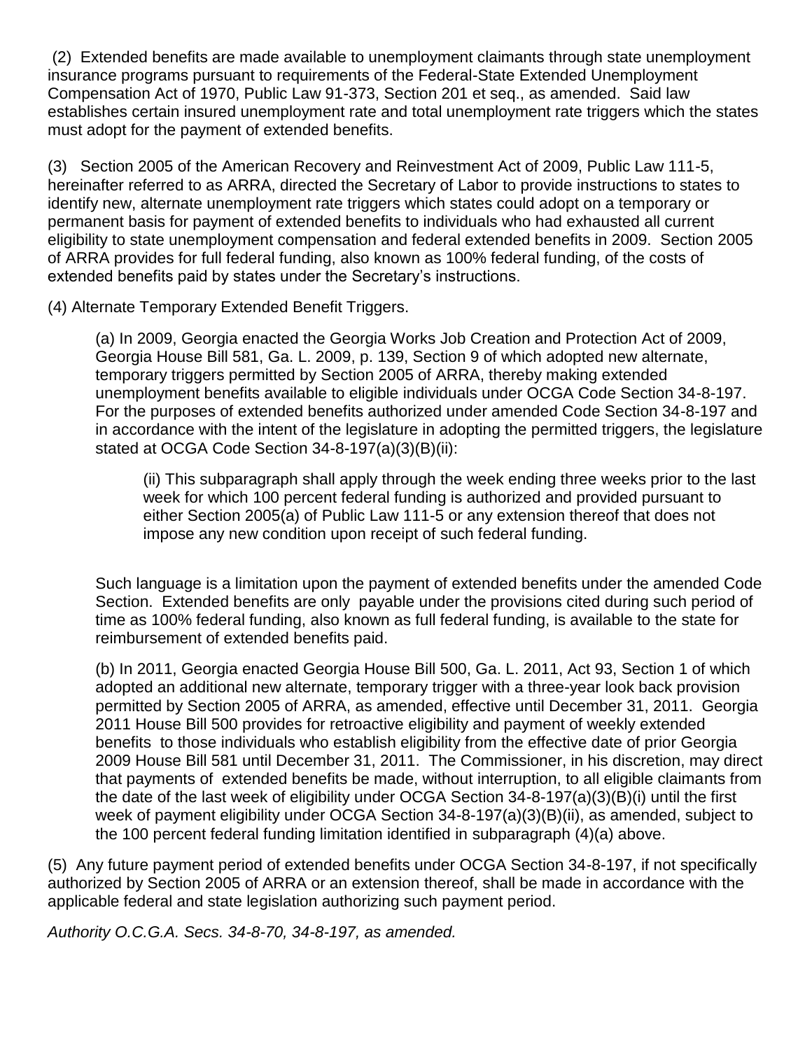(2) Extended benefits are made available to unemployment claimants through state unemployment insurance programs pursuant to requirements of the Federal-State Extended Unemployment Compensation Act of 1970, Public Law 91-373, Section 201 et seq., as amended. Said law establishes certain insured unemployment rate and total unemployment rate triggers which the states must adopt for the payment of extended benefits.

(3) Section 2005 of the American Recovery and Reinvestment Act of 2009, Public Law 111-5, hereinafter referred to as ARRA, directed the Secretary of Labor to provide instructions to states to identify new, alternate unemployment rate triggers which states could adopt on a temporary or permanent basis for payment of extended benefits to individuals who had exhausted all current eligibility to state unemployment compensation and federal extended benefits in 2009. Section 2005 of ARRA provides for full federal funding, also known as 100% federal funding, of the costs of extended benefits paid by states under the Secretary's instructions.

(4) Alternate Temporary Extended Benefit Triggers.

(a) In 2009, Georgia enacted the Georgia Works Job Creation and Protection Act of 2009, Georgia House Bill 581, Ga. L. 2009, p. 139, Section 9 of which adopted new alternate, temporary triggers permitted by Section 2005 of ARRA, thereby making extended unemployment benefits available to eligible individuals under OCGA Code Section 34-8-197. For the purposes of extended benefits authorized under amended Code Section 34-8-197 and in accordance with the intent of the legislature in adopting the permitted triggers, the legislature stated at OCGA Code Section 34-8-197(a)(3)(B)(ii):

(ii) This subparagraph shall apply through the week ending three weeks prior to the last week for which 100 percent federal funding is authorized and provided pursuant to either Section 2005(a) of Public Law 111-5 or any extension thereof that does not impose any new condition upon receipt of such federal funding.

Such language is a limitation upon the payment of extended benefits under the amended Code Section. Extended benefits are only payable under the provisions cited during such period of time as 100% federal funding, also known as full federal funding, is available to the state for reimbursement of extended benefits paid.

(b) In 2011, Georgia enacted Georgia House Bill 500, Ga. L. 2011, Act 93, Section 1 of which adopted an additional new alternate, temporary trigger with a three-year look back provision permitted by Section 2005 of ARRA, as amended, effective until December 31, 2011. Georgia 2011 House Bill 500 provides for retroactive eligibility and payment of weekly extended benefits to those individuals who establish eligibility from the effective date of prior Georgia 2009 House Bill 581 until December 31, 2011. The Commissioner, in his discretion, may direct that payments of extended benefits be made, without interruption, to all eligible claimants from the date of the last week of eligibility under OCGA Section 34-8-197(a)(3)(B)(i) until the first week of payment eligibility under OCGA Section 34-8-197(a)(3)(B)(ii), as amended, subject to the 100 percent federal funding limitation identified in subparagraph (4)(a) above.

(5) Any future payment period of extended benefits under OCGA Section 34-8-197, if not specifically authorized by Section 2005 of ARRA or an extension thereof, shall be made in accordance with the applicable federal and state legislation authorizing such payment period.

*Authority O.C.G.A. Secs. 34-8-70, 34-8-197, as amended.*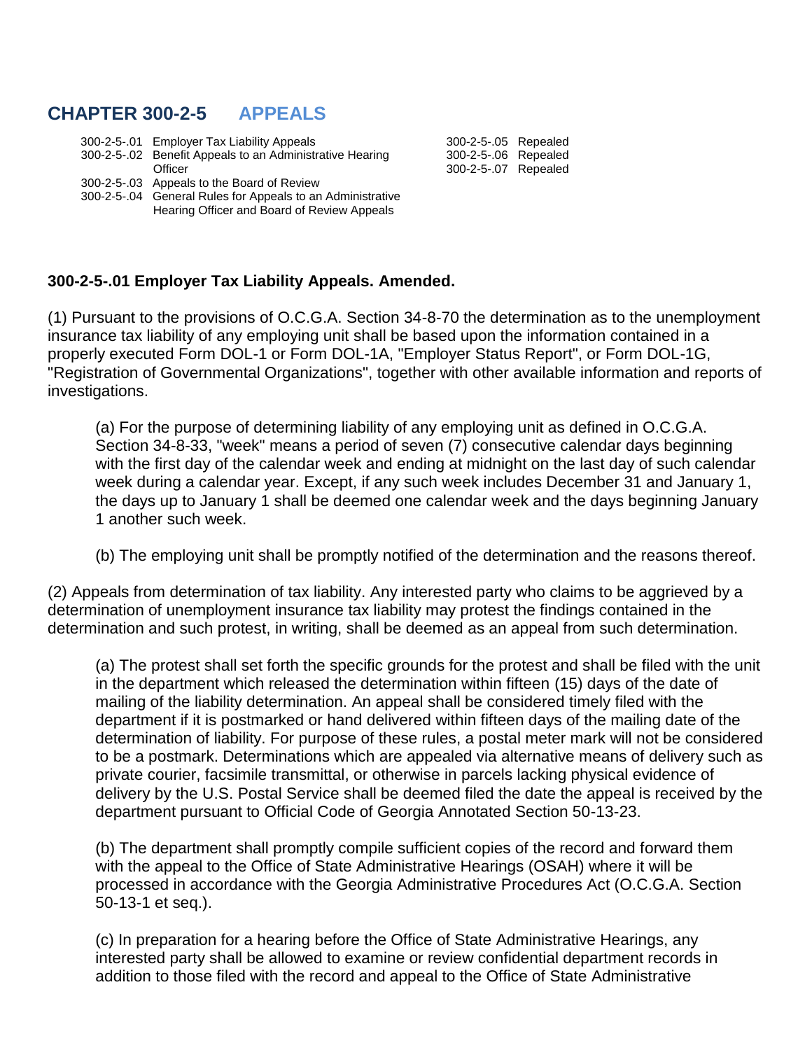# **CHAPTER 300-2-5 APPEALS**

|  | 300-2-5-.01 Employer Tax Liability Appeals                 | 300-2-5-.05 Repealed |  |
|--|------------------------------------------------------------|----------------------|--|
|  | 300-2-5-02 Benefit Appeals to an Administrative Hearing    | 300-2-5-.06 Repealed |  |
|  | Officer                                                    | 300-2-5-.07 Repealed |  |
|  | 300-2-5-03 Appeals to the Board of Review                  |                      |  |
|  | 300-2-5-.04 General Rules for Appeals to an Administrative |                      |  |
|  | Hearing Officer and Board of Review Appeals                |                      |  |

#### **300-2-5-.01 Employer Tax Liability Appeals. Amended.**

(1) Pursuant to the provisions of O.C.G.A. Section 34-8-70 the determination as to the unemployment insurance tax liability of any employing unit shall be based upon the information contained in a properly executed Form DOL-1 or Form DOL-1A, "Employer Status Report", or Form DOL-1G, "Registration of Governmental Organizations", together with other available information and reports of investigations.

(a) For the purpose of determining liability of any employing unit as defined in O.C.G.A. Section 34-8-33, "week" means a period of seven (7) consecutive calendar days beginning with the first day of the calendar week and ending at midnight on the last day of such calendar week during a calendar year. Except, if any such week includes December 31 and January 1, the days up to January 1 shall be deemed one calendar week and the days beginning January 1 another such week.

(b) The employing unit shall be promptly notified of the determination and the reasons thereof.

(2) Appeals from determination of tax liability. Any interested party who claims to be aggrieved by a determination of unemployment insurance tax liability may protest the findings contained in the determination and such protest, in writing, shall be deemed as an appeal from such determination.

(a) The protest shall set forth the specific grounds for the protest and shall be filed with the unit in the department which released the determination within fifteen (15) days of the date of mailing of the liability determination. An appeal shall be considered timely filed with the department if it is postmarked or hand delivered within fifteen days of the mailing date of the determination of liability. For purpose of these rules, a postal meter mark will not be considered to be a postmark. Determinations which are appealed via alternative means of delivery such as private courier, facsimile transmittal, or otherwise in parcels lacking physical evidence of delivery by the U.S. Postal Service shall be deemed filed the date the appeal is received by the department pursuant to Official Code of Georgia Annotated Section 50-13-23.

(b) The department shall promptly compile sufficient copies of the record and forward them with the appeal to the Office of State Administrative Hearings (OSAH) where it will be processed in accordance with the Georgia Administrative Procedures Act (O.C.G.A. Section 50-13-1 et seq.).

(c) In preparation for a hearing before the Office of State Administrative Hearings, any interested party shall be allowed to examine or review confidential department records in addition to those filed with the record and appeal to the Office of State Administrative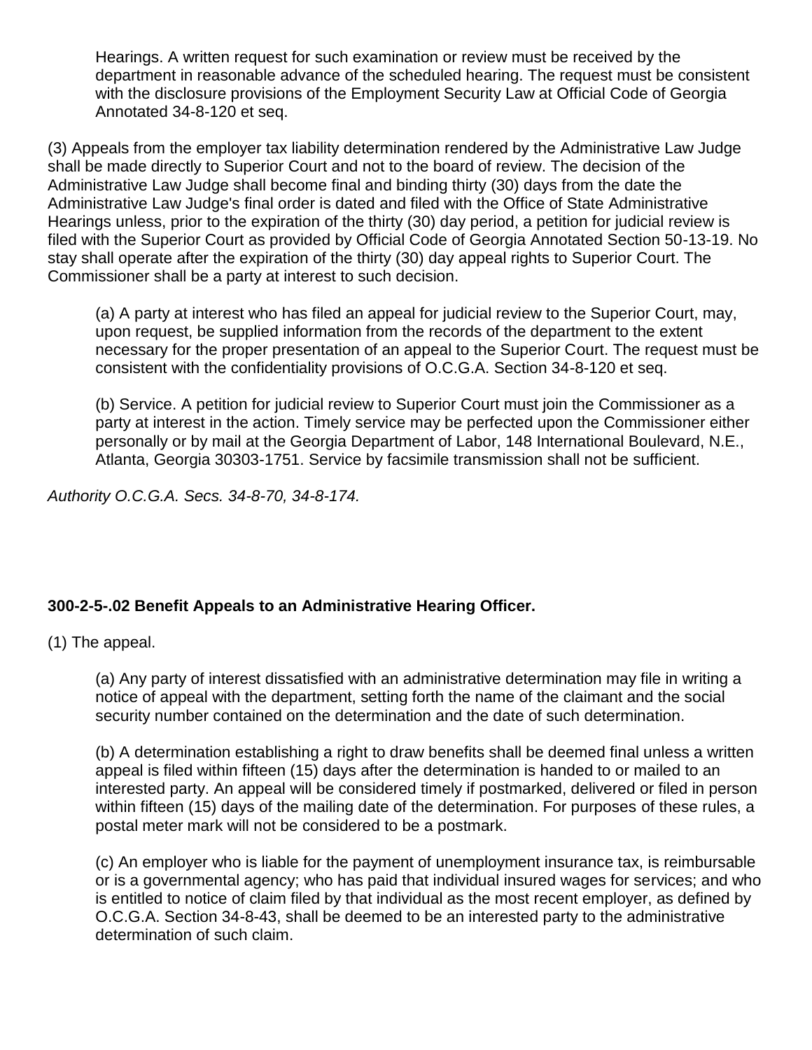Hearings. A written request for such examination or review must be received by the department in reasonable advance of the scheduled hearing. The request must be consistent with the disclosure provisions of the Employment Security Law at Official Code of Georgia Annotated 34-8-120 et seq.

(3) Appeals from the employer tax liability determination rendered by the Administrative Law Judge shall be made directly to Superior Court and not to the board of review. The decision of the Administrative Law Judge shall become final and binding thirty (30) days from the date the Administrative Law Judge's final order is dated and filed with the Office of State Administrative Hearings unless, prior to the expiration of the thirty (30) day period, a petition for judicial review is filed with the Superior Court as provided by Official Code of Georgia Annotated Section 50-13-19. No stay shall operate after the expiration of the thirty (30) day appeal rights to Superior Court. The Commissioner shall be a party at interest to such decision.

(a) A party at interest who has filed an appeal for judicial review to the Superior Court, may, upon request, be supplied information from the records of the department to the extent necessary for the proper presentation of an appeal to the Superior Court. The request must be consistent with the confidentiality provisions of O.C.G.A. Section 34-8-120 et seq.

(b) Service. A petition for judicial review to Superior Court must join the Commissioner as a party at interest in the action. Timely service may be perfected upon the Commissioner either personally or by mail at the Georgia Department of Labor, 148 International Boulevard, N.E., Atlanta, Georgia 30303-1751. Service by facsimile transmission shall not be sufficient.

*Authority O.C.G.A. Secs. 34-8-70, 34-8-174.*

# **300-2-5-.02 Benefit Appeals to an Administrative Hearing Officer.**

(1) The appeal.

(a) Any party of interest dissatisfied with an administrative determination may file in writing a notice of appeal with the department, setting forth the name of the claimant and the social security number contained on the determination and the date of such determination.

(b) A determination establishing a right to draw benefits shall be deemed final unless a written appeal is filed within fifteen (15) days after the determination is handed to or mailed to an interested party. An appeal will be considered timely if postmarked, delivered or filed in person within fifteen (15) days of the mailing date of the determination. For purposes of these rules, a postal meter mark will not be considered to be a postmark.

(c) An employer who is liable for the payment of unemployment insurance tax, is reimbursable or is a governmental agency; who has paid that individual insured wages for services; and who is entitled to notice of claim filed by that individual as the most recent employer, as defined by O.C.G.A. Section 34-8-43, shall be deemed to be an interested party to the administrative determination of such claim.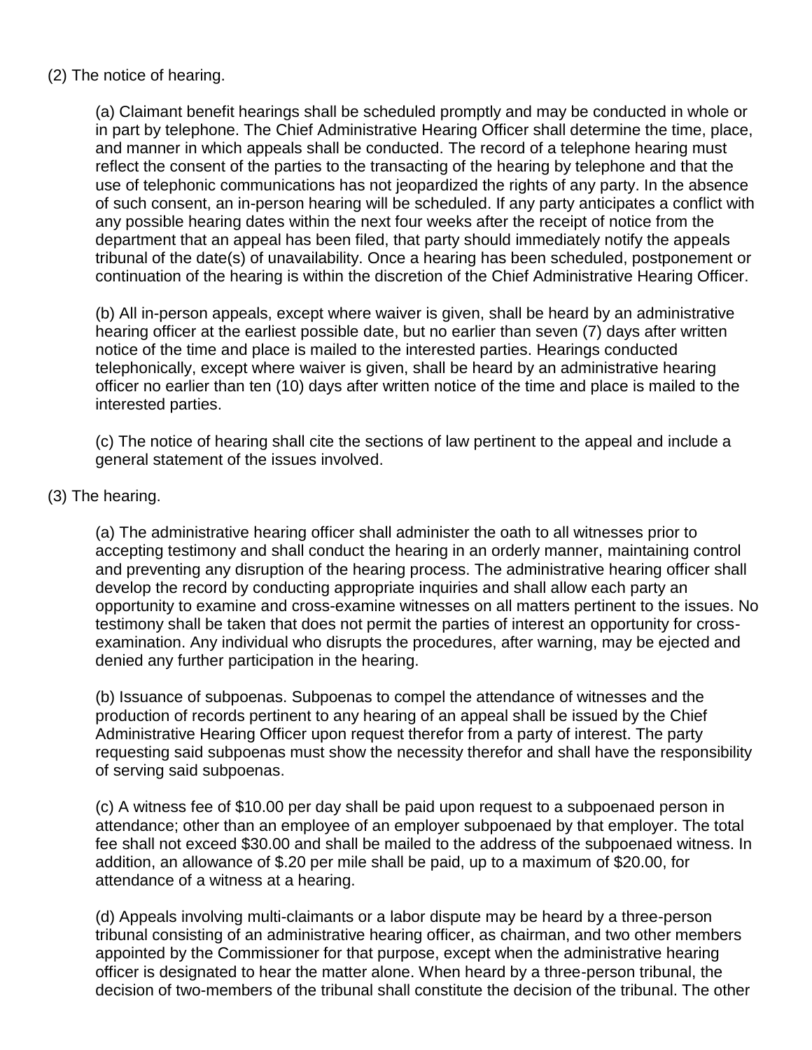### (2) The notice of hearing.

(a) Claimant benefit hearings shall be scheduled promptly and may be conducted in whole or in part by telephone. The Chief Administrative Hearing Officer shall determine the time, place, and manner in which appeals shall be conducted. The record of a telephone hearing must reflect the consent of the parties to the transacting of the hearing by telephone and that the use of telephonic communications has not jeopardized the rights of any party. In the absence of such consent, an in-person hearing will be scheduled. If any party anticipates a conflict with any possible hearing dates within the next four weeks after the receipt of notice from the department that an appeal has been filed, that party should immediately notify the appeals tribunal of the date(s) of unavailability. Once a hearing has been scheduled, postponement or continuation of the hearing is within the discretion of the Chief Administrative Hearing Officer.

(b) All in-person appeals, except where waiver is given, shall be heard by an administrative hearing officer at the earliest possible date, but no earlier than seven (7) days after written notice of the time and place is mailed to the interested parties. Hearings conducted telephonically, except where waiver is given, shall be heard by an administrative hearing officer no earlier than ten (10) days after written notice of the time and place is mailed to the interested parties.

(c) The notice of hearing shall cite the sections of law pertinent to the appeal and include a general statement of the issues involved.

### (3) The hearing.

(a) The administrative hearing officer shall administer the oath to all witnesses prior to accepting testimony and shall conduct the hearing in an orderly manner, maintaining control and preventing any disruption of the hearing process. The administrative hearing officer shall develop the record by conducting appropriate inquiries and shall allow each party an opportunity to examine and cross-examine witnesses on all matters pertinent to the issues. No testimony shall be taken that does not permit the parties of interest an opportunity for crossexamination. Any individual who disrupts the procedures, after warning, may be ejected and denied any further participation in the hearing.

(b) Issuance of subpoenas. Subpoenas to compel the attendance of witnesses and the production of records pertinent to any hearing of an appeal shall be issued by the Chief Administrative Hearing Officer upon request therefor from a party of interest. The party requesting said subpoenas must show the necessity therefor and shall have the responsibility of serving said subpoenas.

(c) A witness fee of \$10.00 per day shall be paid upon request to a subpoenaed person in attendance; other than an employee of an employer subpoenaed by that employer. The total fee shall not exceed \$30.00 and shall be mailed to the address of the subpoenaed witness. In addition, an allowance of \$.20 per mile shall be paid, up to a maximum of \$20.00, for attendance of a witness at a hearing.

(d) Appeals involving multi-claimants or a labor dispute may be heard by a three-person tribunal consisting of an administrative hearing officer, as chairman, and two other members appointed by the Commissioner for that purpose, except when the administrative hearing officer is designated to hear the matter alone. When heard by a three-person tribunal, the decision of two-members of the tribunal shall constitute the decision of the tribunal. The other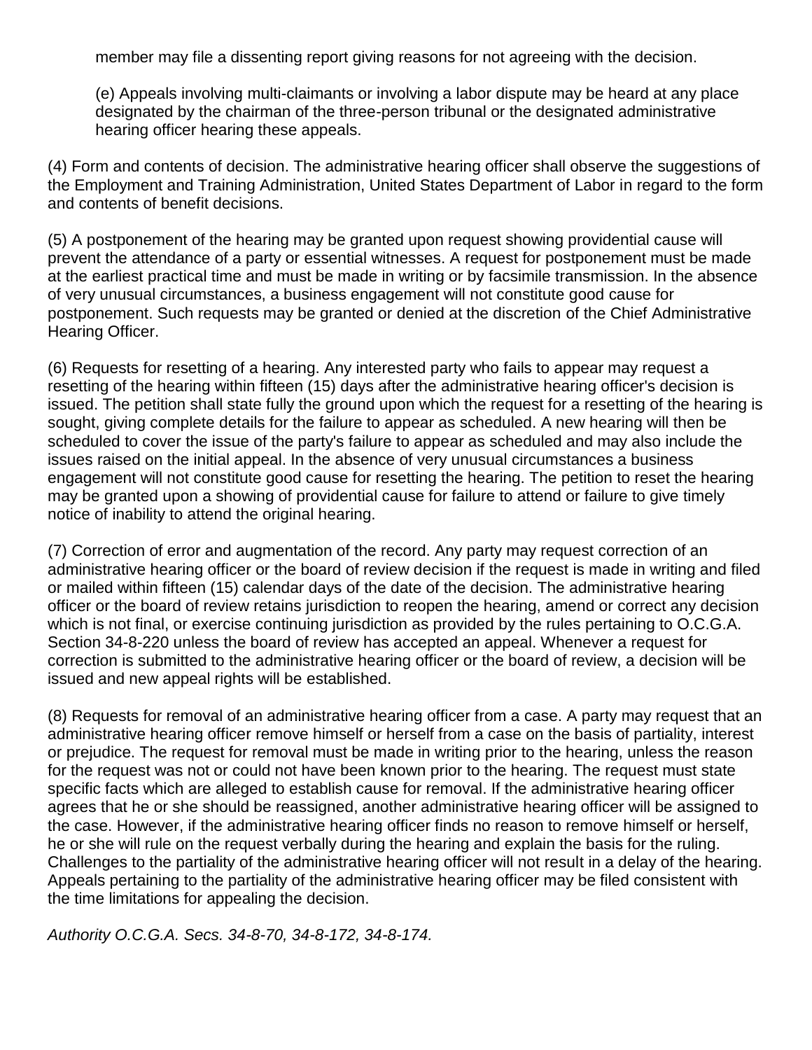member may file a dissenting report giving reasons for not agreeing with the decision.

(e) Appeals involving multi-claimants or involving a labor dispute may be heard at any place designated by the chairman of the three-person tribunal or the designated administrative hearing officer hearing these appeals.

(4) Form and contents of decision. The administrative hearing officer shall observe the suggestions of the Employment and Training Administration, United States Department of Labor in regard to the form and contents of benefit decisions.

(5) A postponement of the hearing may be granted upon request showing providential cause will prevent the attendance of a party or essential witnesses. A request for postponement must be made at the earliest practical time and must be made in writing or by facsimile transmission. In the absence of very unusual circumstances, a business engagement will not constitute good cause for postponement. Such requests may be granted or denied at the discretion of the Chief Administrative Hearing Officer.

(6) Requests for resetting of a hearing. Any interested party who fails to appear may request a resetting of the hearing within fifteen (15) days after the administrative hearing officer's decision is issued. The petition shall state fully the ground upon which the request for a resetting of the hearing is sought, giving complete details for the failure to appear as scheduled. A new hearing will then be scheduled to cover the issue of the party's failure to appear as scheduled and may also include the issues raised on the initial appeal. In the absence of very unusual circumstances a business engagement will not constitute good cause for resetting the hearing. The petition to reset the hearing may be granted upon a showing of providential cause for failure to attend or failure to give timely notice of inability to attend the original hearing.

(7) Correction of error and augmentation of the record. Any party may request correction of an administrative hearing officer or the board of review decision if the request is made in writing and filed or mailed within fifteen (15) calendar days of the date of the decision. The administrative hearing officer or the board of review retains jurisdiction to reopen the hearing, amend or correct any decision which is not final, or exercise continuing jurisdiction as provided by the rules pertaining to O.C.G.A. Section 34-8-220 unless the board of review has accepted an appeal. Whenever a request for correction is submitted to the administrative hearing officer or the board of review, a decision will be issued and new appeal rights will be established.

(8) Requests for removal of an administrative hearing officer from a case. A party may request that an administrative hearing officer remove himself or herself from a case on the basis of partiality, interest or prejudice. The request for removal must be made in writing prior to the hearing, unless the reason for the request was not or could not have been known prior to the hearing. The request must state specific facts which are alleged to establish cause for removal. If the administrative hearing officer agrees that he or she should be reassigned, another administrative hearing officer will be assigned to the case. However, if the administrative hearing officer finds no reason to remove himself or herself, he or she will rule on the request verbally during the hearing and explain the basis for the ruling. Challenges to the partiality of the administrative hearing officer will not result in a delay of the hearing. Appeals pertaining to the partiality of the administrative hearing officer may be filed consistent with the time limitations for appealing the decision.

*Authority O.C.G.A. Secs. 34-8-70, 34-8-172, 34-8-174.*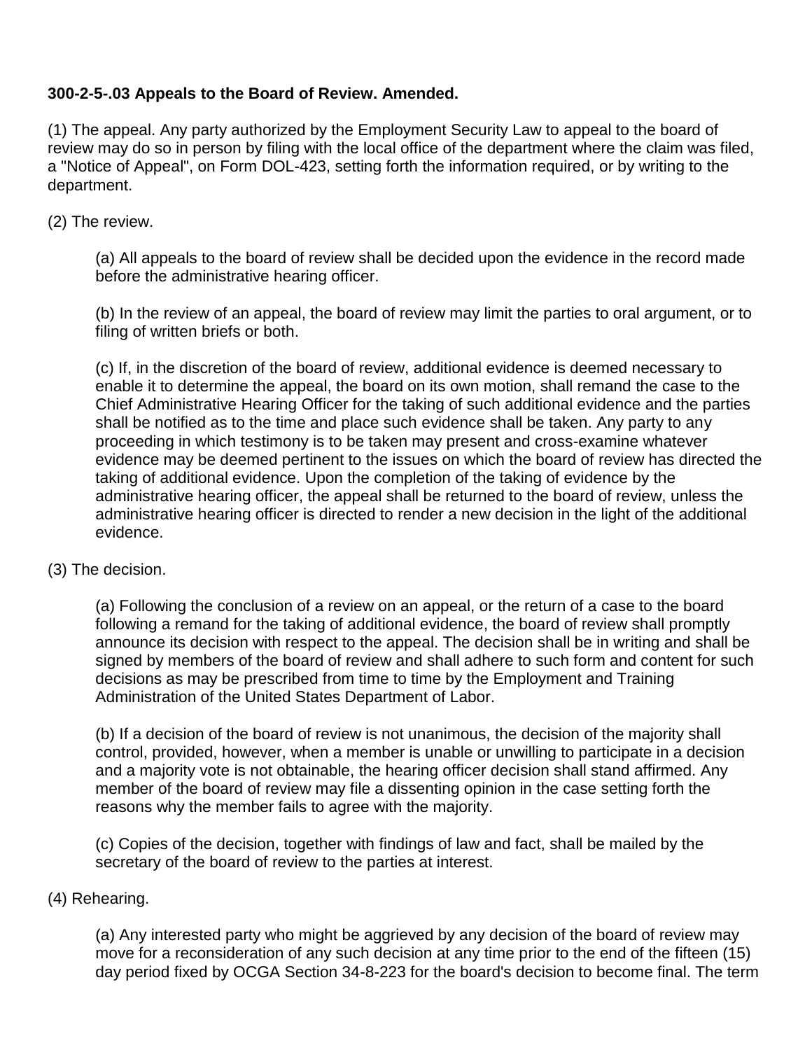# **300-2-5-.03 Appeals to the Board of Review. Amended.**

(1) The appeal. Any party authorized by the Employment Security Law to appeal to the board of review may do so in person by filing with the local office of the department where the claim was filed, a "Notice of Appeal", on Form DOL-423, setting forth the information required, or by writing to the department.

### (2) The review.

(a) All appeals to the board of review shall be decided upon the evidence in the record made before the administrative hearing officer.

(b) In the review of an appeal, the board of review may limit the parties to oral argument, or to filing of written briefs or both.

(c) If, in the discretion of the board of review, additional evidence is deemed necessary to enable it to determine the appeal, the board on its own motion, shall remand the case to the Chief Administrative Hearing Officer for the taking of such additional evidence and the parties shall be notified as to the time and place such evidence shall be taken. Any party to any proceeding in which testimony is to be taken may present and cross-examine whatever evidence may be deemed pertinent to the issues on which the board of review has directed the taking of additional evidence. Upon the completion of the taking of evidence by the administrative hearing officer, the appeal shall be returned to the board of review, unless the administrative hearing officer is directed to render a new decision in the light of the additional evidence.

### (3) The decision.

(a) Following the conclusion of a review on an appeal, or the return of a case to the board following a remand for the taking of additional evidence, the board of review shall promptly announce its decision with respect to the appeal. The decision shall be in writing and shall be signed by members of the board of review and shall adhere to such form and content for such decisions as may be prescribed from time to time by the Employment and Training Administration of the United States Department of Labor.

(b) If a decision of the board of review is not unanimous, the decision of the majority shall control, provided, however, when a member is unable or unwilling to participate in a decision and a majority vote is not obtainable, the hearing officer decision shall stand affirmed. Any member of the board of review may file a dissenting opinion in the case setting forth the reasons why the member fails to agree with the majority.

(c) Copies of the decision, together with findings of law and fact, shall be mailed by the secretary of the board of review to the parties at interest.

### (4) Rehearing.

(a) Any interested party who might be aggrieved by any decision of the board of review may move for a reconsideration of any such decision at any time prior to the end of the fifteen (15) day period fixed by OCGA Section 34-8-223 for the board's decision to become final. The term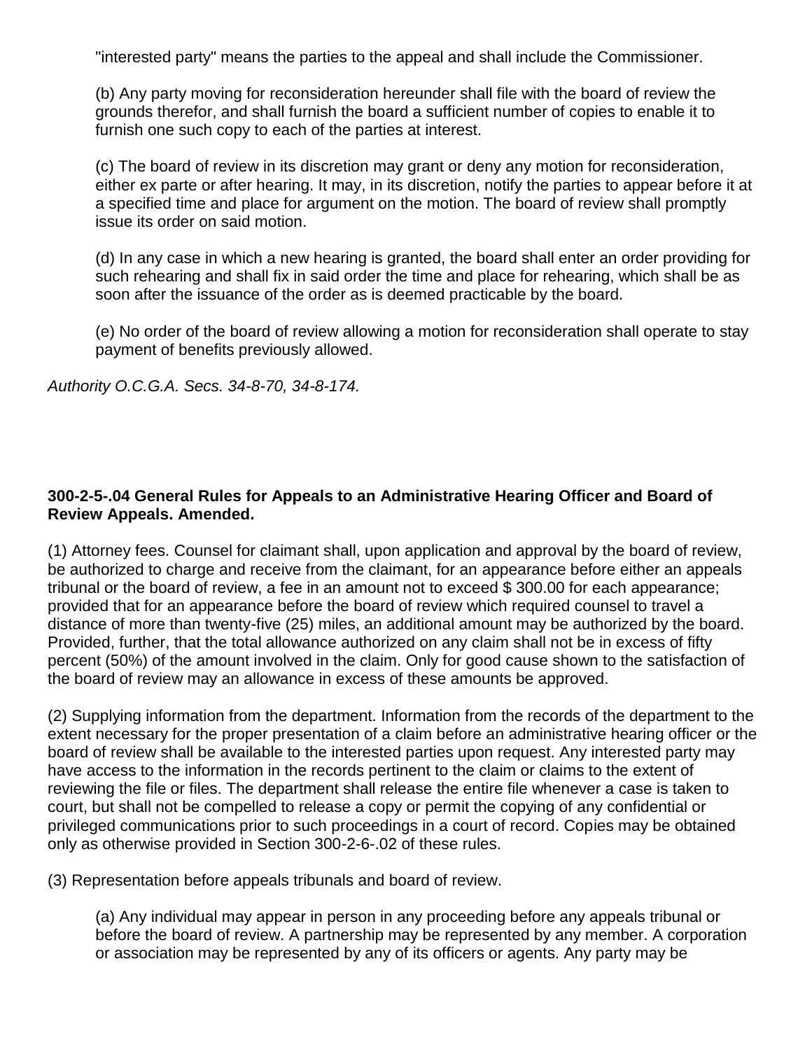"interested party" means the parties to the appeal and shall include the Commissioner.

(b) Any party moving for reconsideration hereunder shall file with the board of review the grounds therefor, and shall furnish the board a sufficient number of copies to enable it to furnish one such copy to each of the parties at interest.

(c) The board of review in its discretion may grant or deny any motion for reconsideration, either ex parte or after hearing. It may, in its discretion, notify the parties to appear before it at a specified time and place for argument on the motion. The board of review shall promptly issue its order on said motion.

(d) In any case in which a new hearing is granted, the board shall enter an order providing for such rehearing and shall fix in said order the time and place for rehearing, which shall be as soon after the issuance of the order as is deemed practicable by the board.

(e) No order of the board of review allowing a motion for reconsideration shall operate to stay payment of benefits previously allowed.

*Authority O.C.G.A. Secs. 34-8-70, 34-8-174.*

# **300-2-5-.04 General Rules for Appeals to an Administrative Hearing Officer and Board of Review Appeals. Amended.**

(1) Attorney fees. Counsel for claimant shall, upon application and approval by the board of review, be authorized to charge and receive from the claimant, for an appearance before either an appeals tribunal or the board of review, a fee in an amount not to exceed \$ 300.00 for each appearance; provided that for an appearance before the board of review which required counsel to travel a distance of more than twenty-five (25) miles, an additional amount may be authorized by the board. Provided, further, that the total allowance authorized on any claim shall not be in excess of fifty percent (50%) of the amount involved in the claim. Only for good cause shown to the satisfaction of the board of review may an allowance in excess of these amounts be approved.

(2) Supplying information from the department. Information from the records of the department to the extent necessary for the proper presentation of a claim before an administrative hearing officer or the board of review shall be available to the interested parties upon request. Any interested party may have access to the information in the records pertinent to the claim or claims to the extent of reviewing the file or files. The department shall release the entire file whenever a case is taken to court, but shall not be compelled to release a copy or permit the copying of any confidential or privileged communications prior to such proceedings in a court of record. Copies may be obtained only as otherwise provided in Section 300-2-6-.02 of these rules.

(3) Representation before appeals tribunals and board of review.

(a) Any individual may appear in person in any proceeding before any appeals tribunal or before the board of review. A partnership may be represented by any member. A corporation or association may be represented by any of its officers or agents. Any party may be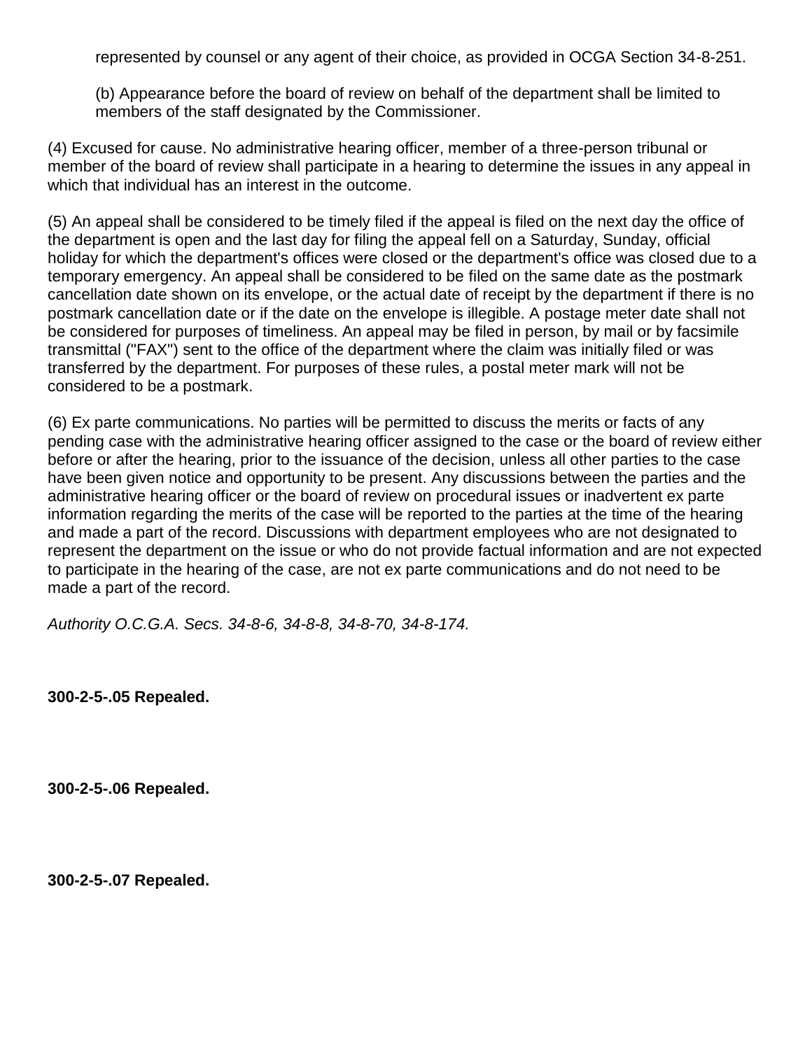represented by counsel or any agent of their choice, as provided in OCGA Section 34-8-251.

(b) Appearance before the board of review on behalf of the department shall be limited to members of the staff designated by the Commissioner.

(4) Excused for cause. No administrative hearing officer, member of a three-person tribunal or member of the board of review shall participate in a hearing to determine the issues in any appeal in which that individual has an interest in the outcome.

(5) An appeal shall be considered to be timely filed if the appeal is filed on the next day the office of the department is open and the last day for filing the appeal fell on a Saturday, Sunday, official holiday for which the department's offices were closed or the department's office was closed due to a temporary emergency. An appeal shall be considered to be filed on the same date as the postmark cancellation date shown on its envelope, or the actual date of receipt by the department if there is no postmark cancellation date or if the date on the envelope is illegible. A postage meter date shall not be considered for purposes of timeliness. An appeal may be filed in person, by mail or by facsimile transmittal ("FAX") sent to the office of the department where the claim was initially filed or was transferred by the department. For purposes of these rules, a postal meter mark will not be considered to be a postmark.

(6) Ex parte communications. No parties will be permitted to discuss the merits or facts of any pending case with the administrative hearing officer assigned to the case or the board of review either before or after the hearing, prior to the issuance of the decision, unless all other parties to the case have been given notice and opportunity to be present. Any discussions between the parties and the administrative hearing officer or the board of review on procedural issues or inadvertent ex parte information regarding the merits of the case will be reported to the parties at the time of the hearing and made a part of the record. Discussions with department employees who are not designated to represent the department on the issue or who do not provide factual information and are not expected to participate in the hearing of the case, are not ex parte communications and do not need to be made a part of the record.

*Authority O.C.G.A. Secs. 34-8-6, 34-8-8, 34-8-70, 34-8-174.*

**300-2-5-.05 Repealed.**

**300-2-5-.06 Repealed.**

**300-2-5-.07 Repealed.**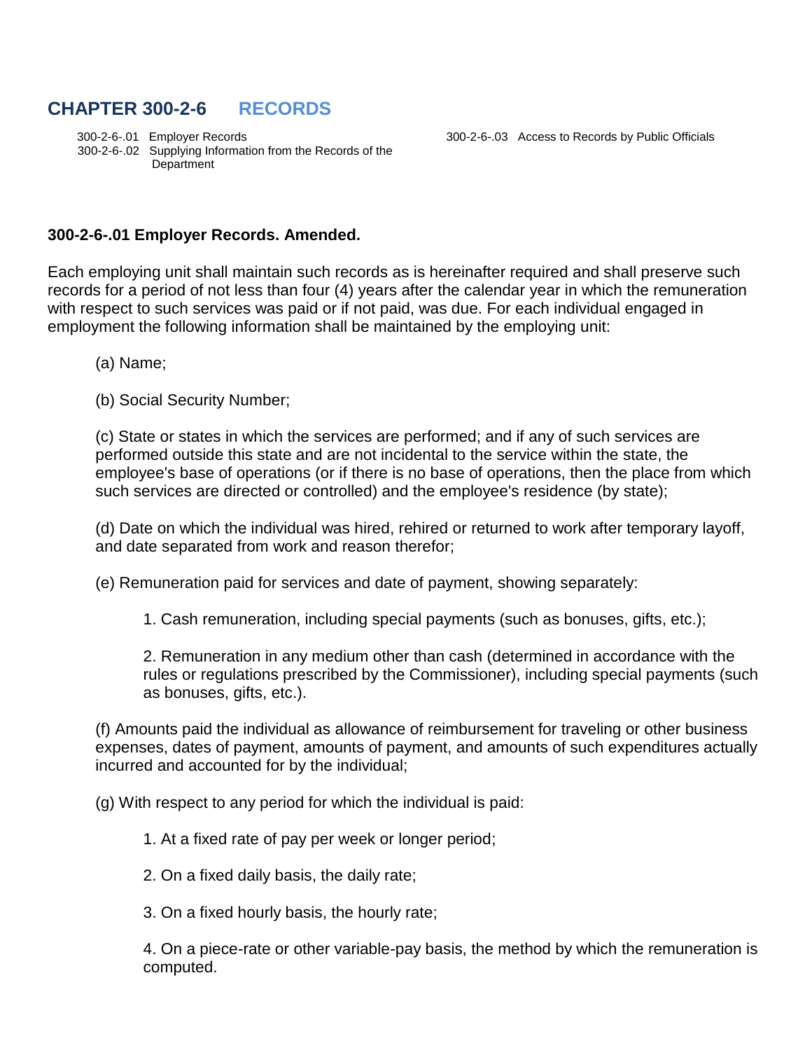# **CHAPTER 300-2-6 RECORDS**

 300-2-6-.01 Employer Records 300-2-6-.03 Access to Records by Public Officials 300-2-6-.02 Supplying Information from the Records of the Department

#### **300-2-6-.01 Employer Records. Amended.**

Each employing unit shall maintain such records as is hereinafter required and shall preserve such records for a period of not less than four (4) years after the calendar year in which the remuneration with respect to such services was paid or if not paid, was due. For each individual engaged in employment the following information shall be maintained by the employing unit:

(a) Name;

(b) Social Security Number;

(c) State or states in which the services are performed; and if any of such services are performed outside this state and are not incidental to the service within the state, the employee's base of operations (or if there is no base of operations, then the place from which such services are directed or controlled) and the employee's residence (by state);

(d) Date on which the individual was hired, rehired or returned to work after temporary layoff, and date separated from work and reason therefor;

(e) Remuneration paid for services and date of payment, showing separately:

1. Cash remuneration, including special payments (such as bonuses, gifts, etc.);

2. Remuneration in any medium other than cash (determined in accordance with the rules or regulations prescribed by the Commissioner), including special payments (such as bonuses, gifts, etc.).

(f) Amounts paid the individual as allowance of reimbursement for traveling or other business expenses, dates of payment, amounts of payment, and amounts of such expenditures actually incurred and accounted for by the individual;

(g) With respect to any period for which the individual is paid:

1. At a fixed rate of pay per week or longer period;

2. On a fixed daily basis, the daily rate;

3. On a fixed hourly basis, the hourly rate;

4. On a piece-rate or other variable-pay basis, the method by which the remuneration is computed.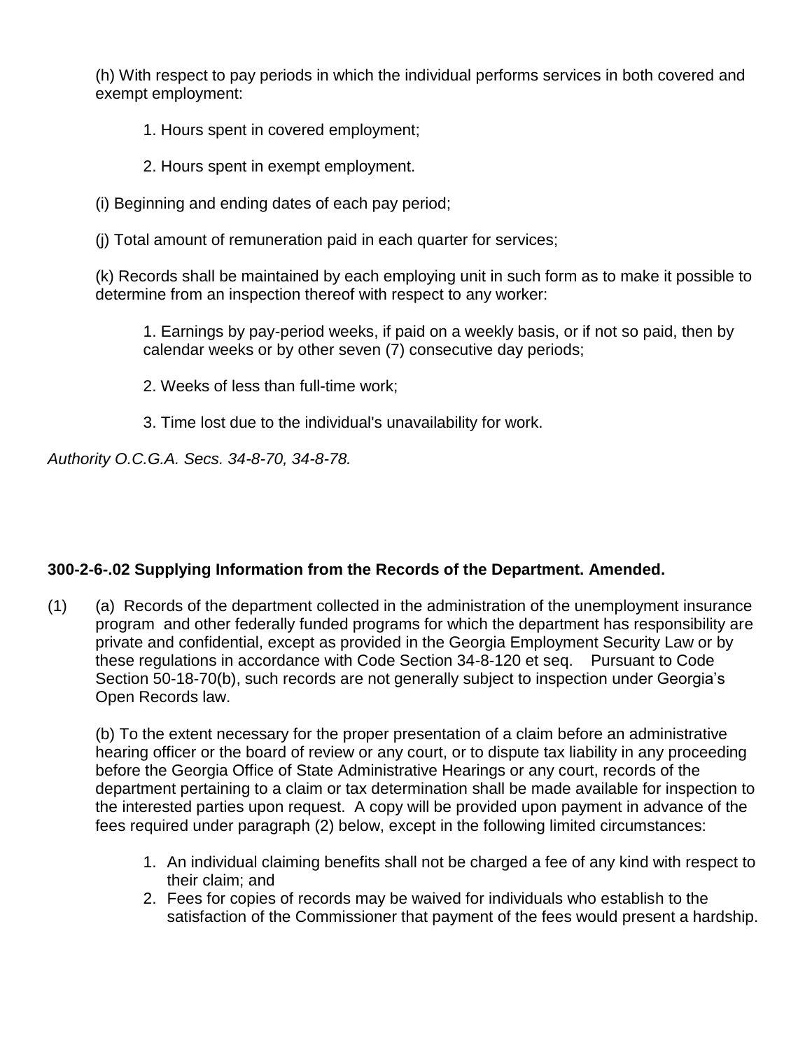(h) With respect to pay periods in which the individual performs services in both covered and exempt employment:

1. Hours spent in covered employment;

2. Hours spent in exempt employment.

(i) Beginning and ending dates of each pay period;

(j) Total amount of remuneration paid in each quarter for services;

(k) Records shall be maintained by each employing unit in such form as to make it possible to determine from an inspection thereof with respect to any worker:

1. Earnings by pay-period weeks, if paid on a weekly basis, or if not so paid, then by calendar weeks or by other seven (7) consecutive day periods;

2. Weeks of less than full-time work;

3. Time lost due to the individual's unavailability for work.

*Authority O.C.G.A. Secs. 34-8-70, 34-8-78.* 

# **300-2-6-.02 Supplying Information from the Records of the Department. Amended.**

(1) (a) Records of the department collected in the administration of the unemployment insurance program and other federally funded programs for which the department has responsibility are private and confidential, except as provided in the Georgia Employment Security Law or by these regulations in accordance with Code Section 34-8-120 et seq. Pursuant to Code Section 50-18-70(b), such records are not generally subject to inspection under Georgia's Open Records law.

(b) To the extent necessary for the proper presentation of a claim before an administrative hearing officer or the board of review or any court, or to dispute tax liability in any proceeding before the Georgia Office of State Administrative Hearings or any court, records of the department pertaining to a claim or tax determination shall be made available for inspection to the interested parties upon request. A copy will be provided upon payment in advance of the fees required under paragraph (2) below, except in the following limited circumstances:

- 1. An individual claiming benefits shall not be charged a fee of any kind with respect to their claim; and
- 2. Fees for copies of records may be waived for individuals who establish to the satisfaction of the Commissioner that payment of the fees would present a hardship.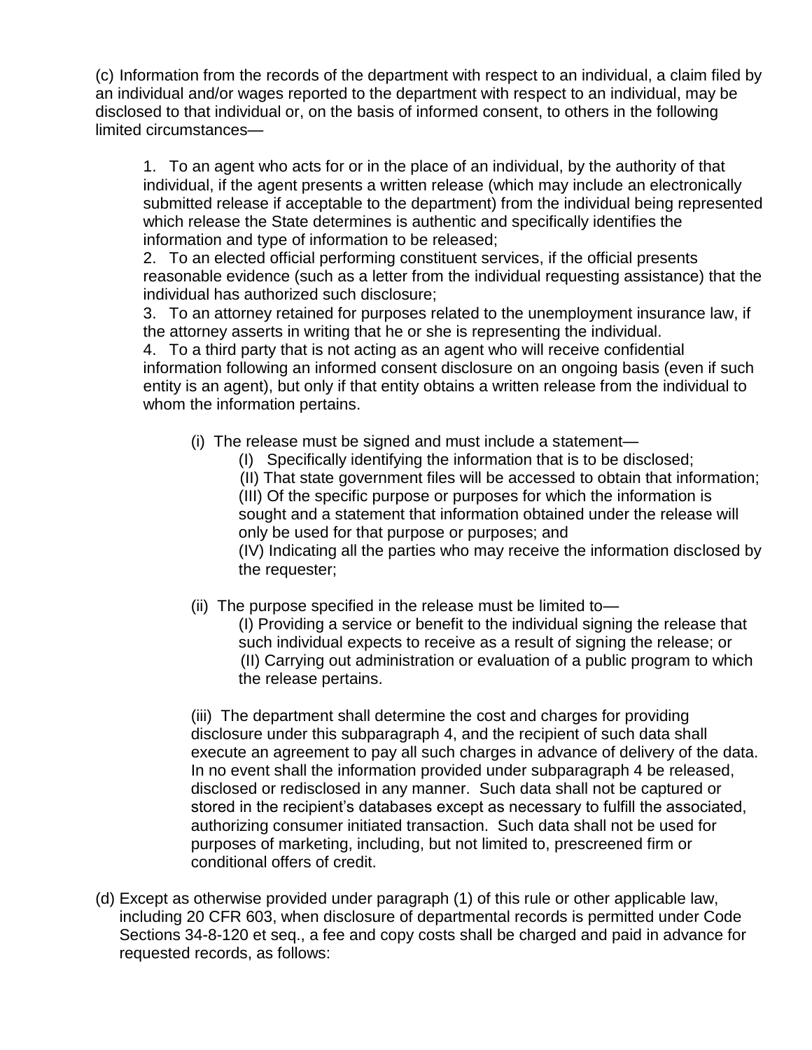(c) Information from the records of the department with respect to an individual, a claim filed by an individual and/or wages reported to the department with respect to an individual, may be disclosed to that individual or, on the basis of informed consent, to others in the following limited circumstances—

1. To an agent who acts for or in the place of an individual, by the authority of that individual, if the agent presents a written release (which may include an electronically submitted release if acceptable to the department) from the individual being represented which release the State determines is authentic and specifically identifies the information and type of information to be released;

2. To an elected official performing constituent services, if the official presents reasonable evidence (such as a letter from the individual requesting assistance) that the individual has authorized such disclosure;

3. To an attorney retained for purposes related to the unemployment insurance law, if the attorney asserts in writing that he or she is representing the individual.

4. To a third party that is not acting as an agent who will receive confidential information following an informed consent disclosure on an ongoing basis (even if such entity is an agent), but only if that entity obtains a written release from the individual to whom the information pertains.

- (i) The release must be signed and must include a statement—
	- (I) Specifically identifying the information that is to be disclosed;

 (II) That state government files will be accessed to obtain that information; (III) Of the specific purpose or purposes for which the information is sought and a statement that information obtained under the release will only be used for that purpose or purposes; and

 (IV) Indicating all the parties who may receive the information disclosed by the requester;

(ii) The purpose specified in the release must be limited to—

 (I) Providing a service or benefit to the individual signing the release that such individual expects to receive as a result of signing the release; or (II) Carrying out administration or evaluation of a public program to which the release pertains.

 (iii) The department shall determine the cost and charges for providing disclosure under this subparagraph 4, and the recipient of such data shall execute an agreement to pay all such charges in advance of delivery of the data. In no event shall the information provided under subparagraph 4 be released, disclosed or redisclosed in any manner. Such data shall not be captured or stored in the recipient's databases except as necessary to fulfill the associated, authorizing consumer initiated transaction. Such data shall not be used for purposes of marketing, including, but not limited to, prescreened firm or conditional offers of credit.

(d) Except as otherwise provided under paragraph (1) of this rule or other applicable law, including 20 CFR 603, when disclosure of departmental records is permitted under Code Sections 34-8-120 et seq., a fee and copy costs shall be charged and paid in advance for requested records, as follows: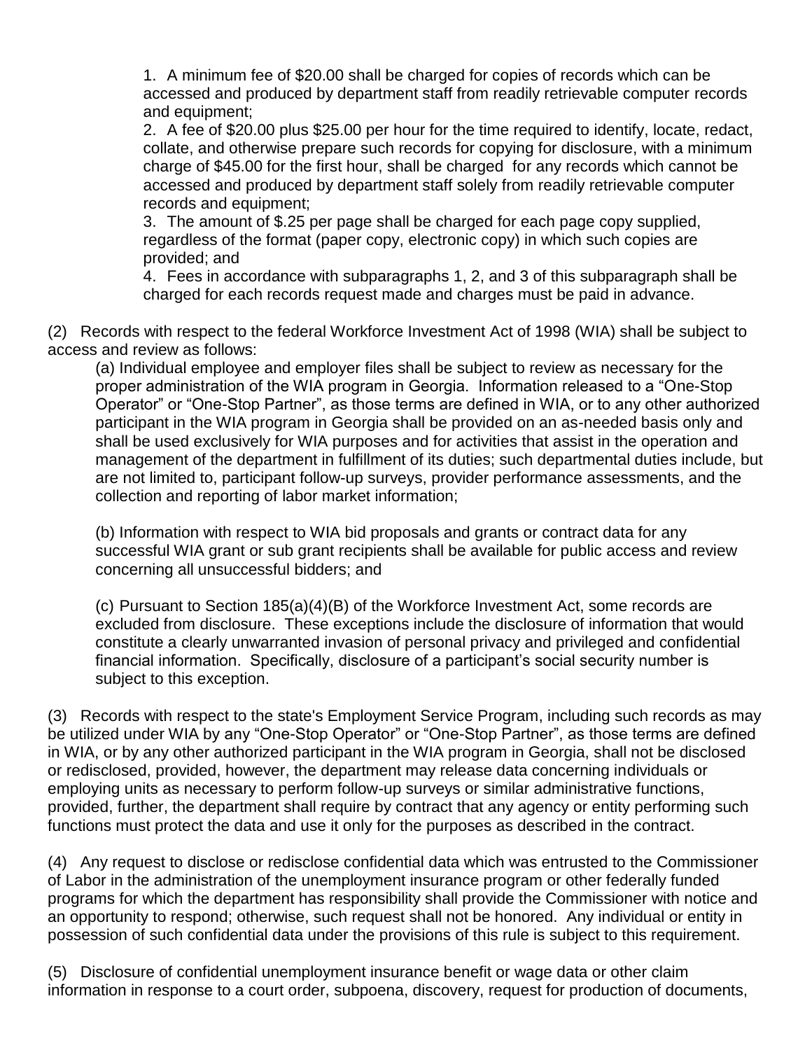1. A minimum fee of \$20.00 shall be charged for copies of records which can be accessed and produced by department staff from readily retrievable computer records and equipment;

2. A fee of \$20.00 plus \$25.00 per hour for the time required to identify, locate, redact, collate, and otherwise prepare such records for copying for disclosure, with a minimum charge of \$45.00 for the first hour, shall be charged for any records which cannot be accessed and produced by department staff solely from readily retrievable computer records and equipment;

3. The amount of \$.25 per page shall be charged for each page copy supplied, regardless of the format (paper copy, electronic copy) in which such copies are provided; and

4. Fees in accordance with subparagraphs 1, 2, and 3 of this subparagraph shall be charged for each records request made and charges must be paid in advance.

(2) Records with respect to the federal Workforce Investment Act of 1998 (WIA) shall be subject to access and review as follows:

(a) Individual employee and employer files shall be subject to review as necessary for the proper administration of the WIA program in Georgia. Information released to a "One-Stop Operator" or "One-Stop Partner", as those terms are defined in WIA, or to any other authorized participant in the WIA program in Georgia shall be provided on an as-needed basis only and shall be used exclusively for WIA purposes and for activities that assist in the operation and management of the department in fulfillment of its duties; such departmental duties include, but are not limited to, participant follow-up surveys, provider performance assessments, and the collection and reporting of labor market information;

(b) Information with respect to WIA bid proposals and grants or contract data for any successful WIA grant or sub grant recipients shall be available for public access and review concerning all unsuccessful bidders; and

(c) Pursuant to Section 185(a)(4)(B) of the Workforce Investment Act, some records are excluded from disclosure. These exceptions include the disclosure of information that would constitute a clearly unwarranted invasion of personal privacy and privileged and confidential financial information. Specifically, disclosure of a participant's social security number is subject to this exception.

(3) Records with respect to the state's Employment Service Program, including such records as may be utilized under WIA by any "One-Stop Operator" or "One-Stop Partner", as those terms are defined in WIA, or by any other authorized participant in the WIA program in Georgia, shall not be disclosed or redisclosed, provided, however, the department may release data concerning individuals or employing units as necessary to perform follow-up surveys or similar administrative functions, provided, further, the department shall require by contract that any agency or entity performing such functions must protect the data and use it only for the purposes as described in the contract.

(4) Any request to disclose or redisclose confidential data which was entrusted to the Commissioner of Labor in the administration of the unemployment insurance program or other federally funded programs for which the department has responsibility shall provide the Commissioner with notice and an opportunity to respond; otherwise, such request shall not be honored. Any individual or entity in possession of such confidential data under the provisions of this rule is subject to this requirement.

(5) Disclosure of confidential unemployment insurance benefit or wage data or other claim information in response to a court order, subpoena, discovery, request for production of documents,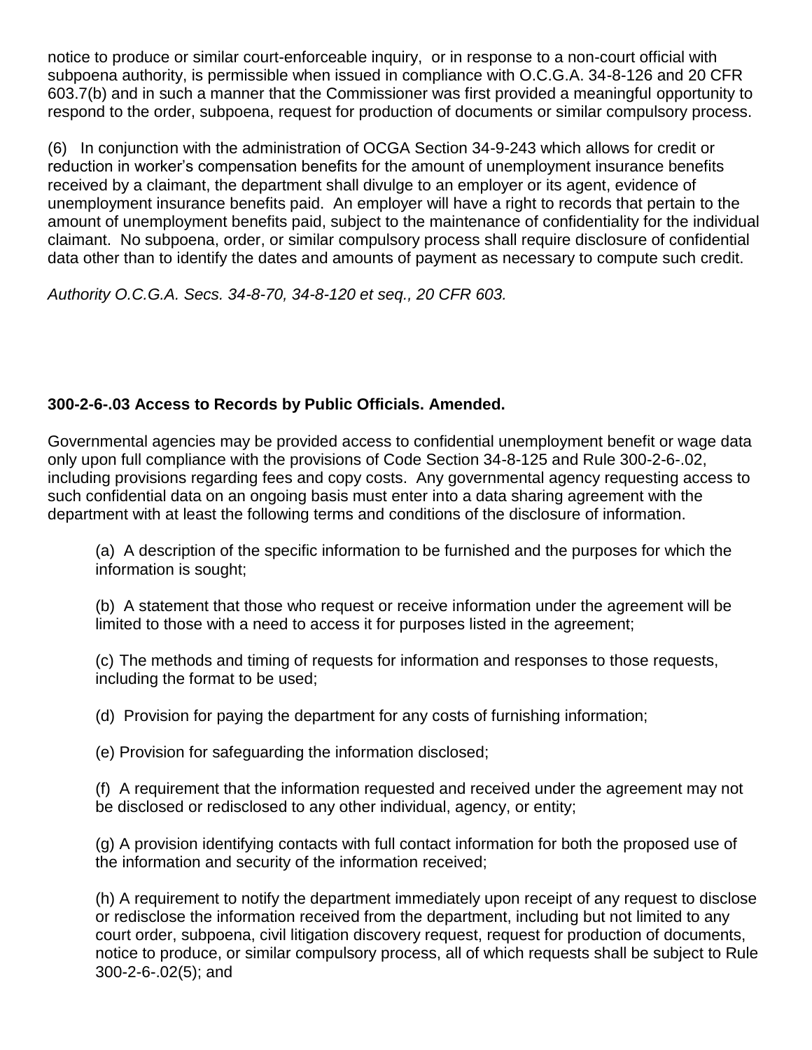notice to produce or similar court-enforceable inquiry, or in response to a non-court official with subpoena authority, is permissible when issued in compliance with O.C.G.A. 34-8-126 and 20 CFR 603.7(b) and in such a manner that the Commissioner was first provided a meaningful opportunity to respond to the order, subpoena, request for production of documents or similar compulsory process.

(6) In conjunction with the administration of OCGA Section 34-9-243 which allows for credit or reduction in worker's compensation benefits for the amount of unemployment insurance benefits received by a claimant, the department shall divulge to an employer or its agent, evidence of unemployment insurance benefits paid. An employer will have a right to records that pertain to the amount of unemployment benefits paid, subject to the maintenance of confidentiality for the individual claimant. No subpoena, order, or similar compulsory process shall require disclosure of confidential data other than to identify the dates and amounts of payment as necessary to compute such credit.

*Authority O.C.G.A. Secs. 34-8-70, 34-8-120 et seq., 20 CFR 603.* 

# **300-2-6-.03 Access to Records by Public Officials. Amended.**

Governmental agencies may be provided access to confidential unemployment benefit or wage data only upon full compliance with the provisions of Code Section 34-8-125 and Rule 300-2-6-.02, including provisions regarding fees and copy costs. Any governmental agency requesting access to such confidential data on an ongoing basis must enter into a data sharing agreement with the department with at least the following terms and conditions of the disclosure of information.

(a) A description of the specific information to be furnished and the purposes for which the information is sought;

(b) A statement that those who request or receive information under the agreement will be limited to those with a need to access it for purposes listed in the agreement;

(c) The methods and timing of requests for information and responses to those requests, including the format to be used;

(d) Provision for paying the department for any costs of furnishing information;

(e) Provision for safeguarding the information disclosed;

(f) A requirement that the information requested and received under the agreement may not be disclosed or redisclosed to any other individual, agency, or entity;

(g) A provision identifying contacts with full contact information for both the proposed use of the information and security of the information received;

(h) A requirement to notify the department immediately upon receipt of any request to disclose or redisclose the information received from the department, including but not limited to any court order, subpoena, civil litigation discovery request, request for production of documents, notice to produce, or similar compulsory process, all of which requests shall be subject to Rule 300-2-6-.02(5); and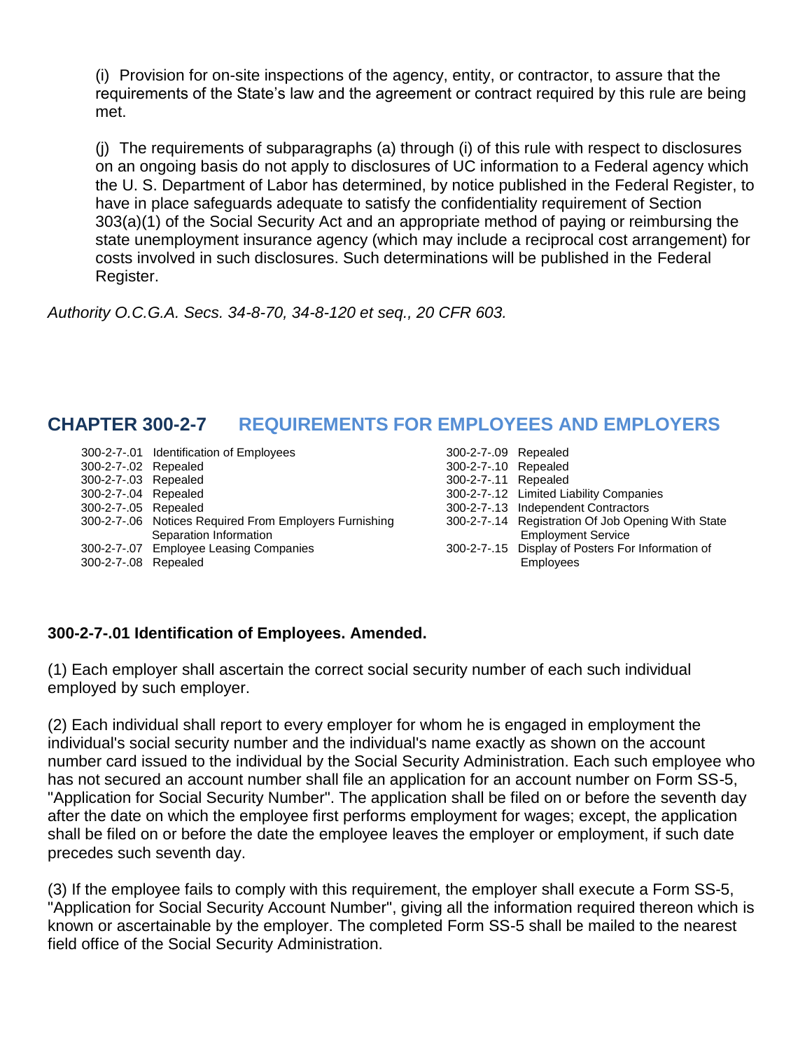(i) Provision for on-site inspections of the agency, entity, or contractor, to assure that the requirements of the State's law and the agreement or contract required by this rule are being met.

(j) The requirements of subparagraphs (a) through (i) of this rule with respect to disclosures on an ongoing basis do not apply to disclosures of UC information to a Federal agency which the U. S. Department of Labor has determined, by notice published in the Federal Register, to have in place safeguards adequate to satisfy the confidentiality requirement of Section 303(a)(1) of the Social Security Act and an appropriate method of paying or reimbursing the state unemployment insurance agency (which may include a reciprocal cost arrangement) for costs involved in such disclosures. Such determinations will be published in the Federal Register.

*Authority O.C.G.A. Secs. 34-8-70, 34-8-120 et seq., 20 CFR 603.*

# **CHAPTER 300-2-7 REQUIREMENTS FOR EMPLOYEES AND EMPLOYERS**

|                      | 300-2-7-.01 Identification of Employees                | 300-2-7-.09 Repealed |                                                    |
|----------------------|--------------------------------------------------------|----------------------|----------------------------------------------------|
| 300-2-7-.02 Repealed |                                                        | 300-2-7-.10 Repealed |                                                    |
| 300-2-7-.03 Repealed |                                                        | 300-2-7-11 Repealed  |                                                    |
| 300-2-7-.04 Repealed |                                                        |                      | 300-2-7-.12 Limited Liability Companies            |
| 300-2-7-.05 Repealed |                                                        |                      | 300-2-7-.13 Independent Contractors                |
|                      | 300-2-7-.06 Notices Required From Employers Furnishing |                      | 300-2-7-.14 Registration Of Job Opening With State |
|                      | Separation Information                                 |                      | <b>Employment Service</b>                          |
|                      | 300-2-7-.07 Employee Leasing Companies                 |                      | 300-2-7-.15 Display of Posters For Information of  |
| 300-2-7-.08 Repealed |                                                        |                      | <b>Employees</b>                                   |
|                      |                                                        |                      |                                                    |

# **300-2-7-.01 Identification of Employees. Amended.**

(1) Each employer shall ascertain the correct social security number of each such individual employed by such employer.

(2) Each individual shall report to every employer for whom he is engaged in employment the individual's social security number and the individual's name exactly as shown on the account number card issued to the individual by the Social Security Administration. Each such employee who has not secured an account number shall file an application for an account number on Form SS-5, "Application for Social Security Number". The application shall be filed on or before the seventh day after the date on which the employee first performs employment for wages; except, the application shall be filed on or before the date the employee leaves the employer or employment, if such date precedes such seventh day.

(3) If the employee fails to comply with this requirement, the employer shall execute a Form SS-5, "Application for Social Security Account Number", giving all the information required thereon which is known or ascertainable by the employer. The completed Form SS-5 shall be mailed to the nearest field office of the Social Security Administration.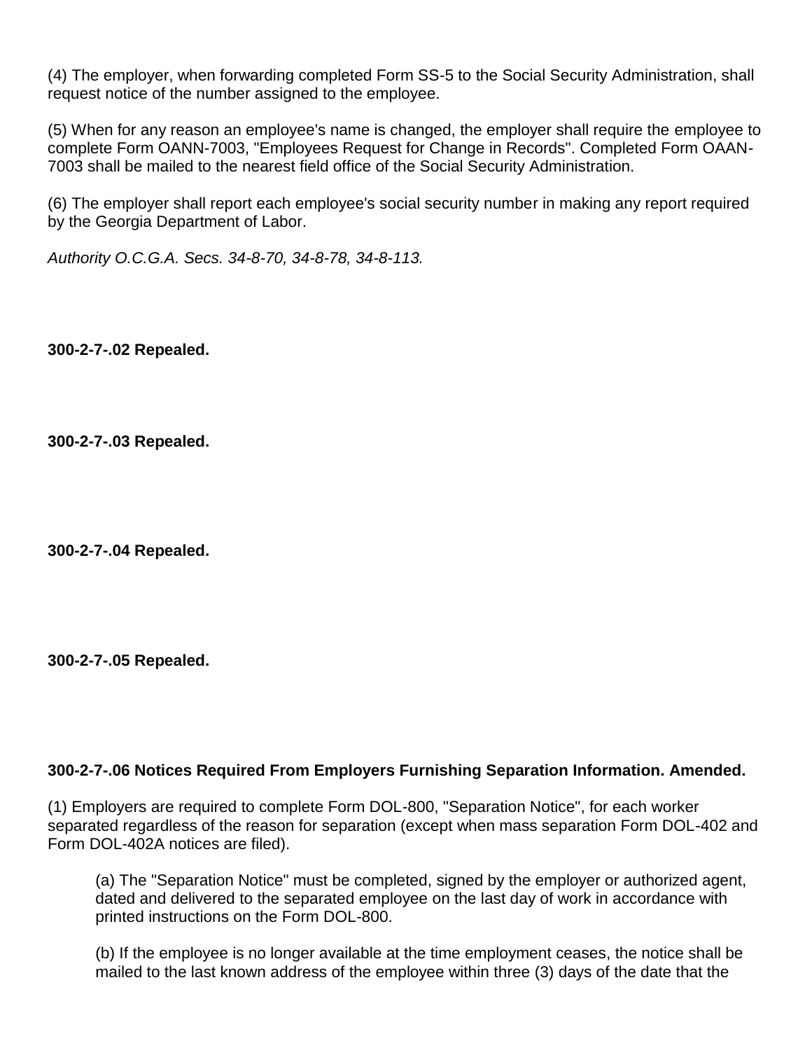(4) The employer, when forwarding completed Form SS-5 to the Social Security Administration, shall request notice of the number assigned to the employee.

(5) When for any reason an employee's name is changed, the employer shall require the employee to complete Form OANN-7003, "Employees Request for Change in Records". Completed Form OAAN-7003 shall be mailed to the nearest field office of the Social Security Administration.

(6) The employer shall report each employee's social security number in making any report required by the Georgia Department of Labor.

*Authority O.C.G.A. Secs. 34-8-70, 34-8-78, 34-8-113.*

**300-2-7-.02 Repealed.**

**300-2-7-.03 Repealed.**

**300-2-7-.04 Repealed.**

**300-2-7-.05 Repealed.**

### **300-2-7-.06 Notices Required From Employers Furnishing Separation Information. Amended.**

(1) Employers are required to complete Form DOL-800, "Separation Notice", for each worker separated regardless of the reason for separation (except when mass separation Form DOL-402 and Form DOL-402A notices are filed).

(a) The "Separation Notice" must be completed, signed by the employer or authorized agent, dated and delivered to the separated employee on the last day of work in accordance with printed instructions on the Form DOL-800.

(b) If the employee is no longer available at the time employment ceases, the notice shall be mailed to the last known address of the employee within three (3) days of the date that the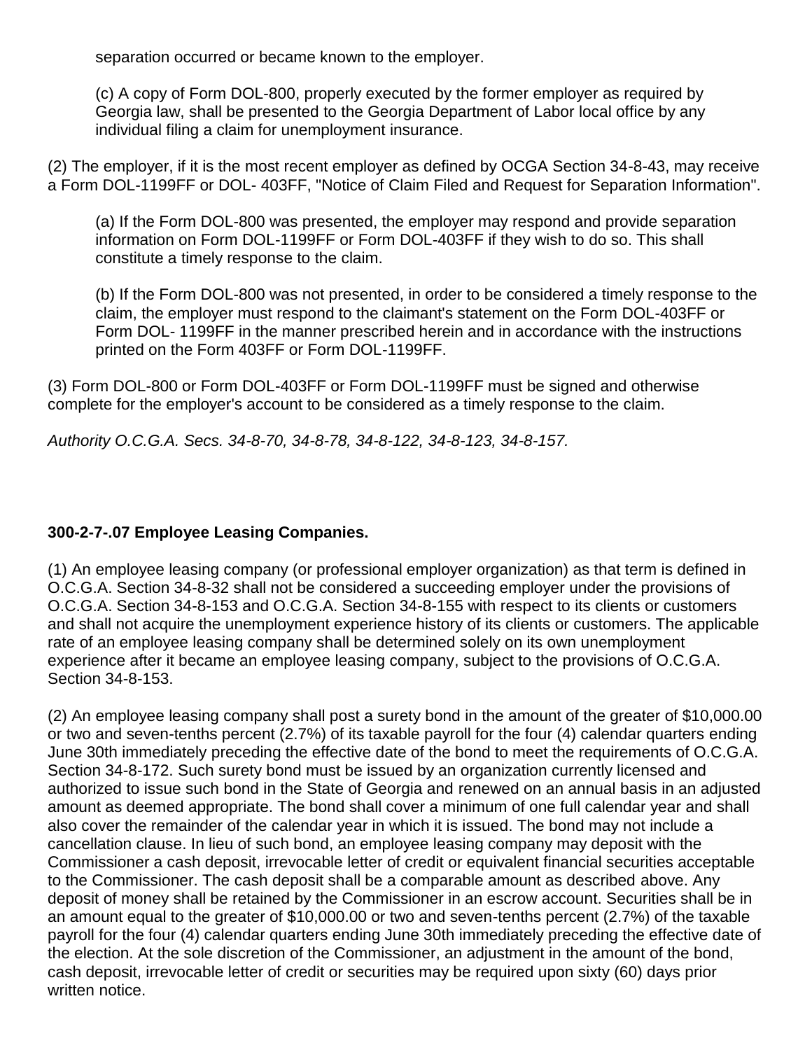separation occurred or became known to the employer.

(c) A copy of Form DOL-800, properly executed by the former employer as required by Georgia law, shall be presented to the Georgia Department of Labor local office by any individual filing a claim for unemployment insurance.

(2) The employer, if it is the most recent employer as defined by OCGA Section 34-8-43, may receive a Form DOL-1199FF or DOL- 403FF, "Notice of Claim Filed and Request for Separation Information".

(a) If the Form DOL-800 was presented, the employer may respond and provide separation information on Form DOL-1199FF or Form DOL-403FF if they wish to do so. This shall constitute a timely response to the claim.

(b) If the Form DOL-800 was not presented, in order to be considered a timely response to the claim, the employer must respond to the claimant's statement on the Form DOL-403FF or Form DOL- 1199FF in the manner prescribed herein and in accordance with the instructions printed on the Form 403FF or Form DOL-1199FF.

(3) Form DOL-800 or Form DOL-403FF or Form DOL-1199FF must be signed and otherwise complete for the employer's account to be considered as a timely response to the claim.

*Authority O.C.G.A. Secs. 34-8-70, 34-8-78, 34-8-122, 34-8-123, 34-8-157.*

# **300-2-7-.07 Employee Leasing Companies.**

(1) An employee leasing company (or professional employer organization) as that term is defined in O.C.G.A. Section 34-8-32 shall not be considered a succeeding employer under the provisions of O.C.G.A. Section 34-8-153 and O.C.G.A. Section 34-8-155 with respect to its clients or customers and shall not acquire the unemployment experience history of its clients or customers. The applicable rate of an employee leasing company shall be determined solely on its own unemployment experience after it became an employee leasing company, subject to the provisions of O.C.G.A. Section 34-8-153.

(2) An employee leasing company shall post a surety bond in the amount of the greater of \$10,000.00 or two and seven-tenths percent (2.7%) of its taxable payroll for the four (4) calendar quarters ending June 30th immediately preceding the effective date of the bond to meet the requirements of O.C.G.A. Section 34-8-172. Such surety bond must be issued by an organization currently licensed and authorized to issue such bond in the State of Georgia and renewed on an annual basis in an adjusted amount as deemed appropriate. The bond shall cover a minimum of one full calendar year and shall also cover the remainder of the calendar year in which it is issued. The bond may not include a cancellation clause. In lieu of such bond, an employee leasing company may deposit with the Commissioner a cash deposit, irrevocable letter of credit or equivalent financial securities acceptable to the Commissioner. The cash deposit shall be a comparable amount as described above. Any deposit of money shall be retained by the Commissioner in an escrow account. Securities shall be in an amount equal to the greater of \$10,000.00 or two and seven-tenths percent (2.7%) of the taxable payroll for the four (4) calendar quarters ending June 30th immediately preceding the effective date of the election. At the sole discretion of the Commissioner, an adjustment in the amount of the bond, cash deposit, irrevocable letter of credit or securities may be required upon sixty (60) days prior written notice.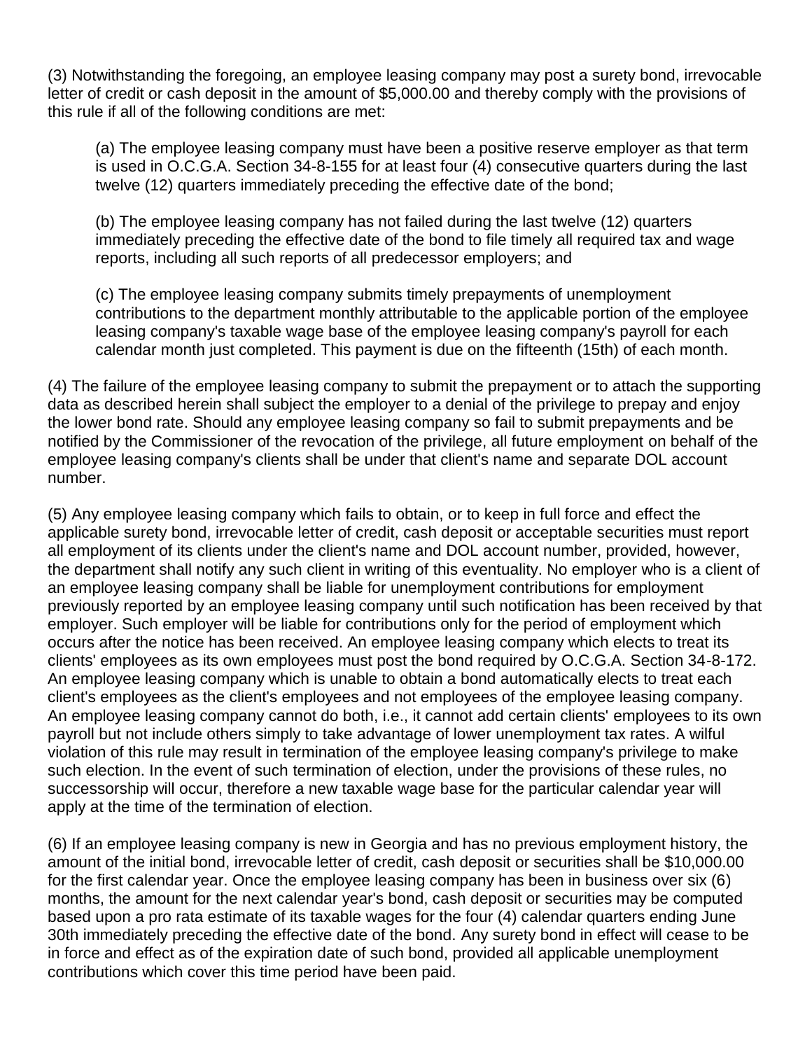(3) Notwithstanding the foregoing, an employee leasing company may post a surety bond, irrevocable letter of credit or cash deposit in the amount of \$5,000.00 and thereby comply with the provisions of this rule if all of the following conditions are met:

(a) The employee leasing company must have been a positive reserve employer as that term is used in O.C.G.A. Section 34-8-155 for at least four (4) consecutive quarters during the last twelve (12) quarters immediately preceding the effective date of the bond;

(b) The employee leasing company has not failed during the last twelve (12) quarters immediately preceding the effective date of the bond to file timely all required tax and wage reports, including all such reports of all predecessor employers; and

(c) The employee leasing company submits timely prepayments of unemployment contributions to the department monthly attributable to the applicable portion of the employee leasing company's taxable wage base of the employee leasing company's payroll for each calendar month just completed. This payment is due on the fifteenth (15th) of each month.

(4) The failure of the employee leasing company to submit the prepayment or to attach the supporting data as described herein shall subject the employer to a denial of the privilege to prepay and enjoy the lower bond rate. Should any employee leasing company so fail to submit prepayments and be notified by the Commissioner of the revocation of the privilege, all future employment on behalf of the employee leasing company's clients shall be under that client's name and separate DOL account number.

(5) Any employee leasing company which fails to obtain, or to keep in full force and effect the applicable surety bond, irrevocable letter of credit, cash deposit or acceptable securities must report all employment of its clients under the client's name and DOL account number, provided, however, the department shall notify any such client in writing of this eventuality. No employer who is a client of an employee leasing company shall be liable for unemployment contributions for employment previously reported by an employee leasing company until such notification has been received by that employer. Such employer will be liable for contributions only for the period of employment which occurs after the notice has been received. An employee leasing company which elects to treat its clients' employees as its own employees must post the bond required by O.C.G.A. Section 34-8-172. An employee leasing company which is unable to obtain a bond automatically elects to treat each client's employees as the client's employees and not employees of the employee leasing company. An employee leasing company cannot do both, i.e., it cannot add certain clients' employees to its own payroll but not include others simply to take advantage of lower unemployment tax rates. A wilful violation of this rule may result in termination of the employee leasing company's privilege to make such election. In the event of such termination of election, under the provisions of these rules, no successorship will occur, therefore a new taxable wage base for the particular calendar year will apply at the time of the termination of election.

(6) If an employee leasing company is new in Georgia and has no previous employment history, the amount of the initial bond, irrevocable letter of credit, cash deposit or securities shall be \$10,000.00 for the first calendar year. Once the employee leasing company has been in business over six (6) months, the amount for the next calendar year's bond, cash deposit or securities may be computed based upon a pro rata estimate of its taxable wages for the four (4) calendar quarters ending June 30th immediately preceding the effective date of the bond. Any surety bond in effect will cease to be in force and effect as of the expiration date of such bond, provided all applicable unemployment contributions which cover this time period have been paid.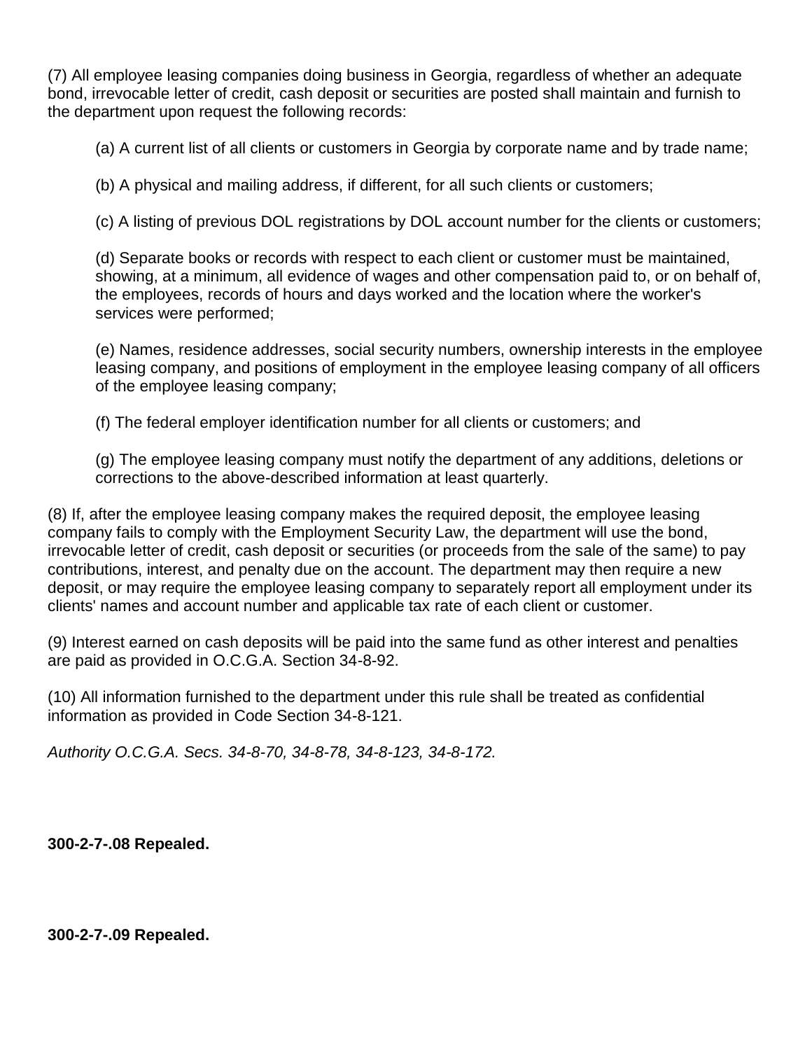(7) All employee leasing companies doing business in Georgia, regardless of whether an adequate bond, irrevocable letter of credit, cash deposit or securities are posted shall maintain and furnish to the department upon request the following records:

(a) A current list of all clients or customers in Georgia by corporate name and by trade name;

(b) A physical and mailing address, if different, for all such clients or customers;

(c) A listing of previous DOL registrations by DOL account number for the clients or customers;

(d) Separate books or records with respect to each client or customer must be maintained, showing, at a minimum, all evidence of wages and other compensation paid to, or on behalf of, the employees, records of hours and days worked and the location where the worker's services were performed;

(e) Names, residence addresses, social security numbers, ownership interests in the employee leasing company, and positions of employment in the employee leasing company of all officers of the employee leasing company;

(f) The federal employer identification number for all clients or customers; and

(g) The employee leasing company must notify the department of any additions, deletions or corrections to the above-described information at least quarterly.

(8) If, after the employee leasing company makes the required deposit, the employee leasing company fails to comply with the Employment Security Law, the department will use the bond, irrevocable letter of credit, cash deposit or securities (or proceeds from the sale of the same) to pay contributions, interest, and penalty due on the account. The department may then require a new deposit, or may require the employee leasing company to separately report all employment under its clients' names and account number and applicable tax rate of each client or customer.

(9) Interest earned on cash deposits will be paid into the same fund as other interest and penalties are paid as provided in O.C.G.A. Section 34-8-92.

(10) All information furnished to the department under this rule shall be treated as confidential information as provided in Code Section 34-8-121.

*Authority O.C.G.A. Secs. 34-8-70, 34-8-78, 34-8-123, 34-8-172.*

**300-2-7-.08 Repealed.**

**300-2-7-.09 Repealed.**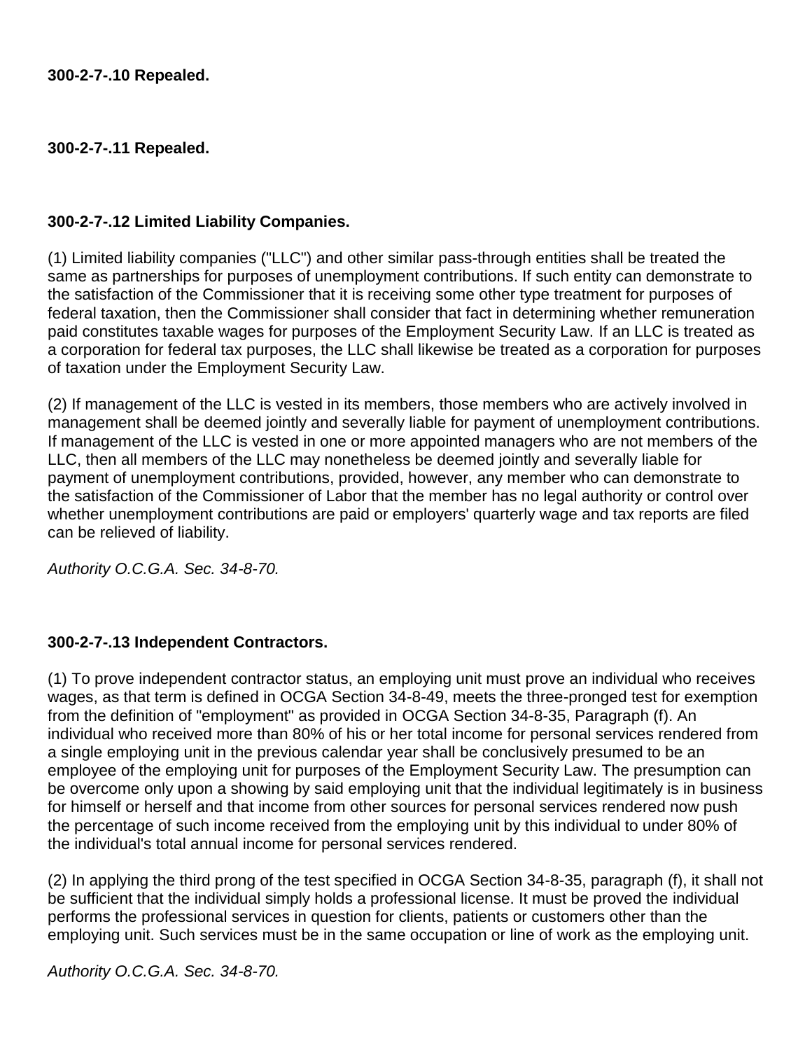### **300-2-7-.11 Repealed.**

### **300-2-7-.12 Limited Liability Companies.**

(1) Limited liability companies ("LLC") and other similar pass-through entities shall be treated the same as partnerships for purposes of unemployment contributions. If such entity can demonstrate to the satisfaction of the Commissioner that it is receiving some other type treatment for purposes of federal taxation, then the Commissioner shall consider that fact in determining whether remuneration paid constitutes taxable wages for purposes of the Employment Security Law. If an LLC is treated as a corporation for federal tax purposes, the LLC shall likewise be treated as a corporation for purposes of taxation under the Employment Security Law.

(2) If management of the LLC is vested in its members, those members who are actively involved in management shall be deemed jointly and severally liable for payment of unemployment contributions. If management of the LLC is vested in one or more appointed managers who are not members of the LLC, then all members of the LLC may nonetheless be deemed jointly and severally liable for payment of unemployment contributions, provided, however, any member who can demonstrate to the satisfaction of the Commissioner of Labor that the member has no legal authority or control over whether unemployment contributions are paid or employers' quarterly wage and tax reports are filed can be relieved of liability.

*Authority O.C.G.A. Sec. 34-8-70.*

### **300-2-7-.13 Independent Contractors.**

(1) To prove independent contractor status, an employing unit must prove an individual who receives wages, as that term is defined in OCGA Section 34-8-49, meets the three-pronged test for exemption from the definition of "employment" as provided in [OCGA Section 34-8-35,](https://www.lexis.com/research/buttonTFLink?_m=3b3a4634854920230a481b2704d3f0fb&_xfercite=%3ccite%20cc%3d%22USA%22%3e%3c%21%5bCDATA%5bGa.%20Comp.%20R.%20%26%20Regs.%20r.%20300-2-7-.13%5d%5d%3e%3c%2fcite%3e&_butType=4&_butStat=0&_butNum=2&_butInline=1&_butinfo=GACODE%2034-8-35&_fmtstr=FULL&docnum=1&_startdoc=1&wchp=dGLbVzk-zSkAb&_md5=19f962a10934b2376acafab9230c0bc8) Paragraph (f). An individual who received more than 80% of his or her total income for personal services rendered from a single employing unit in the previous calendar year shall be conclusively presumed to be an employee of the employing unit for purposes of the Employment Security Law. The presumption can be overcome only upon a showing by said employing unit that the individual legitimately is in business for himself or herself and that income from other sources for personal services rendered now push the percentage of such income received from the employing unit by this individual to under 80% of the individual's total annual income for personal services rendered.

(2) In applying the third prong of the test specified in OCGA Section 34-8-35, paragraph (f), it shall not be sufficient that the individual simply holds a professional license. It must be proved the individual performs the professional services in question for clients, patients or customers other than the employing unit. Such services must be in the same occupation or line of work as the employing unit.

*Authority O.C.G.A. Sec. 34-8-70.*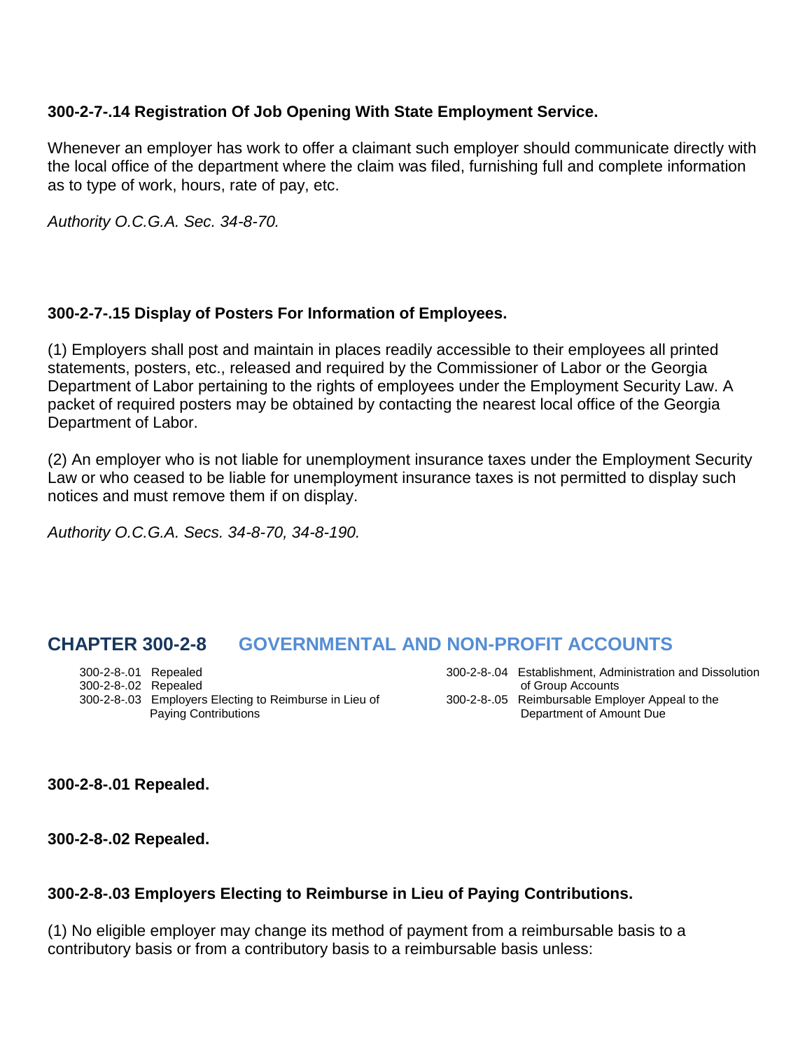### **300-2-7-.14 Registration Of Job Opening With State Employment Service.**

Whenever an employer has work to offer a claimant such employer should communicate directly with the local office of the department where the claim was filed, furnishing full and complete information as to type of work, hours, rate of pay, etc.

*Authority O.C.G.A. Sec. 34-8-70.*

### **300-2-7-.15 Display of Posters For Information of Employees.**

(1) Employers shall post and maintain in places readily accessible to their employees all printed statements, posters, etc., released and required by the Commissioner of Labor or the Georgia Department of Labor pertaining to the rights of employees under the Employment Security Law. A packet of required posters may be obtained by contacting the nearest local office of the Georgia Department of Labor.

(2) An employer who is not liable for unemployment insurance taxes under the Employment Security Law or who ceased to be liable for unemployment insurance taxes is not permitted to display such notices and must remove them if on display.

*Authority O.C.G.A. Secs. 34-8-70, 34-8-190.*

# **CHAPTER 300-2-8 GOVERNMENTAL AND NON-PROFIT ACCOUNTS**

300-2-8-.01 Repealed 300-2-8-.04 Establishment, Administration and Dissolution 300-2-8-.02 Repealed<br>300-2-8-.03 Employers Electing to Reimburse in Lieu of 300-2-8-.05 Reimbursable Employer Appeal to the 300-2-8-.03 Employers Electing to Reimburse in Lieu of Paying Contributions **Department of Amount Due** 

**300-2-8-.01 Repealed.**

**300-2-8-.02 Repealed.**

### **300-2-8-.03 Employers Electing to Reimburse in Lieu of Paying Contributions.**

(1) No eligible employer may change its method of payment from a reimbursable basis to a contributory basis or from a contributory basis to a reimbursable basis unless: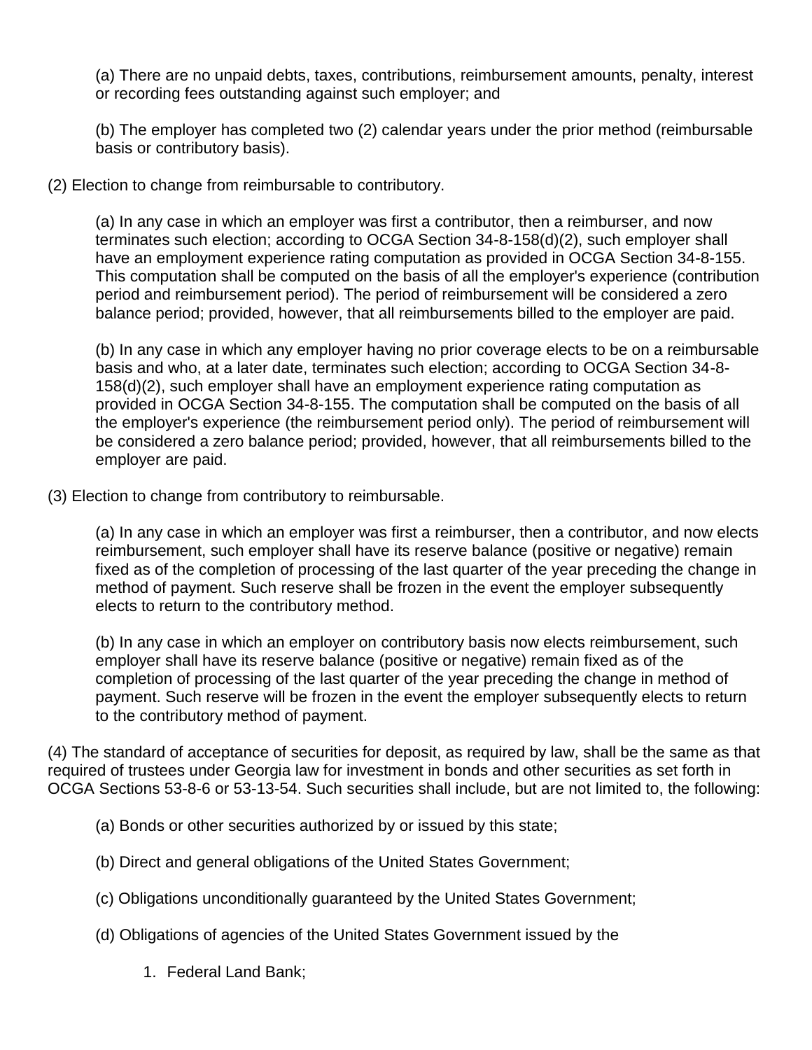(a) There are no unpaid debts, taxes, contributions, reimbursement amounts, penalty, interest or recording fees outstanding against such employer; and

(b) The employer has completed two (2) calendar years under the prior method (reimbursable basis or contributory basis).

(2) Election to change from reimbursable to contributory.

(a) In any case in which an employer was first a contributor, then a reimburser, and now terminates such election; according to OCGA Section 34-8-158(d)(2), such employer shall have an employment experience rating computation as provided in OCGA Section 34-8-155. This computation shall be computed on the basis of all the employer's experience (contribution period and reimbursement period). The period of reimbursement will be considered a zero balance period; provided, however, that all reimbursements billed to the employer are paid.

(b) In any case in which any employer having no prior coverage elects to be on a reimbursable basis and who, at a later date, terminates such election; according to OCGA Section 34-8- 158(d)(2), such employer shall have an employment experience rating computation as provided in OCGA Section 34-8-155. The computation shall be computed on the basis of all the employer's experience (the reimbursement period only). The period of reimbursement will be considered a zero balance period; provided, however, that all reimbursements billed to the employer are paid.

(3) Election to change from contributory to reimbursable.

(a) In any case in which an employer was first a reimburser, then a contributor, and now elects reimbursement, such employer shall have its reserve balance (positive or negative) remain fixed as of the completion of processing of the last quarter of the year preceding the change in method of payment. Such reserve shall be frozen in the event the employer subsequently elects to return to the contributory method.

(b) In any case in which an employer on contributory basis now elects reimbursement, such employer shall have its reserve balance (positive or negative) remain fixed as of the completion of processing of the last quarter of the year preceding the change in method of payment. Such reserve will be frozen in the event the employer subsequently elects to return to the contributory method of payment.

(4) The standard of acceptance of securities for deposit, as required by law, shall be the same as that required of trustees under Georgia law for investment in bonds and other securities as set forth in OCGA Sections 53-8-6 or 53-13-54. Such securities shall include, but are not limited to, the following:

- (a) Bonds or other securities authorized by or issued by this state;
- (b) Direct and general obligations of the United States Government;
- (c) Obligations unconditionally guaranteed by the United States Government;
- (d) Obligations of agencies of the United States Government issued by the
	- 1. Federal Land Bank;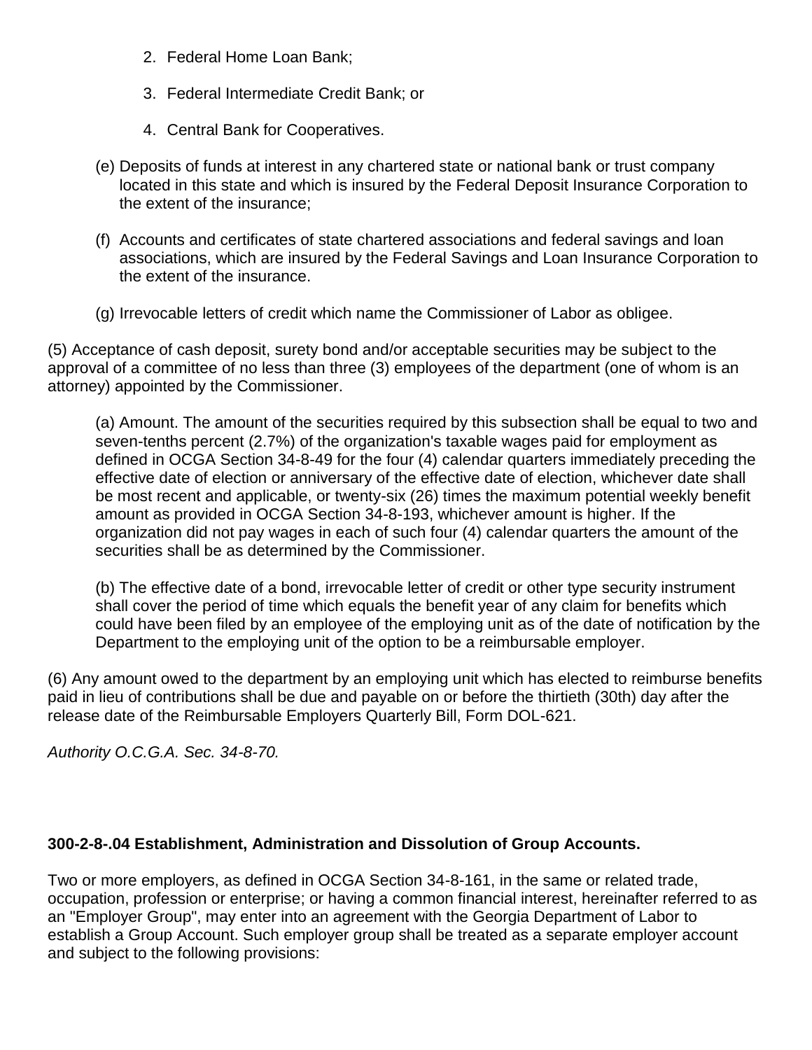- 2. Federal Home Loan Bank;
- 3. Federal Intermediate Credit Bank; or
- 4. Central Bank for Cooperatives.
- (e) Deposits of funds at interest in any chartered state or national bank or trust company located in this state and which is insured by the Federal Deposit Insurance Corporation to the extent of the insurance;
- (f) Accounts and certificates of state chartered associations and federal savings and loan associations, which are insured by the Federal Savings and Loan Insurance Corporation to the extent of the insurance.
- (g) Irrevocable letters of credit which name the Commissioner of Labor as obligee.

(5) Acceptance of cash deposit, surety bond and/or acceptable securities may be subject to the approval of a committee of no less than three (3) employees of the department (one of whom is an attorney) appointed by the Commissioner.

(a) Amount. The amount of the securities required by this subsection shall be equal to two and seven-tenths percent (2.7%) of the organization's taxable wages paid for employment as defined in OCGA Section 34-8-49 for the four (4) calendar quarters immediately preceding the effective date of election or anniversary of the effective date of election, whichever date shall be most recent and applicable, or twenty-six (26) times the maximum potential weekly benefit amount as provided in OCGA Section 34-8-193, whichever amount is higher. If the organization did not pay wages in each of such four (4) calendar quarters the amount of the securities shall be as determined by the Commissioner.

(b) The effective date of a bond, irrevocable letter of credit or other type security instrument shall cover the period of time which equals the benefit year of any claim for benefits which could have been filed by an employee of the employing unit as of the date of notification by the Department to the employing unit of the option to be a reimbursable employer.

(6) Any amount owed to the department by an employing unit which has elected to reimburse benefits paid in lieu of contributions shall be due and payable on or before the thirtieth (30th) day after the release date of the Reimbursable Employers Quarterly Bill, Form DOL-621.

*Authority O.C.G.A. Sec. 34-8-70.*

# **300-2-8-.04 Establishment, Administration and Dissolution of Group Accounts.**

Two or more employers, as defined in OCGA Section 34-8-161, in the same or related trade, occupation, profession or enterprise; or having a common financial interest, hereinafter referred to as an "Employer Group", may enter into an agreement with the Georgia Department of Labor to establish a Group Account. Such employer group shall be treated as a separate employer account and subject to the following provisions: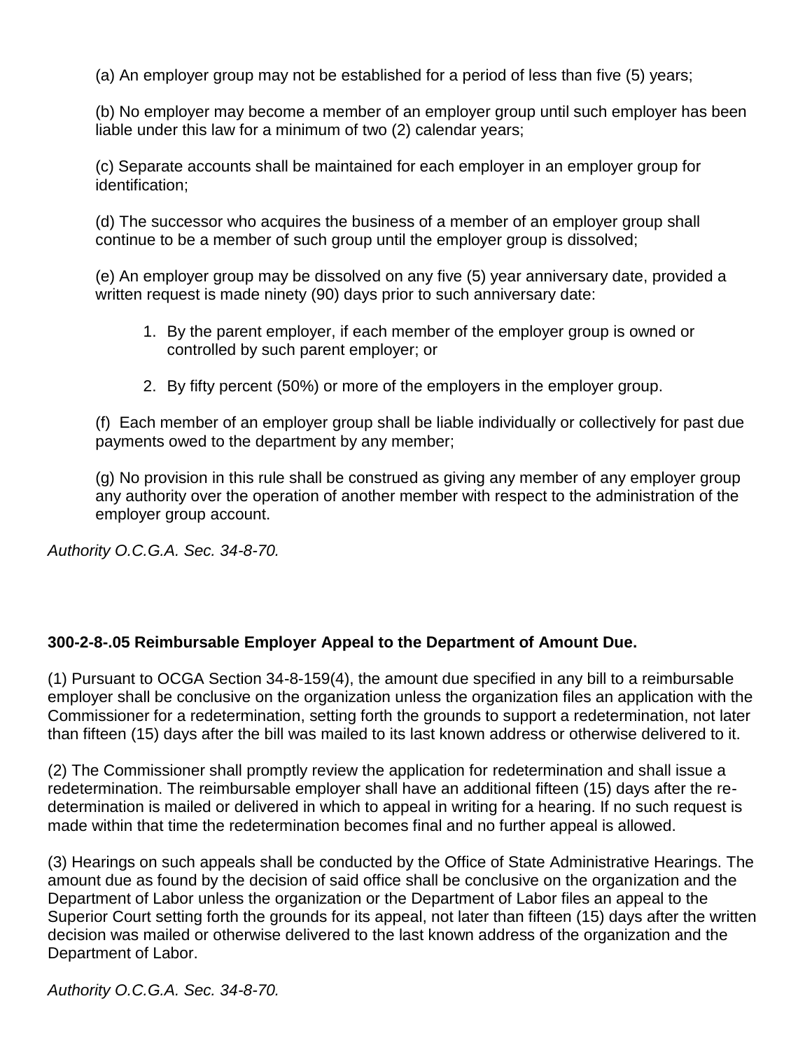(a) An employer group may not be established for a period of less than five (5) years;

(b) No employer may become a member of an employer group until such employer has been liable under this law for a minimum of two (2) calendar years;

(c) Separate accounts shall be maintained for each employer in an employer group for identification;

(d) The successor who acquires the business of a member of an employer group shall continue to be a member of such group until the employer group is dissolved;

(e) An employer group may be dissolved on any five (5) year anniversary date, provided a written request is made ninety (90) days prior to such anniversary date:

- 1. By the parent employer, if each member of the employer group is owned or controlled by such parent employer; or
- 2. By fifty percent (50%) or more of the employers in the employer group.

(f) Each member of an employer group shall be liable individually or collectively for past due payments owed to the department by any member;

(g) No provision in this rule shall be construed as giving any member of any employer group any authority over the operation of another member with respect to the administration of the employer group account.

*Authority O.C.G.A. Sec. 34-8-70.*

# **300-2-8-.05 Reimbursable Employer Appeal to the Department of Amount Due.**

(1) Pursuant to OCGA Section 34-8-159(4), the amount due specified in any bill to a reimbursable employer shall be conclusive on the organization unless the organization files an application with the Commissioner for a redetermination, setting forth the grounds to support a redetermination, not later than fifteen (15) days after the bill was mailed to its last known address or otherwise delivered to it.

(2) The Commissioner shall promptly review the application for redetermination and shall issue a redetermination. The reimbursable employer shall have an additional fifteen (15) days after the redetermination is mailed or delivered in which to appeal in writing for a hearing. If no such request is made within that time the redetermination becomes final and no further appeal is allowed.

(3) Hearings on such appeals shall be conducted by the Office of State Administrative Hearings. The amount due as found by the decision of said office shall be conclusive on the organization and the Department of Labor unless the organization or the Department of Labor files an appeal to the Superior Court setting forth the grounds for its appeal, not later than fifteen (15) days after the written decision was mailed or otherwise delivered to the last known address of the organization and the Department of Labor.

*Authority O.C.G.A. Sec. 34-8-70.*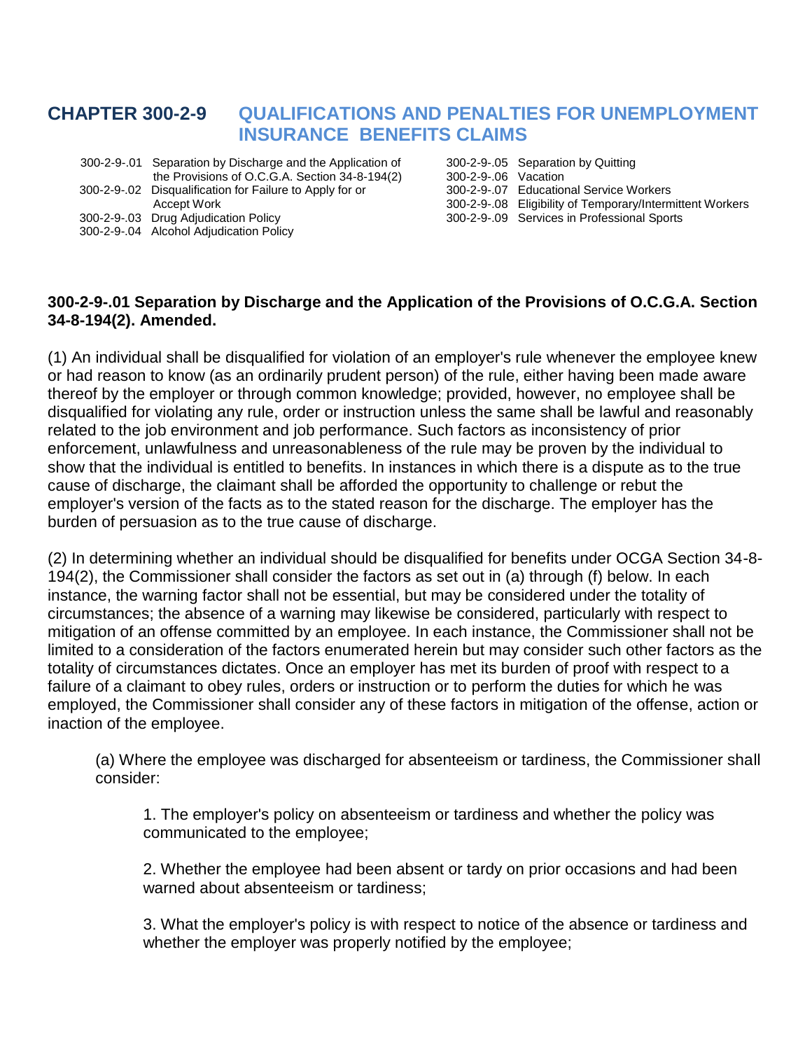# **CHAPTER 300-2-9 QUALIFICATIONS AND PENALTIES FOR UNEMPLOYMENT INSURANCE BENEFITS CLAIMS**

- 300-2-9-.01 Separation by Discharge and the Application of 300-2-9-.05 Separation by Quitting the Provisions of O.C.G.A. Section 34-8-194(2) 300-2-9-.06 Vacation<br>Disqualification for Failure to Apply for or 300-2-9-.07 Educational Service Workers 300-2-9-.02 Disqualification for Failure to Apply for or
- 
- 300-2-9-.04 Alcohol Adjudication Policy

Accept Work 300-2-9-.08 Eligibility of Temporary/Intermittent Workers<br>300-2-9-.03 Drug Adjudication Policy 300-2-9-.09 Services in Professional Sports 300-2-9-.09 Services in Professional Sports

#### **300-2-9-.01 Separation by Discharge and the Application of the Provisions of O.C.G.A. Section 34-8-194(2). Amended.**

(1) An individual shall be disqualified for violation of an employer's rule whenever the employee knew or had reason to know (as an ordinarily prudent person) of the rule, either having been made aware thereof by the employer or through common knowledge; provided, however, no employee shall be disqualified for violating any rule, order or instruction unless the same shall be lawful and reasonably related to the job environment and job performance. Such factors as inconsistency of prior enforcement, unlawfulness and unreasonableness of the rule may be proven by the individual to show that the individual is entitled to benefits. In instances in which there is a dispute as to the true cause of discharge, the claimant shall be afforded the opportunity to challenge or rebut the employer's version of the facts as to the stated reason for the discharge. The employer has the burden of persuasion as to the true cause of discharge.

(2) In determining whether an individual should be disqualified for benefits under OCGA Section 34-8- 194(2), the Commissioner shall consider the factors as set out in (a) through (f) below. In each instance, the warning factor shall not be essential, but may be considered under the totality of circumstances; the absence of a warning may likewise be considered, particularly with respect to mitigation of an offense committed by an employee. In each instance, the Commissioner shall not be limited to a consideration of the factors enumerated herein but may consider such other factors as the totality of circumstances dictates. Once an employer has met its burden of proof with respect to a failure of a claimant to obey rules, orders or instruction or to perform the duties for which he was employed, the Commissioner shall consider any of these factors in mitigation of the offense, action or inaction of the employee.

(a) Where the employee was discharged for absenteeism or tardiness, the Commissioner shall consider:

1. The employer's policy on absenteeism or tardiness and whether the policy was communicated to the employee;

2. Whether the employee had been absent or tardy on prior occasions and had been warned about absenteeism or tardiness;

3. What the employer's policy is with respect to notice of the absence or tardiness and whether the employer was properly notified by the employee;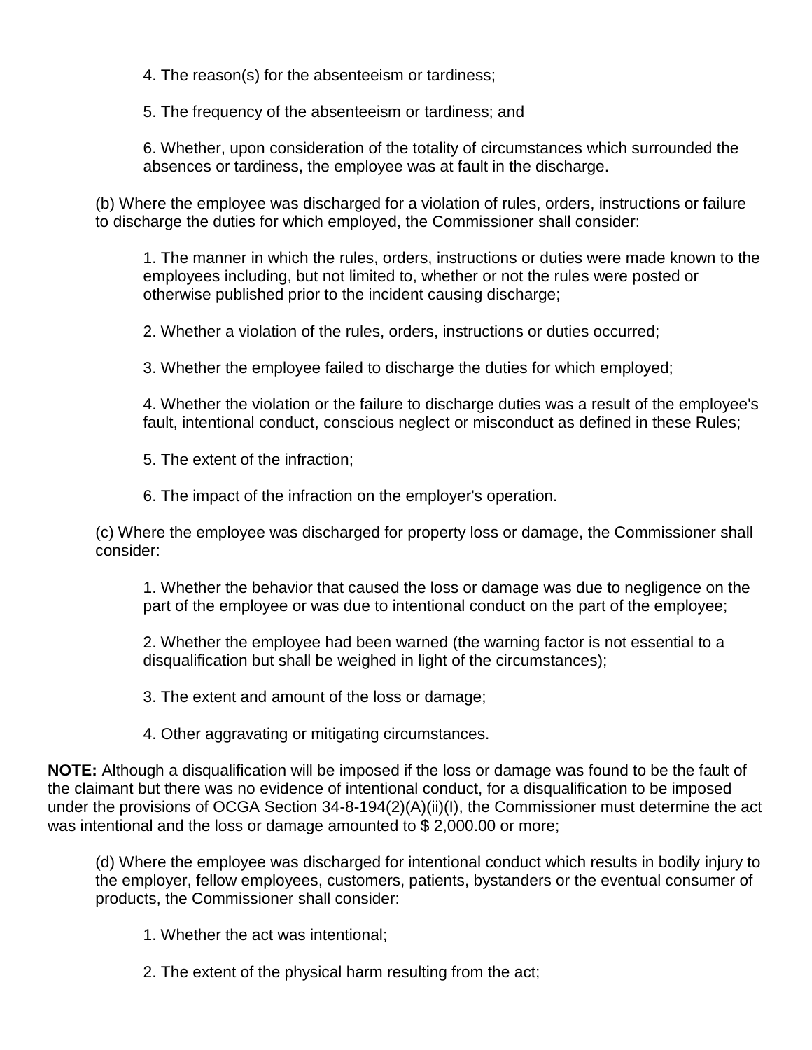4. The reason(s) for the absenteeism or tardiness;

5. The frequency of the absenteeism or tardiness; and

6. Whether, upon consideration of the totality of circumstances which surrounded the absences or tardiness, the employee was at fault in the discharge.

(b) Where the employee was discharged for a violation of rules, orders, instructions or failure to discharge the duties for which employed, the Commissioner shall consider:

1. The manner in which the rules, orders, instructions or duties were made known to the employees including, but not limited to, whether or not the rules were posted or otherwise published prior to the incident causing discharge;

2. Whether a violation of the rules, orders, instructions or duties occurred;

3. Whether the employee failed to discharge the duties for which employed;

4. Whether the violation or the failure to discharge duties was a result of the employee's fault, intentional conduct, conscious neglect or misconduct as defined in these Rules;

5. The extent of the infraction;

6. The impact of the infraction on the employer's operation.

(c) Where the employee was discharged for property loss or damage, the Commissioner shall consider:

1. Whether the behavior that caused the loss or damage was due to negligence on the part of the employee or was due to intentional conduct on the part of the employee;

2. Whether the employee had been warned (the warning factor is not essential to a disqualification but shall be weighed in light of the circumstances);

3. The extent and amount of the loss or damage;

4. Other aggravating or mitigating circumstances.

**NOTE:** Although a disqualification will be imposed if the loss or damage was found to be the fault of the claimant but there was no evidence of intentional conduct, for a disqualification to be imposed under the provisions of OCGA Section 34-8-194(2)(A)(ii)(I), the Commissioner must determine the act was intentional and the loss or damage amounted to \$ 2,000.00 or more;

(d) Where the employee was discharged for intentional conduct which results in bodily injury to the employer, fellow employees, customers, patients, bystanders or the eventual consumer of products, the Commissioner shall consider:

1. Whether the act was intentional;

2. The extent of the physical harm resulting from the act;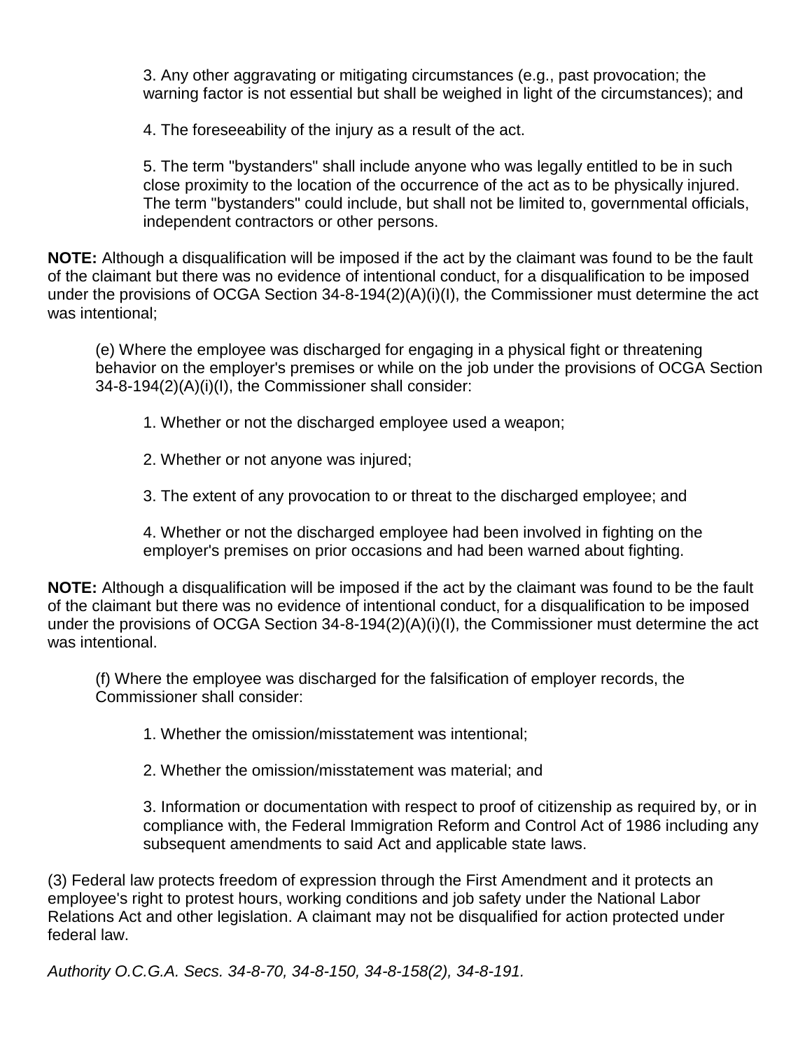3. Any other aggravating or mitigating circumstances (e.g., past provocation; the warning factor is not essential but shall be weighed in light of the circumstances); and

4. The foreseeability of the injury as a result of the act.

5. The term "bystanders" shall include anyone who was legally entitled to be in such close proximity to the location of the occurrence of the act as to be physically injured. The term "bystanders" could include, but shall not be limited to, governmental officials, independent contractors or other persons.

**NOTE:** Although a disqualification will be imposed if the act by the claimant was found to be the fault of the claimant but there was no evidence of intentional conduct, for a disqualification to be imposed under the provisions of OCGA Section 34-8-194(2)(A)(i)(I), the Commissioner must determine the act was intentional;

(e) Where the employee was discharged for engaging in a physical fight or threatening behavior on the employer's premises or while on the job under the provisions of OCGA Section 34-8-194(2)(A)(i)(I), the Commissioner shall consider:

- 1. Whether or not the discharged employee used a weapon;
- 2. Whether or not anyone was injured;
- 3. The extent of any provocation to or threat to the discharged employee; and

4. Whether or not the discharged employee had been involved in fighting on the employer's premises on prior occasions and had been warned about fighting.

**NOTE:** Although a disqualification will be imposed if the act by the claimant was found to be the fault of the claimant but there was no evidence of intentional conduct, for a disqualification to be imposed under the provisions of OCGA Section 34-8-194(2)(A)(i)(I), the Commissioner must determine the act was intentional.

(f) Where the employee was discharged for the falsification of employer records, the Commissioner shall consider:

1. Whether the omission/misstatement was intentional;

2. Whether the omission/misstatement was material; and

3. Information or documentation with respect to proof of citizenship as required by, or in compliance with, the Federal Immigration Reform and Control Act of 1986 including any subsequent amendments to said Act and applicable state laws.

(3) Federal law protects freedom of expression through the First Amendment and it protects an employee's right to protest hours, working conditions and job safety under the National Labor Relations Act and other legislation. A claimant may not be disqualified for action protected under federal law.

*Authority O.C.G.A. Secs. 34-8-70, 34-8-150, 34-8-158(2), 34-8-191.*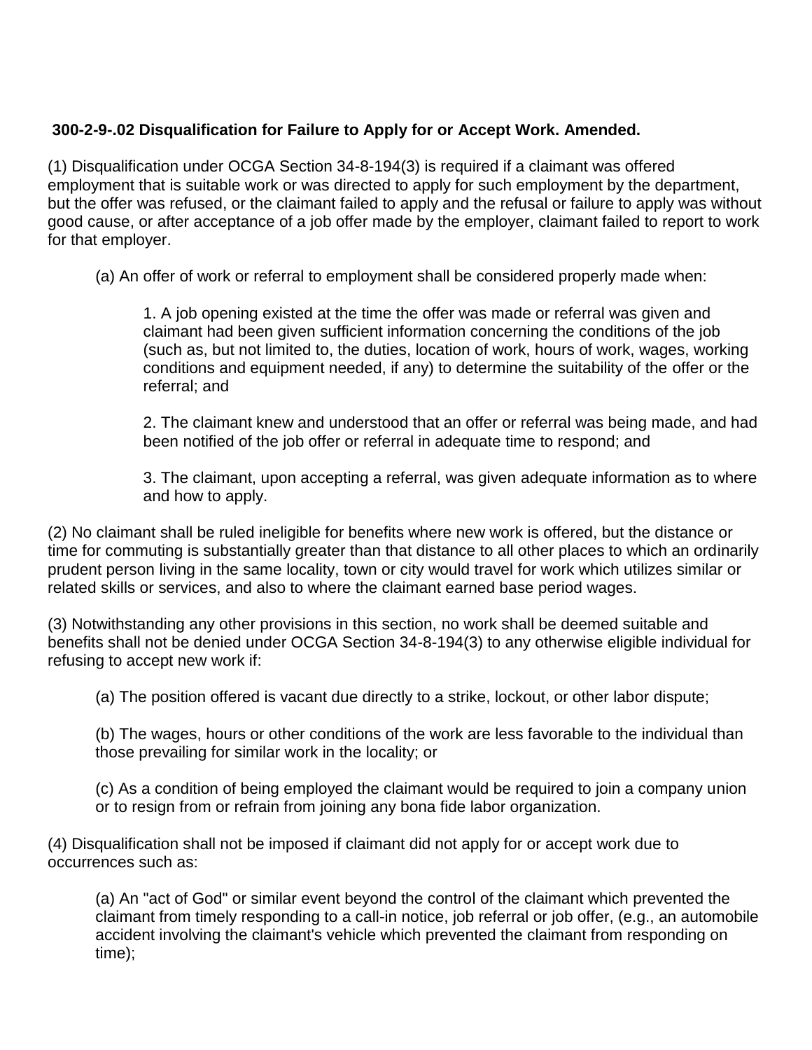# **300-2-9-.02 Disqualification for Failure to Apply for or Accept Work. Amended.**

(1) Disqualification under OCGA Section 34-8-194(3) is required if a claimant was offered employment that is suitable work or was directed to apply for such employment by the department, but the offer was refused, or the claimant failed to apply and the refusal or failure to apply was without good cause, or after acceptance of a job offer made by the employer, claimant failed to report to work for that employer.

(a) An offer of work or referral to employment shall be considered properly made when:

1. A job opening existed at the time the offer was made or referral was given and claimant had been given sufficient information concerning the conditions of the job (such as, but not limited to, the duties, location of work, hours of work, wages, working conditions and equipment needed, if any) to determine the suitability of the offer or the referral; and

2. The claimant knew and understood that an offer or referral was being made, and had been notified of the job offer or referral in adequate time to respond; and

3. The claimant, upon accepting a referral, was given adequate information as to where and how to apply.

(2) No claimant shall be ruled ineligible for benefits where new work is offered, but the distance or time for commuting is substantially greater than that distance to all other places to which an ordinarily prudent person living in the same locality, town or city would travel for work which utilizes similar or related skills or services, and also to where the claimant earned base period wages.

(3) Notwithstanding any other provisions in this section, no work shall be deemed suitable and benefits shall not be denied under OCGA Section 34-8-194(3) to any otherwise eligible individual for refusing to accept new work if:

(a) The position offered is vacant due directly to a strike, lockout, or other labor dispute;

(b) The wages, hours or other conditions of the work are less favorable to the individual than those prevailing for similar work in the locality; or

(c) As a condition of being employed the claimant would be required to join a company union or to resign from or refrain from joining any bona fide labor organization.

(4) Disqualification shall not be imposed if claimant did not apply for or accept work due to occurrences such as:

(a) An "act of God" or similar event beyond the control of the claimant which prevented the claimant from timely responding to a call-in notice, job referral or job offer, (e.g., an automobile accident involving the claimant's vehicle which prevented the claimant from responding on time);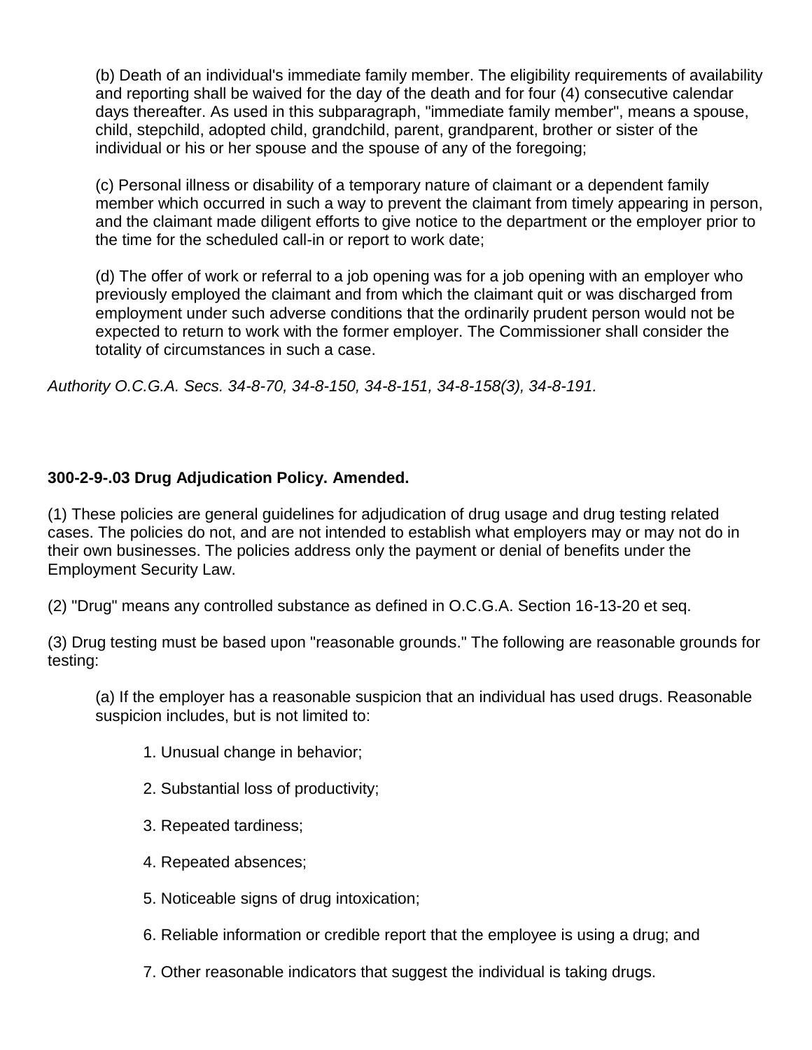(b) Death of an individual's immediate family member. The eligibility requirements of availability and reporting shall be waived for the day of the death and for four (4) consecutive calendar days thereafter. As used in this subparagraph, "immediate family member", means a spouse, child, stepchild, adopted child, grandchild, parent, grandparent, brother or sister of the individual or his or her spouse and the spouse of any of the foregoing;

 (c) Personal illness or disability of a temporary nature of claimant or a dependent family member which occurred in such a way to prevent the claimant from timely appearing in person, and the claimant made diligent efforts to give notice to the department or the employer prior to the time for the scheduled call-in or report to work date;

(d) The offer of work or referral to a job opening was for a job opening with an employer who previously employed the claimant and from which the claimant quit or was discharged from employment under such adverse conditions that the ordinarily prudent person would not be expected to return to work with the former employer. The Commissioner shall consider the totality of circumstances in such a case.

*Authority O.C.G.A. Secs. 34-8-70, 34-8-150, 34-8-151, 34-8-158(3), 34-8-191.*

# **300-2-9-.03 Drug Adjudication Policy. Amended.**

(1) These policies are general guidelines for adjudication of drug usage and drug testing related cases. The policies do not, and are not intended to establish what employers may or may not do in their own businesses. The policies address only the payment or denial of benefits under the Employment Security Law.

(2) "Drug" means any controlled substance as defined in O.C.G.A. Section 16-13-20 et seq.

(3) Drug testing must be based upon "reasonable grounds." The following are reasonable grounds for testing:

(a) If the employer has a reasonable suspicion that an individual has used drugs. Reasonable suspicion includes, but is not limited to:

- 1. Unusual change in behavior;
- 2. Substantial loss of productivity;
- 3. Repeated tardiness;
- 4. Repeated absences;
- 5. Noticeable signs of drug intoxication;
- 6. Reliable information or credible report that the employee is using a drug; and
- 7. Other reasonable indicators that suggest the individual is taking drugs.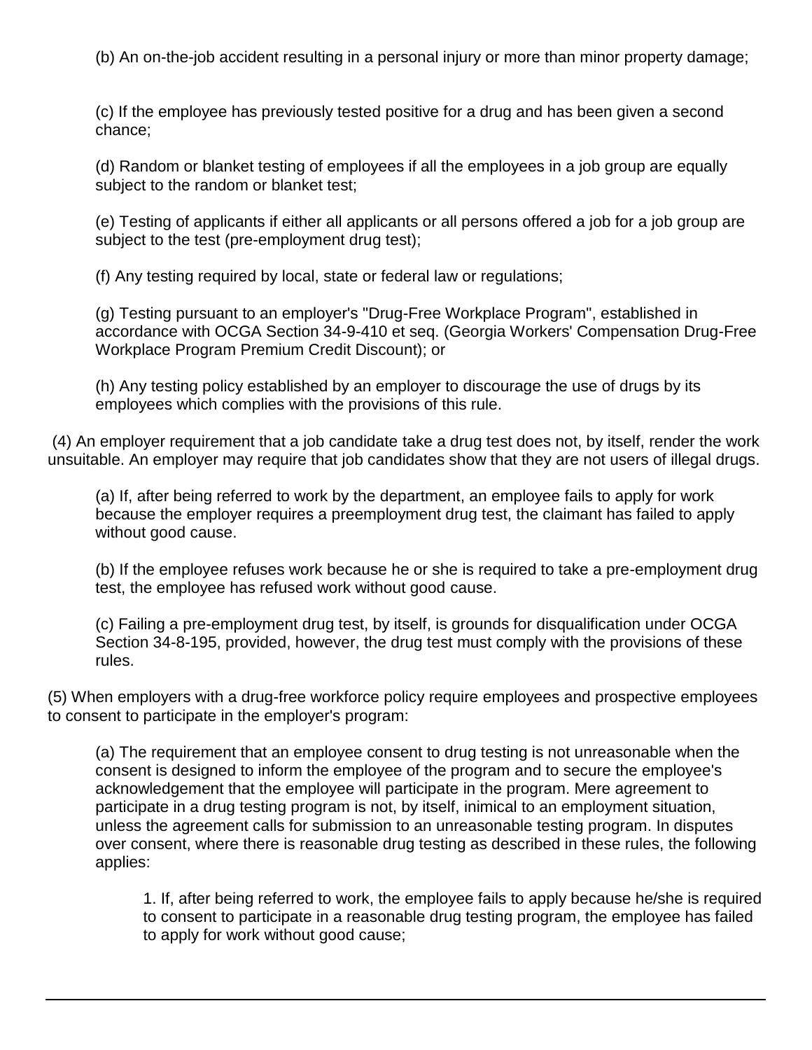(b) An on-the-job accident resulting in a personal injury or more than minor property damage;

(c) If the employee has previously tested positive for a drug and has been given a second chance;

(d) Random or blanket testing of employees if all the employees in a job group are equally subject to the random or blanket test;

(e) Testing of applicants if either all applicants or all persons offered a job for a job group are subject to the test (pre-employment drug test);

(f) Any testing required by local, state or federal law or regulations;

(g) Testing pursuant to an employer's "Drug-Free Workplace Program", established in accordance with OCGA Section 34-9-410 et seq. (Georgia Workers' Compensation Drug-Free Workplace Program Premium Credit Discount); or

(h) Any testing policy established by an employer to discourage the use of drugs by its employees which complies with the provisions of this rule.

(4) An employer requirement that a job candidate take a drug test does not, by itself, render the work unsuitable. An employer may require that job candidates show that they are not users of illegal drugs.

(a) If, after being referred to work by the department, an employee fails to apply for work because the employer requires a preemployment drug test, the claimant has failed to apply without good cause.

(b) If the employee refuses work because he or she is required to take a pre-employment drug test, the employee has refused work without good cause.

(c) Failing a pre-employment drug test, by itself, is grounds for disqualification under OCGA Section 34-8-195, provided, however, the drug test must comply with the provisions of these rules.

(5) When employers with a drug-free workforce policy require employees and prospective employees to consent to participate in the employer's program:

(a) The requirement that an employee consent to drug testing is not unreasonable when the consent is designed to inform the employee of the program and to secure the employee's acknowledgement that the employee will participate in the program. Mere agreement to participate in a drug testing program is not, by itself, inimical to an employment situation, unless the agreement calls for submission to an unreasonable testing program. In disputes over consent, where there is reasonable drug testing as described in these rules, the following applies:

1. If, after being referred to work, the employee fails to apply because he/she is required to consent to participate in a reasonable drug testing program, the employee has failed to apply for work without good cause;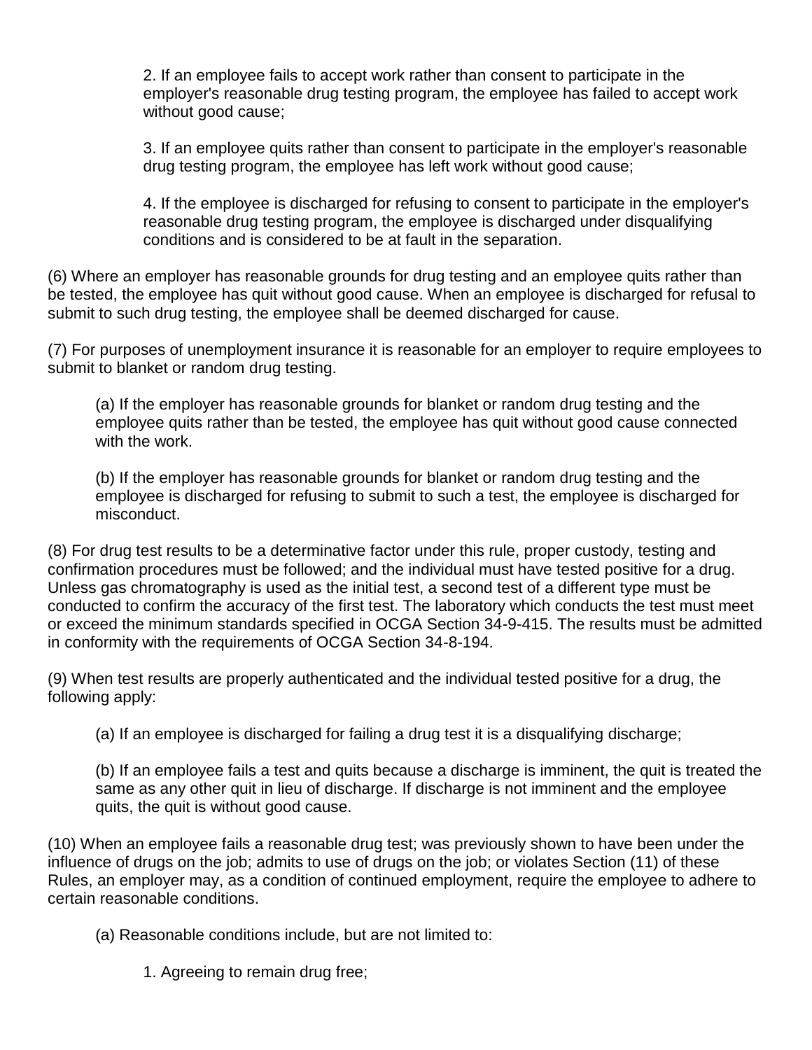2. If an employee fails to accept work rather than consent to participate in the employer's reasonable drug testing program, the employee has failed to accept work without good cause;

3. If an employee quits rather than consent to participate in the employer's reasonable drug testing program, the employee has left work without good cause;

4. If the employee is discharged for refusing to consent to participate in the employer's reasonable drug testing program, the employee is discharged under disqualifying conditions and is considered to be at fault in the separation.

(6) Where an employer has reasonable grounds for drug testing and an employee quits rather than be tested, the employee has quit without good cause. When an employee is discharged for refusal to submit to such drug testing, the employee shall be deemed discharged for cause.

(7) For purposes of unemployment insurance it is reasonable for an employer to require employees to submit to blanket or random drug testing.

(a) If the employer has reasonable grounds for blanket or random drug testing and the employee quits rather than be tested, the employee has quit without good cause connected with the work.

(b) If the employer has reasonable grounds for blanket or random drug testing and the employee is discharged for refusing to submit to such a test, the employee is discharged for misconduct.

(8) For drug test results to be a determinative factor under this rule, proper custody, testing and confirmation procedures must be followed; and the individual must have tested positive for a drug. Unless gas chromatography is used as the initial test, a second test of a different type must be conducted to confirm the accuracy of the first test. The laboratory which conducts the test must meet or exceed the minimum standards specified in OCGA Section 34-9-415. The results must be admitted in conformity with the requirements of OCGA Section 34-8-194.

(9) When test results are properly authenticated and the individual tested positive for a drug, the following apply:

(a) If an employee is discharged for failing a drug test it is a disqualifying discharge;

(b) If an employee fails a test and quits because a discharge is imminent, the quit is treated the same as any other quit in lieu of discharge. If discharge is not imminent and the employee quits, the quit is without good cause.

(10) When an employee fails a reasonable drug test; was previously shown to have been under the influence of drugs on the job; admits to use of drugs on the job; or violates Section (11) of these Rules, an employer may, as a condition of continued employment, require the employee to adhere to certain reasonable conditions.

(a) Reasonable conditions include, but are not limited to:

1. Agreeing to remain drug free;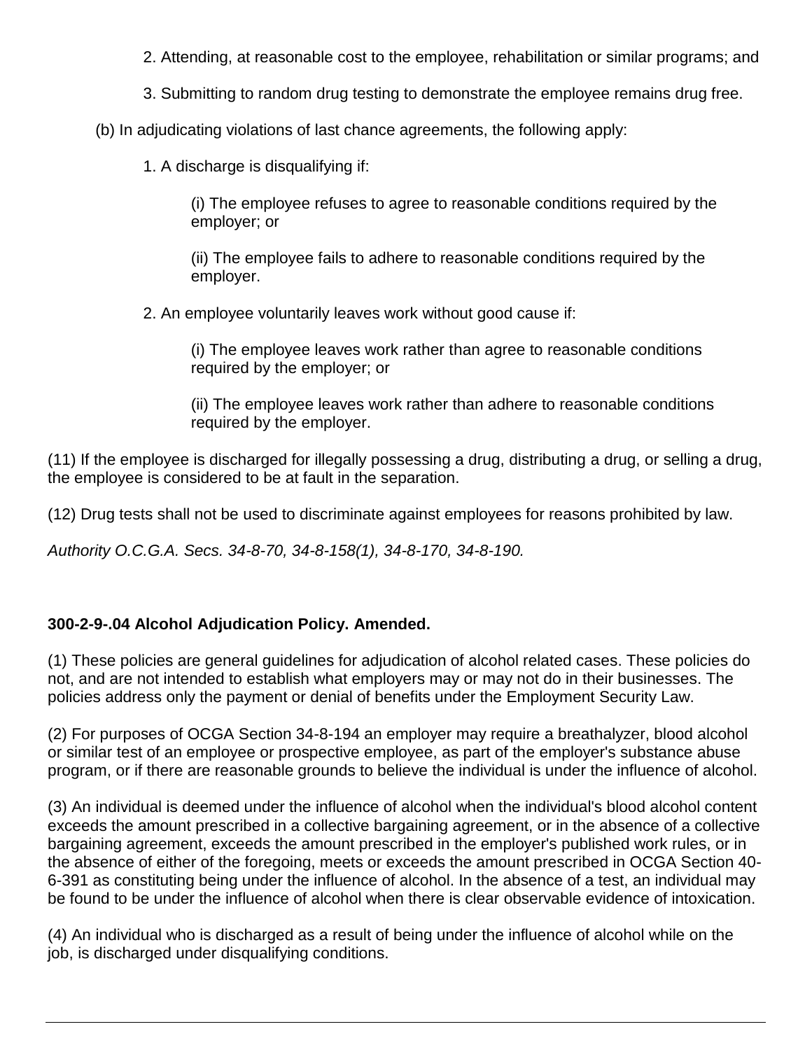2. Attending, at reasonable cost to the employee, rehabilitation or similar programs; and

3. Submitting to random drug testing to demonstrate the employee remains drug free.

(b) In adjudicating violations of last chance agreements, the following apply:

1. A discharge is disqualifying if:

(i) The employee refuses to agree to reasonable conditions required by the employer; or

(ii) The employee fails to adhere to reasonable conditions required by the employer.

2. An employee voluntarily leaves work without good cause if:

(i) The employee leaves work rather than agree to reasonable conditions required by the employer; or

(ii) The employee leaves work rather than adhere to reasonable conditions required by the employer.

(11) If the employee is discharged for illegally possessing a drug, distributing a drug, or selling a drug, the employee is considered to be at fault in the separation.

(12) Drug tests shall not be used to discriminate against employees for reasons prohibited by law.

*Authority O.C.G.A. Secs. 34-8-70, 34-8-158(1), 34-8-170, 34-8-190.*

# **300-2-9-.04 Alcohol Adjudication Policy. Amended.**

(1) These policies are general guidelines for adjudication of alcohol related cases. These policies do not, and are not intended to establish what employers may or may not do in their businesses. The policies address only the payment or denial of benefits under the Employment Security Law.

(2) For purposes of OCGA Section 34-8-194 an employer may require a breathalyzer, blood alcohol or similar test of an employee or prospective employee, as part of the employer's substance abuse program, or if there are reasonable grounds to believe the individual is under the influence of alcohol.

(3) An individual is deemed under the influence of alcohol when the individual's blood alcohol content exceeds the amount prescribed in a collective bargaining agreement, or in the absence of a collective bargaining agreement, exceeds the amount prescribed in the employer's published work rules, or in the absence of either of the foregoing, meets or exceeds the amount prescribed in OCGA Section 40- 6-391 as constituting being under the influence of alcohol. In the absence of a test, an individual may be found to be under the influence of alcohol when there is clear observable evidence of intoxication.

(4) An individual who is discharged as a result of being under the influence of alcohol while on the job, is discharged under disqualifying conditions.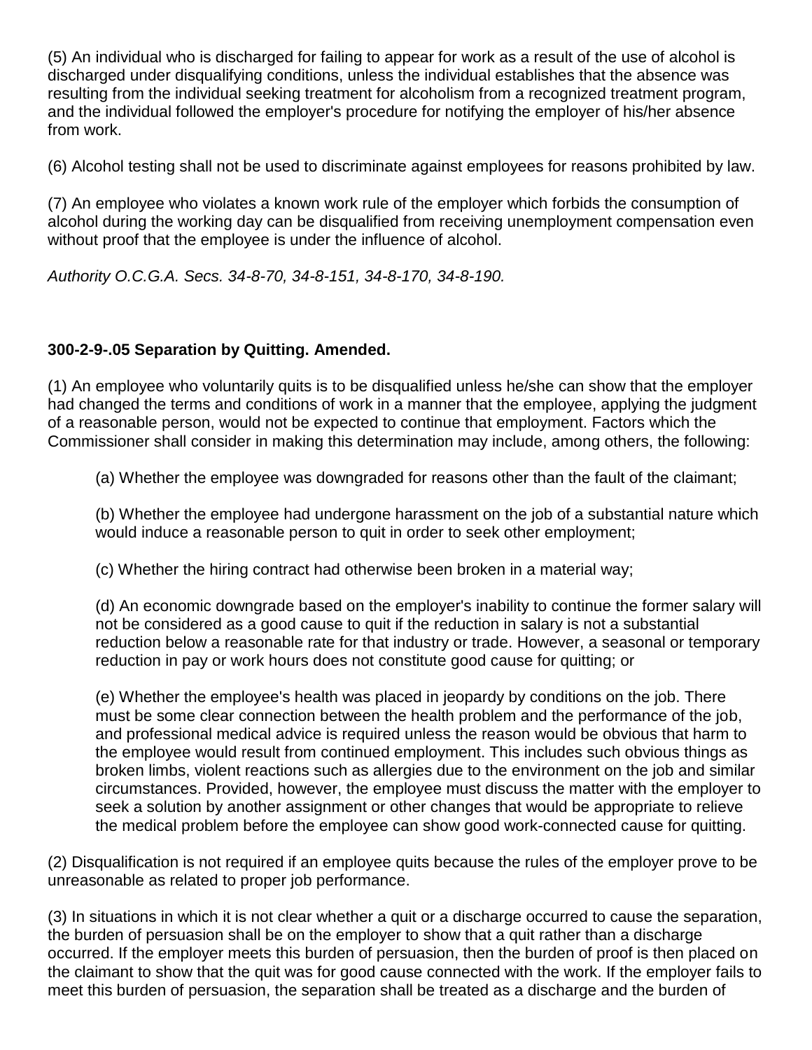(5) An individual who is discharged for failing to appear for work as a result of the use of alcohol is discharged under disqualifying conditions, unless the individual establishes that the absence was resulting from the individual seeking treatment for alcoholism from a recognized treatment program, and the individual followed the employer's procedure for notifying the employer of his/her absence from work.

(6) Alcohol testing shall not be used to discriminate against employees for reasons prohibited by law.

(7) An employee who violates a known work rule of the employer which forbids the consumption of alcohol during the working day can be disqualified from receiving unemployment compensation even without proof that the employee is under the influence of alcohol.

*Authority O.C.G.A. Secs. 34-8-70, 34-8-151, 34-8-170, 34-8-190.*

# **300-2-9-.05 Separation by Quitting. Amended.**

(1) An employee who voluntarily quits is to be disqualified unless he/she can show that the employer had changed the terms and conditions of work in a manner that the employee, applying the judgment of a reasonable person, would not be expected to continue that employment. Factors which the Commissioner shall consider in making this determination may include, among others, the following:

(a) Whether the employee was downgraded for reasons other than the fault of the claimant;

(b) Whether the employee had undergone harassment on the job of a substantial nature which would induce a reasonable person to quit in order to seek other employment;

(c) Whether the hiring contract had otherwise been broken in a material way;

(d) An economic downgrade based on the employer's inability to continue the former salary will not be considered as a good cause to quit if the reduction in salary is not a substantial reduction below a reasonable rate for that industry or trade. However, a seasonal or temporary reduction in pay or work hours does not constitute good cause for quitting; or

(e) Whether the employee's health was placed in jeopardy by conditions on the job. There must be some clear connection between the health problem and the performance of the job, and professional medical advice is required unless the reason would be obvious that harm to the employee would result from continued employment. This includes such obvious things as broken limbs, violent reactions such as allergies due to the environment on the job and similar circumstances. Provided, however, the employee must discuss the matter with the employer to seek a solution by another assignment or other changes that would be appropriate to relieve the medical problem before the employee can show good work-connected cause for quitting.

(2) Disqualification is not required if an employee quits because the rules of the employer prove to be unreasonable as related to proper job performance.

(3) In situations in which it is not clear whether a quit or a discharge occurred to cause the separation, the burden of persuasion shall be on the employer to show that a quit rather than a discharge occurred. If the employer meets this burden of persuasion, then the burden of proof is then placed on the claimant to show that the quit was for good cause connected with the work. If the employer fails to meet this burden of persuasion, the separation shall be treated as a discharge and the burden of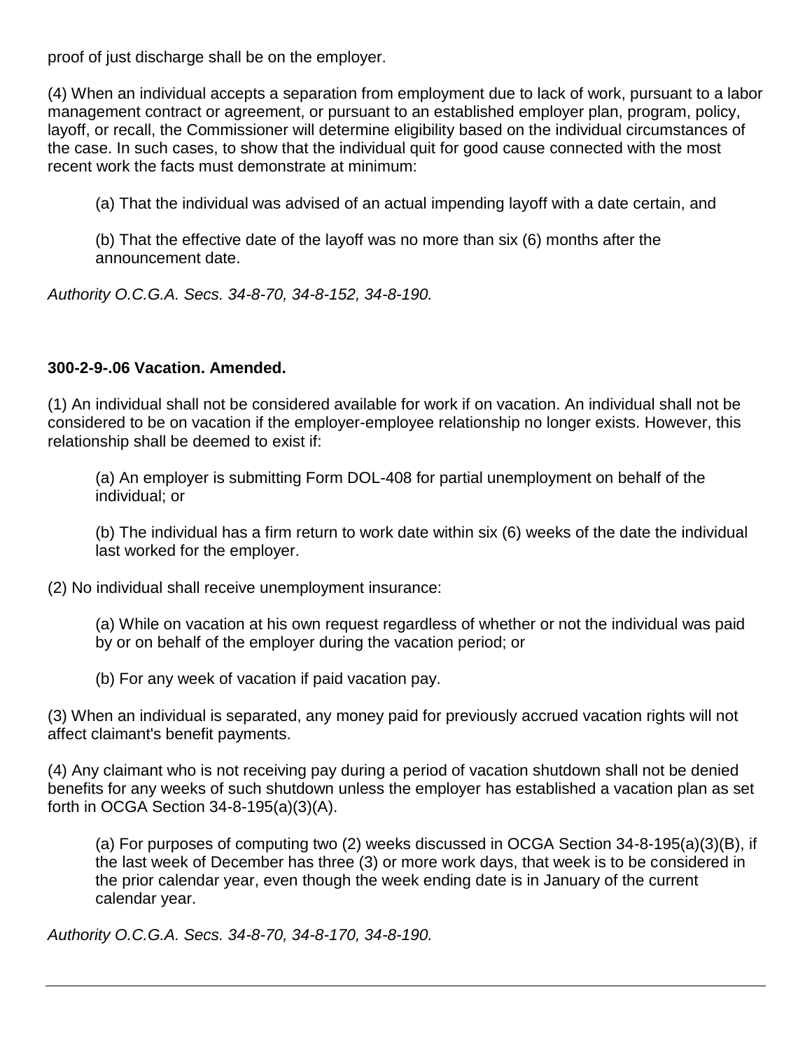proof of just discharge shall be on the employer.

(4) When an individual accepts a separation from employment due to lack of work, pursuant to a labor management contract or agreement, or pursuant to an established employer plan, program, policy, layoff, or recall, the Commissioner will determine eligibility based on the individual circumstances of the case. In such cases, to show that the individual quit for good cause connected with the most recent work the facts must demonstrate at minimum:

(a) That the individual was advised of an actual impending layoff with a date certain, and

(b) That the effective date of the layoff was no more than six (6) months after the announcement date.

*Authority O.C.G.A. Secs. 34-8-70, 34-8-152, 34-8-190.*

### **300-2-9-.06 Vacation. Amended.**

(1) An individual shall not be considered available for work if on vacation. An individual shall not be considered to be on vacation if the employer-employee relationship no longer exists. However, this relationship shall be deemed to exist if:

(a) An employer is submitting Form DOL-408 for partial unemployment on behalf of the individual; or

(b) The individual has a firm return to work date within six (6) weeks of the date the individual last worked for the employer.

(2) No individual shall receive unemployment insurance:

(a) While on vacation at his own request regardless of whether or not the individual was paid by or on behalf of the employer during the vacation period; or

(b) For any week of vacation if paid vacation pay.

(3) When an individual is separated, any money paid for previously accrued vacation rights will not affect claimant's benefit payments.

(4) Any claimant who is not receiving pay during a period of vacation shutdown shall not be denied benefits for any weeks of such shutdown unless the employer has established a vacation plan as set forth in OCGA Section 34-8-195(a)(3)(A).

(a) For purposes of computing two (2) weeks discussed in OCGA Section 34-8-195(a)(3)(B), if the last week of December has three (3) or more work days, that week is to be considered in the prior calendar year, even though the week ending date is in January of the current calendar year.

*Authority O.C.G.A. Secs. 34-8-70, 34-8-170, 34-8-190.*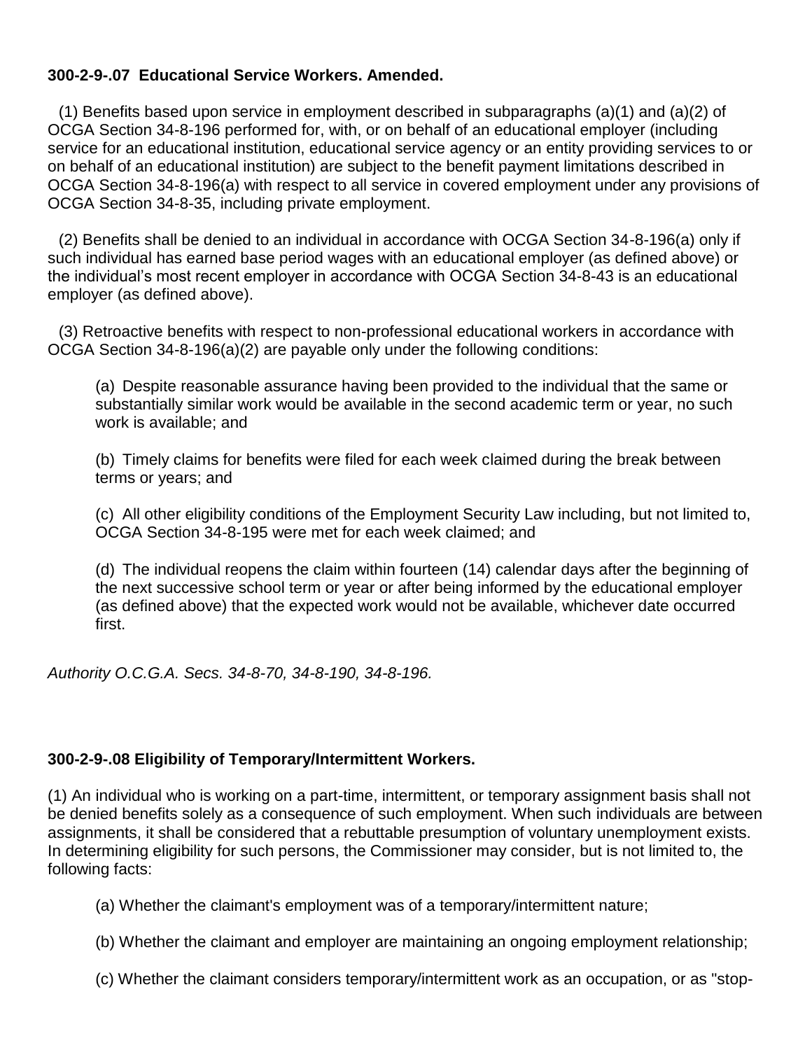## **300-2-9-.07 Educational Service Workers. Amended.**

(1) Benefits based upon service in employment described in subparagraphs (a)(1) and (a)(2) of OCGA Section 34-8-196 performed for, with, or on behalf of an educational employer (including service for an educational institution, educational service agency or an entity providing services to or on behalf of an educational institution) are subject to the benefit payment limitations described in OCGA Section 34-8-196(a) with respect to all service in covered employment under any provisions of OCGA Section 34-8-35, including private employment.

(2) Benefits shall be denied to an individual in accordance with OCGA Section 34-8-196(a) only if such individual has earned base period wages with an educational employer (as defined above) or the individual's most recent employer in accordance with OCGA Section 34-8-43 is an educational employer (as defined above).

(3) Retroactive benefits with respect to non-professional educational workers in accordance with OCGA Section 34-8-196(a)(2) are payable only under the following conditions:

(a) Despite reasonable assurance having been provided to the individual that the same or substantially similar work would be available in the second academic term or year, no such work is available; and

(b) Timely claims for benefits were filed for each week claimed during the break between terms or years; and

(c) All other eligibility conditions of the Employment Security Law including, but not limited to, OCGA Section 34-8-195 were met for each week claimed; and

(d) The individual reopens the claim within fourteen (14) calendar days after the beginning of the next successive school term or year or after being informed by the educational employer (as defined above) that the expected work would not be available, whichever date occurred first.

*Authority O.C.G.A. Secs. 34-8-70, 34-8-190, 34-8-196.*

## **300-2-9-.08 Eligibility of Temporary/Intermittent Workers.**

(1) An individual who is working on a part-time, intermittent, or temporary assignment basis shall not be denied benefits solely as a consequence of such employment. When such individuals are between assignments, it shall be considered that a rebuttable presumption of voluntary unemployment exists. In determining eligibility for such persons, the Commissioner may consider, but is not limited to, the following facts:

(a) Whether the claimant's employment was of a temporary/intermittent nature;

(b) Whether the claimant and employer are maintaining an ongoing employment relationship;

(c) Whether the claimant considers temporary/intermittent work as an occupation, or as "stop-